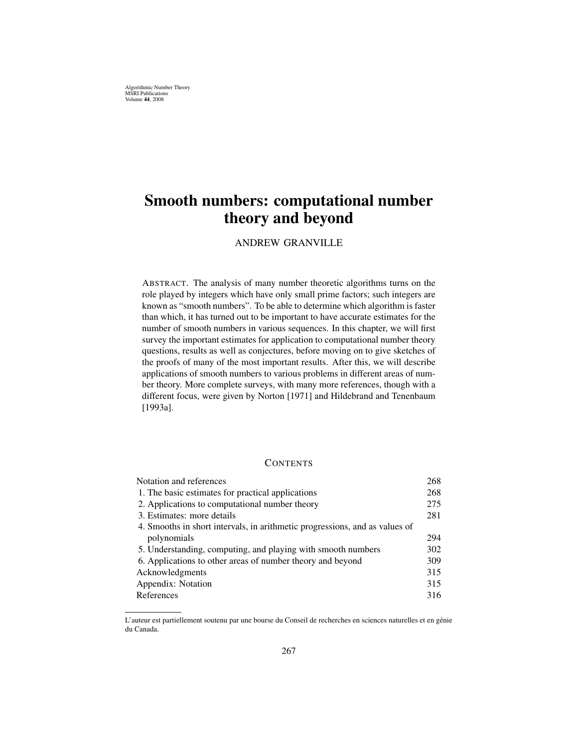Algorithmic Number Theory MSRI Publications Volume 44, 2008

# Smooth numbers: computational number theory and beyond

# ANDREW GRANVILLE

ABSTRACT. The analysis of many number theoretic algorithms turns on the role played by integers which have only small prime factors; such integers are known as "smooth numbers". To be able to determine which algorithm is faster than which, it has turned out to be important to have accurate estimates for the number of smooth numbers in various sequences. In this chapter, we will first survey the important estimates for application to computational number theory questions, results as well as conjectures, before moving on to give sketches of the proofs of many of the most important results. After this, we will describe applications of smooth numbers to various problems in different areas of number theory. More complete surveys, with many more references, though with a different focus, were given by Norton [1971] and Hildebrand and Tenenbaum [1993a].

# **CONTENTS**

| Notation and references                                                     | 268 |
|-----------------------------------------------------------------------------|-----|
| 1. The basic estimates for practical applications                           | 268 |
| 2. Applications to computational number theory                              | 275 |
| 3. Estimates: more details                                                  | 281 |
| 4. Smooths in short intervals, in arithmetic progressions, and as values of |     |
| polynomials                                                                 | 294 |
| 5. Understanding, computing, and playing with smooth numbers                | 302 |
| 6. Applications to other areas of number theory and beyond                  | 309 |
| Acknowledgments                                                             | 315 |
| Appendix: Notation                                                          | 315 |
| References                                                                  | 316 |
|                                                                             |     |

L'auteur est partiellement soutenu par une bourse du Conseil de recherches en sciences naturelles et en genie ´ du Canada.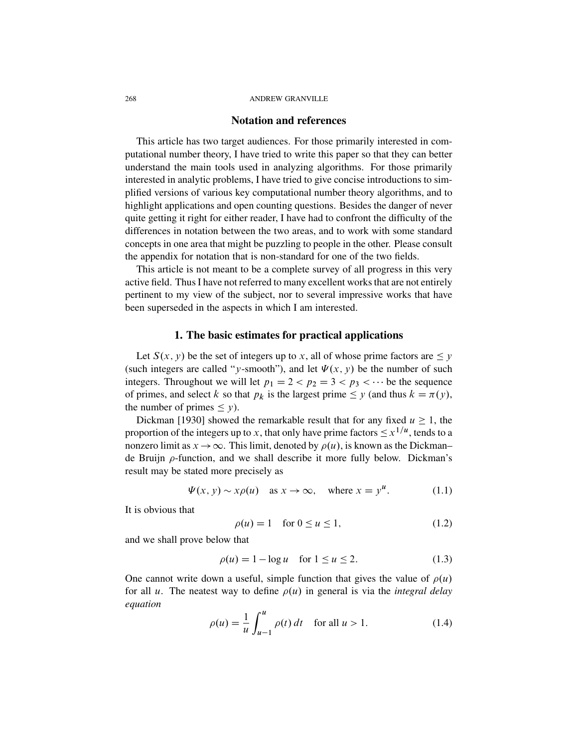# Notation and references

This article has two target audiences. For those primarily interested in computational number theory, I have tried to write this paper so that they can better understand the main tools used in analyzing algorithms. For those primarily interested in analytic problems, I have tried to give concise introductions to simplified versions of various key computational number theory algorithms, and to highlight applications and open counting questions. Besides the danger of never quite getting it right for either reader, I have had to confront the difficulty of the differences in notation between the two areas, and to work with some standard concepts in one area that might be puzzling to people in the other. Please consult the appendix for notation that is non-standard for one of the two fields.

This article is not meant to be a complete survey of all progress in this very active field. Thus I have not referred to many excellent works that are not entirely pertinent to my view of the subject, nor to several impressive works that have been superseded in the aspects in which I am interested.

## 1. The basic estimates for practical applications

Let  $S(x, y)$  be the set of integers up to x, all of whose prime factors are  $\leq y$ (such integers are called "y-smooth"), and let  $\Psi(x, y)$  be the number of such integers. Throughout we will let  $p_1 = 2 < p_2 = 3 < p_3 < \cdots$  be the sequence of primes, and select k so that  $p_k$  is the largest prime  $\leq y$  (and thus  $k = \pi(y)$ , the number of primes  $\leq y$ ).

Dickman [1930] showed the remarkable result that for any fixed  $u \ge 1$ , the proportion of the integers up to x, that only have prime factors  $\leq x^{1/u}$ , tends to a nonzero limit as  $x \to \infty$ . This limit, denoted by  $\rho(u)$ , is known as the Dickman– de Bruijn  $\rho$ -function, and we shall describe it more fully below. Dickman's result may be stated more precisely as

$$
\Psi(x, y) \sim x\rho(u) \quad \text{as } x \to \infty, \quad \text{where } x = y^u. \tag{1.1}
$$

It is obvious that

$$
\rho(u) = 1 \quad \text{for } 0 \le u \le 1,\tag{1.2}
$$

and we shall prove below that

$$
\rho(u) = 1 - \log u \quad \text{for } 1 \le u \le 2. \tag{1.3}
$$

One cannot write down a useful, simple function that gives the value of  $\rho(u)$ for all u. The neatest way to define  $\rho(u)$  in general is via the *integral delay equation*

$$
\rho(u) = \frac{1}{u} \int_{u-1}^{u} \rho(t) dt \quad \text{for all } u > 1.
$$
 (1.4)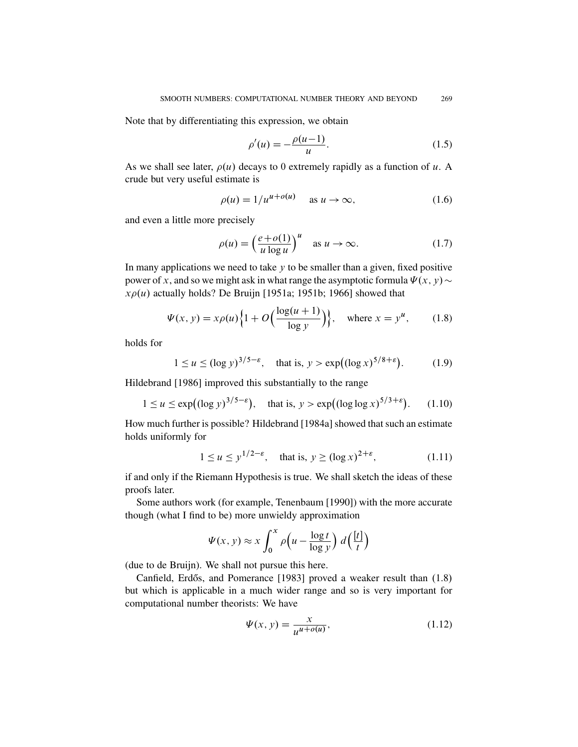Note that by differentiating this expression, we obtain

$$
\rho'(u) = -\frac{\rho(u-1)}{u}.\tag{1.5}
$$

As we shall see later,  $\rho(u)$  decays to 0 extremely rapidly as a function of u. A crude but very useful estimate is

$$
\rho(u) = 1/u^{u + o(u)} \quad \text{as } u \to \infty,
$$
\n(1.6)

and even a little more precisely

$$
\rho(u) = \left(\frac{e + o(1)}{u \log u}\right)^u \quad \text{as } u \to \infty. \tag{1.7}
$$

In many applications we need to take  $y$  to be smaller than a given, fixed positive power of x, and so we might ask in what range the asymptotic formula  $\Psi(x, y)$  ~  $x\rho(u)$  actually holds? De Bruijn [1951a; 1951b; 1966] showed that

$$
\Psi(x, y) = x\rho(u)\left\{1 + O\left(\frac{\log(u+1)}{\log y}\right)\right\}, \quad \text{where } x = y^u, \tag{1.8}
$$

holds for

$$
1 \le u \le (\log y)^{3/5 - \varepsilon}
$$
, that is,  $y > \exp((\log x)^{5/8 + \varepsilon})$ . (1.9)

Hildebrand [1986] improved this substantially to the range

$$
1 \le u \le \exp((\log y)^{3/5 - \varepsilon}), \quad \text{that is, } y > \exp((\log \log x)^{5/3 + \varepsilon}).\tag{1.10}
$$

How much further is possible? Hildebrand [1984a] showed that such an estimate holds uniformly for

$$
1 \le u \le y^{1/2 - \varepsilon}
$$
, that is,  $y \ge (\log x)^{2 + \varepsilon}$ , (1.11)

if and only if the Riemann Hypothesis is true. We shall sketch the ideas of these proofs later.

Some authors work (for example, Tenenbaum [1990]) with the more accurate though (what I find to be) more unwieldy approximation

$$
\Psi(x, y) \approx x \int_0^x \rho \left( u - \frac{\log t}{\log y} \right) d \left( \frac{[t]}{t} \right)
$$

(due to de Bruijn). We shall not pursue this here.

Canfield, Erdős, and Pomerance [1983] proved a weaker result than  $(1.8)$ but which is applicable in a much wider range and so is very important for computational number theorists: We have

$$
\Psi(x, y) = \frac{x}{u^{u+o(u)}},\tag{1.12}
$$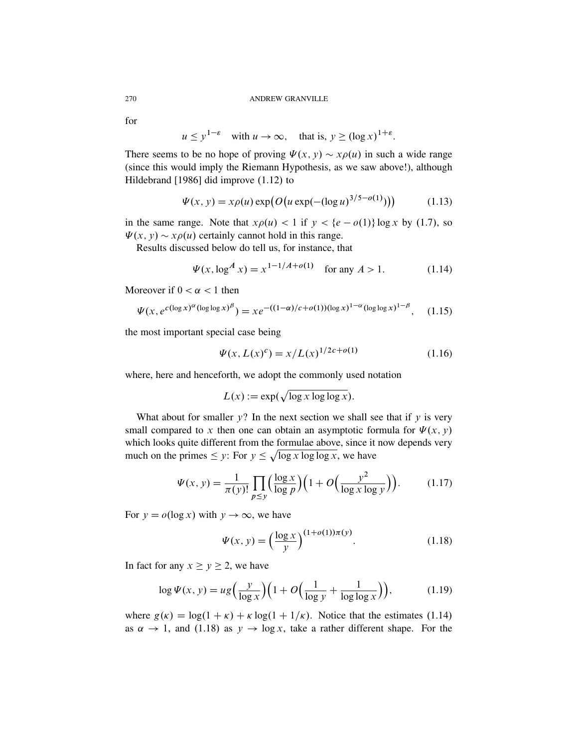for

$$
u \le y^{1-\varepsilon}
$$
 with  $u \to \infty$ , that is,  $y \ge (\log x)^{1+\varepsilon}$ .

There seems to be no hope of proving  $\Psi(x, y) \sim x \rho(u)$  in such a wide range (since this would imply the Riemann Hypothesis, as we saw above!), although Hildebrand  $[1986]$  did improve  $(1.12)$  to

$$
\Psi(x, y) = x\rho(u) \exp\bigl(O\bigl(u \exp(-(\log u)^{3/5 - o(1)})\bigr)\bigr) \tag{1.13}
$$

in the same range. Note that  $x \rho(u) < 1$  if  $y < {e - o(1)} \log x$  by (1.7), so  $\Psi(x, y) \sim x \rho(u)$  certainly cannot hold in this range.

Results discussed below do tell us, for instance, that

$$
\Psi(x, \log^A x) = x^{1 - 1/A + o(1)} \quad \text{for any } A > 1.
$$
 (1.14)

Moreover if  $0 < \alpha < 1$  then

$$
\Psi(x, e^{c(\log x)^{\alpha}(\log \log x)^{\beta}}) = x e^{-((1-\alpha)/c + o(1))(\log x)^{1-\alpha}(\log \log x)^{1-\beta}}, \quad (1.15)
$$

the most important special case being

$$
\Psi(x, L(x)^c) = x/L(x)^{1/2c + o(1)}
$$
\n(1.16)

where, here and henceforth, we adopt the commonly used notation

$$
L(x) := \exp(\sqrt{\log x \log \log x}).
$$

What about for smaller  $y$ ? In the next section we shall see that if  $y$  is very small compared to x then one can obtain an asymptotic formula for  $\Psi(x, y)$ which looks quite different from the formulae above, since it now depends very much on the primes  $\leq y$ : For  $y \leq \sqrt{\log x \log \log x}$ , we have

$$
\Psi(x, y) = \frac{1}{\pi(y)!} \prod_{p \le y} \left( \frac{\log x}{\log p} \right) \left( 1 + O\left( \frac{y^2}{\log x \log y} \right) \right). \tag{1.17}
$$

For  $y = o(\log x)$  with  $y \to \infty$ , we have

$$
\Psi(x, y) = \left(\frac{\log x}{y}\right)^{(1+o(1))\pi(y)}.
$$
\n(1.18)

In fact for any  $x \ge y \ge 2$ , we have

$$
\log \Psi(x, y) = ug \left(\frac{y}{\log x}\right) \left(1 + O\left(\frac{1}{\log y} + \frac{1}{\log \log x}\right)\right),\tag{1.19}
$$

where  $g(k) = \log(1 + k) + k \log(1 + 1/k)$ . Notice that the estimates (1.14) as  $\alpha \rightarrow 1$ , and (1.18) as  $y \rightarrow \log x$ , take a rather different shape. For the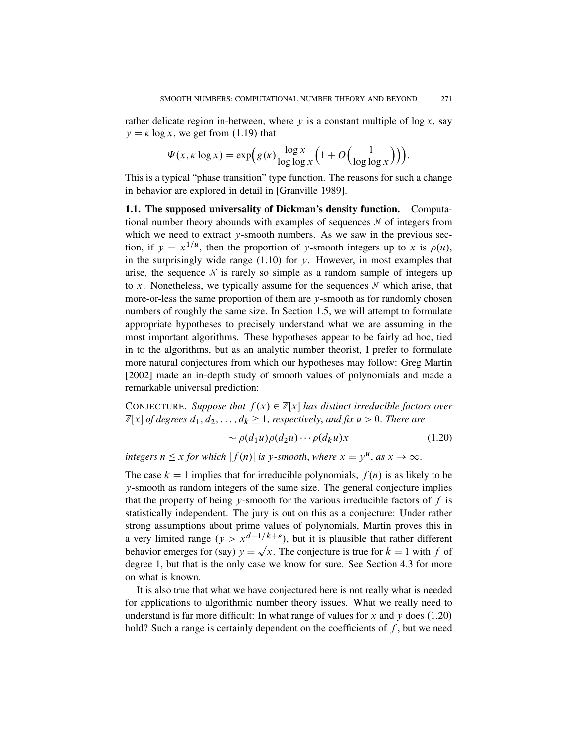rather delicate region in-between, where  $y$  is a constant multiple of  $\log x$ , say  $y = \kappa \log x$ , we get from (1.19) that

$$
\Psi(x, \kappa \log x) = \exp\Bigl(g(\kappa) \frac{\log x}{\log \log x} \Bigl(1 + O\Bigl(\frac{1}{\log \log x}\Bigr)\Bigr)\Bigr).
$$

This is a typical "phase transition" type function. The reasons for such a change in behavior are explored in detail in [Granville 1989].

1.1. The supposed universality of Dickman's density function. Computational number theory abounds with examples of sequences  $N$  of integers from which we need to extract  $v$ -smooth numbers. As we saw in the previous section, if  $y = x^{1/u}$ , then the proportion of y-smooth integers up to x is  $\rho(u)$ , in the surprisingly wide range  $(1.10)$  for y. However, in most examples that arise, the sequence  $\mathcal N$  is rarely so simple as a random sample of integers up to x. Nonetheless, we typically assume for the sequences  $\mathcal N$  which arise, that more-or-less the same proportion of them are  $y$ -smooth as for randomly chosen numbers of roughly the same size. In Section 1.5, we will attempt to formulate appropriate hypotheses to precisely understand what we are assuming in the most important algorithms. These hypotheses appear to be fairly ad hoc, tied in to the algorithms, but as an analytic number theorist, I prefer to formulate more natural conjectures from which our hypotheses may follow: Greg Martin [2002] made an in-depth study of smooth values of polynomials and made a remarkable universal prediction:

CONJECTURE. *Suppose that*  $f(x) \in \mathbb{Z}[x]$  *has distinct irreducible factors over*  $\mathbb{Z}[x]$  *of degrees*  $d_1, d_2, \ldots, d_k \geq 1$ , *respectively, and fix*  $u > 0$ . *There are* 

$$
\sim \rho(d_1 u)\rho(d_2 u)\cdots \rho(d_k u)x \tag{1.20}
$$

*integers*  $n \leq x$  *for which*  $|f(n)|$  *is* y-smooth, where  $x = y^u$ , *as*  $x \to \infty$ .

The case  $k = 1$  implies that for irreducible polynomials,  $f(n)$  is as likely to be y-smooth as random integers of the same size. The general conjecture implies that the property of being y-smooth for the various irreducible factors of  $f$  is statistically independent. The jury is out on this as a conjecture: Under rather strong assumptions about prime values of polynomials, Martin proves this in a very limited range  $(y > x^{d-1/k+\epsilon})$ , but it is plausible that rather different behavior emerges for (say)  $y = \sqrt{x}$ . The conjecture is true for  $k = 1$  with f of degree 1, but that is the only case we know for sure. See Section 4.3 for more on what is known.

It is also true that what we have conjectured here is not really what is needed for applications to algorithmic number theory issues. What we really need to understand is far more difficult: In what range of values for  $x$  and  $y$  does  $(1.20)$ hold? Such a range is certainly dependent on the coefficients of  $f$ , but we need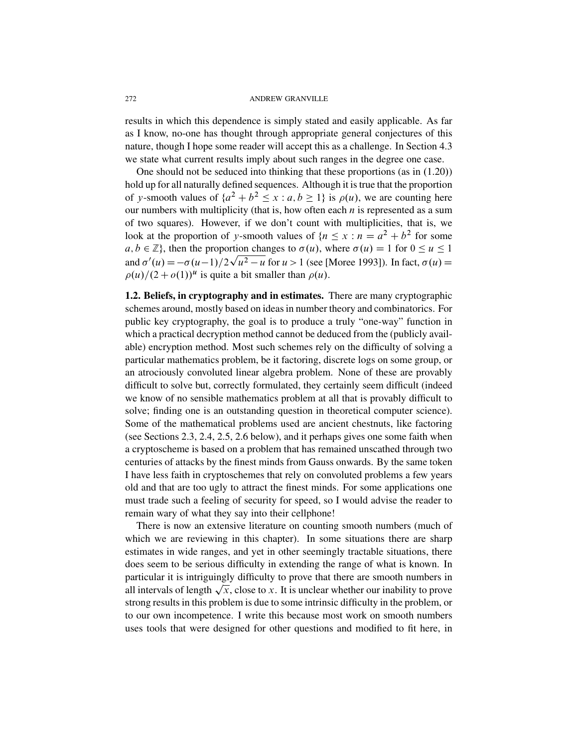results in which this dependence is simply stated and easily applicable. As far as I know, no-one has thought through appropriate general conjectures of this nature, though I hope some reader will accept this as a challenge. In Section 4.3 we state what current results imply about such ranges in the degree one case.

One should not be seduced into thinking that these proportions (as in  $(1.20)$ ) hold up for all naturally defined sequences. Although it is true that the proportion of y-smooth values of  $\{a^2 + b^2 \le x : a, b \ge 1\}$  is  $\rho(u)$ , we are counting here our numbers with multiplicity (that is, how often each  $n$  is represented as a sum of two squares). However, if we don't count with multiplicities, that is, we look at the proportion of y-smooth values of  $\{n \le x : n = a^2 + b^2 \}$  for some  $a, b \in \mathbb{Z}$ , then the proportion changes to  $\sigma(u)$ , where  $\sigma(u) = 1$  for  $0 \le u \le 1$ and  $\sigma'(u) = -\sigma(u-1)/2\sqrt{u^2 - u}$  for  $u > 1$  (see [Moree 1993]). In fact,  $\sigma(u) =$  $\rho(u)/(2+o(1))^u$  is quite a bit smaller than  $\rho(u)$ .

1.2. Beliefs, in cryptography and in estimates. There are many cryptographic schemes around, mostly based on ideas in number theory and combinatorics. For public key cryptography, the goal is to produce a truly "one-way" function in which a practical decryption method cannot be deduced from the (publicly available) encryption method. Most such schemes rely on the difficulty of solving a particular mathematics problem, be it factoring, discrete logs on some group, or an atrociously convoluted linear algebra problem. None of these are provably difficult to solve but, correctly formulated, they certainly seem difficult (indeed we know of no sensible mathematics problem at all that is provably difficult to solve; finding one is an outstanding question in theoretical computer science). Some of the mathematical problems used are ancient chestnuts, like factoring (see Sections 2.3, 2.4, 2.5, 2.6 below), and it perhaps gives one some faith when a cryptoscheme is based on a problem that has remained unscathed through two centuries of attacks by the finest minds from Gauss onwards. By the same token I have less faith in cryptoschemes that rely on convoluted problems a few years old and that are too ugly to attract the finest minds. For some applications one must trade such a feeling of security for speed, so I would advise the reader to remain wary of what they say into their cellphone!

There is now an extensive literature on counting smooth numbers (much of which we are reviewing in this chapter). In some situations there are sharp estimates in wide ranges, and yet in other seemingly tractable situations, there does seem to be serious difficulty in extending the range of what is known. In particular it is intriguingly difficulty to prove that there are smooth numbers in particular it is intriguingly difficulty to prove that there are smooth numbers in all intervals of length  $\sqrt{x}$ , close to x. It is unclear whether our inability to prove strong results in this problem is due to some intrinsic difficulty in the problem, or to our own incompetence. I write this because most work on smooth numbers uses tools that were designed for other questions and modified to fit here, in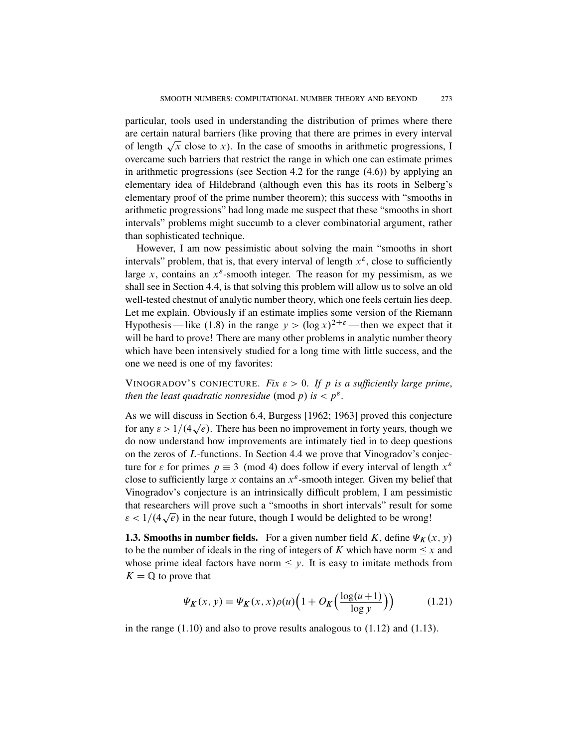particular, tools used in understanding the distribution of primes where there are certain natural barriers (like proving that there are primes in every interval are certain natural barriers (like proving that there are primes in every interval<br>of length  $\sqrt{x}$  close to x). In the case of smooths in arithmetic progressions, I overcame such barriers that restrict the range in which one can estimate primes in arithmetic progressions (see Section 4.2 for the range  $(4.6)$ ) by applying an elementary idea of Hildebrand (although even this has its roots in Selberg's elementary proof of the prime number theorem); this success with "smooths in arithmetic progressions" had long made me suspect that these "smooths in short intervals" problems might succumb to a clever combinatorial argument, rather than sophisticated technique.

However, I am now pessimistic about solving the main "smooths in short intervals" problem, that is, that every interval of length  $x^{\varepsilon}$ , close to sufficiently large x, contains an  $x^{\varepsilon}$ -smooth integer. The reason for my pessimism, as we shall see in Section 4.4, is that solving this problem will allow us to solve an old well-tested chestnut of analytic number theory, which one feels certain lies deep. Let me explain. Obviously if an estimate implies some version of the Riemann Hypothesis—like (1.8) in the range  $y > (\log x)^{2+\epsilon}$ —then we expect that it will be hard to prove! There are many other problems in analytic number theory which have been intensively studied for a long time with little success, and the one we need is one of my favorites:

VINOGRADOV'S CONJECTURE. *Fix*  $\varepsilon > 0$ . *If* p *is a sufficiently large prime*, *then the least quadratic nonresidue* (mod  $p$ ) *is*  $\langle p^{\varepsilon}, p^{\varepsilon} \rangle$ 

As we will discuss in Section 6.4, Burgess [1962; 1963] proved this conjecture for any  $\varepsilon > 1/(4\sqrt{e})$ . There has been no improvement in forty years, though we do now understand how improvements are intimately tied in to deep questions on the zeros of L-functions. In Section 4.4 we prove that Vinogradov's conjecture for  $\varepsilon$  for primes  $p \equiv 3 \pmod{4}$  does follow if every interval of length  $x^{\varepsilon}$ close to sufficiently large x contains an  $x^{\varepsilon}$ -smooth integer. Given my belief that Vinogradov's conjecture is an intrinsically difficult problem, I am pessimistic that researchers will prove such a "smooths in short intervals" result for some  $\epsilon < 1/(4\sqrt{e})$  in the near future, though I would be delighted to be wrong!

**1.3. Smooths in number fields.** For a given number field K, define  $\Psi_K(x, y)$ to be the number of ideals in the ring of integers of K which have norm  $\leq x$  and whose prime ideal factors have norm  $\leq y$ . It is easy to imitate methods from  $K = \mathbb{Q}$  to prove that

$$
\Psi_K(x, y) = \Psi_K(x, x)\rho(u)\left(1 + O_K\left(\frac{\log(u+1)}{\log y}\right)\right) \tag{1.21}
$$

in the range  $(1.10)$  and also to prove results analogous to  $(1.12)$  and  $(1.13)$ .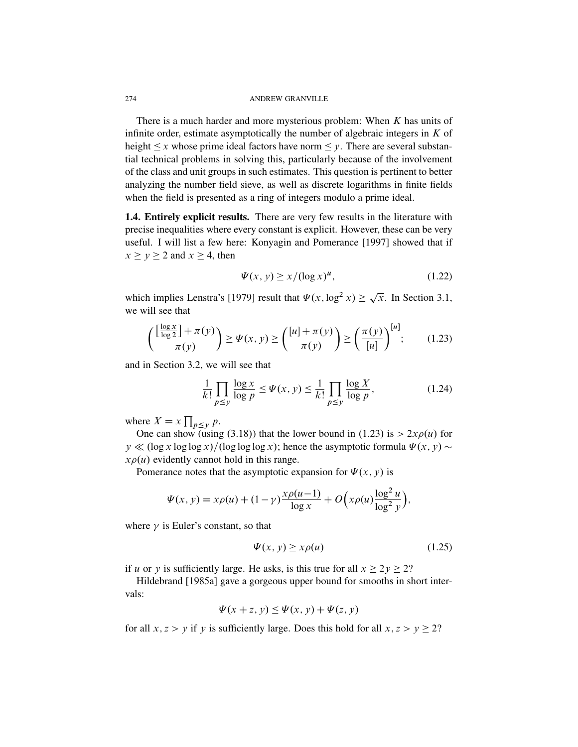There is a much harder and more mysterious problem: When  $K$  has units of infinite order, estimate asymptotically the number of algebraic integers in  $K$  of height  $\leq x$  whose prime ideal factors have norm  $\leq y$ . There are several substantial technical problems in solving this, particularly because of the involvement of the class and unit groups in such estimates. This question is pertinent to better analyzing the number field sieve, as well as discrete logarithms in finite fields when the field is presented as a ring of integers modulo a prime ideal.

1.4. Entirely explicit results. There are very few results in the literature with precise inequalities where every constant is explicit. However, these can be very useful. I will list a few here: Konyagin and Pomerance [1997] showed that if  $x > y > 2$  and  $x > 4$ , then

$$
\Psi(x, y) \ge x/(\log x)^u,\tag{1.22}
$$

which implies Lenstra's [1979] result that  $\Psi(x, \log^2 x) \ge$ p  $\overline{x}$ . In Section 3.1, we will see that

$$
\left(\frac{\left[\frac{\log x}{\log 2}\right] + \pi(y)}{\pi(y)}\right) \ge \Psi(x, y) \ge \left(\frac{[u] + \pi(y)}{\pi(y)}\right) \ge \left(\frac{\pi(y)}{[u]}\right)^{[u]};\tag{1.23}
$$

and in Section 3.2, we will see that

$$
\frac{1}{k!} \prod_{p \le y} \frac{\log x}{\log p} \le \Psi(x, y) \le \frac{1}{k!} \prod_{p \le y} \frac{\log X}{\log p},\tag{1.24}
$$

where  $X = x \prod_{p \le y} p$ .

One can show (using (3.18)) that the lower bound in (1.23) is  $> 2x\rho(u)$  for  $y \ll (\log x \log \log x)/(\log \log \log x)$ ; hence the asymptotic formula  $\Psi(x, y) \sim$  $x \rho(u)$  evidently cannot hold in this range.

Pomerance notes that the asymptotic expansion for  $\Psi(x, y)$  is

$$
\Psi(x, y) = x\rho(u) + (1 - \gamma) \frac{x\rho(u-1)}{\log x} + O\left(x\rho(u) \frac{\log^2 u}{\log^2 y}\right),
$$

where  $\gamma$  is Euler's constant, so that

$$
\Psi(x, y) \ge x\rho(u) \tag{1.25}
$$

if u or y is sufficiently large. He asks, is this true for all  $x \ge 2y \ge 2$ ?

Hildebrand [1985a] gave a gorgeous upper bound for smooths in short intervals:

$$
\Psi(x+z, y) \le \Psi(x, y) + \Psi(z, y)
$$

for all  $x, z > y$  if y is sufficiently large. Does this hold for all  $x, z > y \ge 2$ ?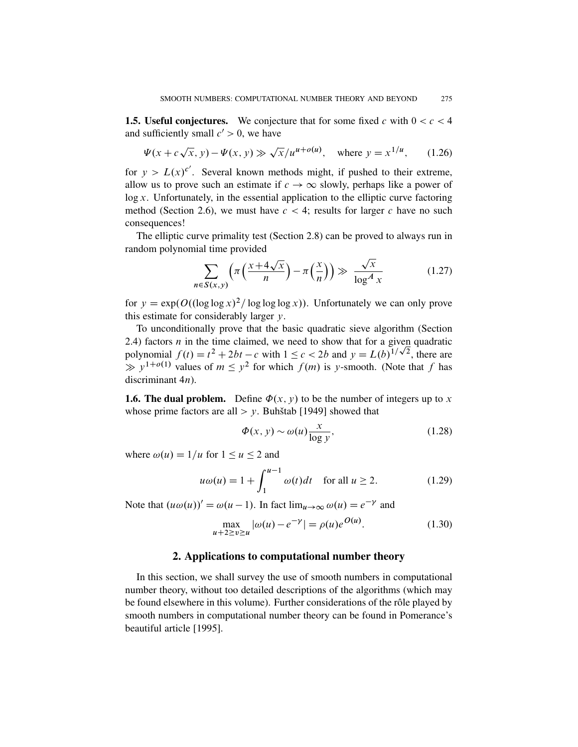**1.5. Useful conjectures.** We conjecture that for some fixed c with  $0 < c < 4$ and sufficiently small  $c' > 0$ , we have

$$
\Psi(x + c\sqrt{x}, y) - \Psi(x, y) \gg \sqrt{x}/u^{u + o(u)}, \text{ where } y = x^{1/u},
$$
 (1.26)

for  $y > L(x)^{c'}$ . Several known methods might, if pushed to their extreme, allow us to prove such an estimate if  $c \to \infty$  slowly, perhaps like a power of  $log x$ . Unfortunately, in the essential application to the elliptic curve factoring method (Section 2.6), we must have  $c < 4$ ; results for larger c have no such consequences!

The elliptic curve primality test (Section 2.8) can be proved to always run in random polynomial time provided

$$
\sum_{n \in S(x,y)} \left( \pi \left( \frac{x + 4\sqrt{x}}{n} \right) - \pi \left( \frac{x}{n} \right) \right) \gg \frac{\sqrt{x}}{\log^4 x} \tag{1.27}
$$

for  $y = \exp(O((\log \log x)^2/\log \log \log x))$ . Unfortunately we can only prove this estimate for considerably larger  $y$ .

To unconditionally prove that the basic quadratic sieve algorithm (Section 2.4) factors  $n$  in the time claimed, we need to show that for a given quadratic polynomial  $f(t) = t^2 + 2bt - c$  with  $1 \le c < 2b$  and  $y = L(b)^{1/\sqrt{2}}$ , there are  $\gg y^{1+o(1)}$  values of  $m \leq y^2$  for which  $f(m)$  is y-smooth. (Note that f has discriminant  $4n$ ).

**1.6. The dual problem.** Define  $\Phi(x, y)$  to be the number of integers up to x whose prime factors are all  $> y$ . Buhštab [1949] showed that

$$
\Phi(x, y) \sim \omega(u) \frac{x}{\log y},\tag{1.28}
$$

where  $\omega(u) = 1/u$  for  $1 \le u \le 2$  and

$$
u\omega(u) = 1 + \int_{1}^{u-1} \omega(t)dt \quad \text{for all } u \ge 2.
$$
 (1.29)

Note that  $(u\omega(u))' = \omega(u-1)$ . In fact  $\lim_{u\to\infty} \omega(u) = e^{-\gamma}$  and

$$
\max_{u+2 \ge v \ge u} |\omega(u) - e^{-\gamma}| = \rho(u)e^{O(u)}.
$$
 (1.30)

# 2. Applications to computational number theory

In this section, we shall survey the use of smooth numbers in computational number theory, without too detailed descriptions of the algorithms (which may be found elsewhere in this volume). Further considerations of the rôle played by smooth numbers in computational number theory can be found in Pomerance's beautiful article [1995].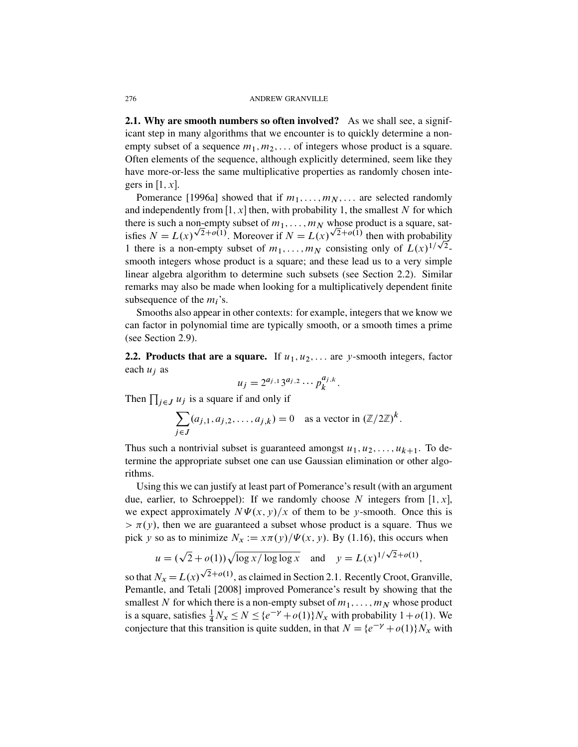2.1. Why are smooth numbers so often involved? As we shall see, a significant step in many algorithms that we encounter is to quickly determine a nonempty subset of a sequence  $m_1, m_2, \ldots$  of integers whose product is a square. Often elements of the sequence, although explicitly determined, seem like they have more-or-less the same multiplicative properties as randomly chosen integers in [1,  $x$ ].

Pomerance [1996a] showed that if  $m_1, \ldots, m_N, \ldots$  are selected randomly and independently from [1, x] then, with probability 1, the smallest N for which there is such a non-empty subset of  $m_1, \ldots, m_N$  whose product is a square, satisfies  $N = L(x)^{\sqrt{2} + o(1)}$ . Moreover if  $N = L(x)^{\sqrt{2} + o(1)}$  then with probability 1 there is a non-empty subset of  $m_1, \ldots, m_N$  consisting only of  $L(x)^{1/\sqrt{2}}$ . smooth integers whose product is a square; and these lead us to a very simple linear algebra algorithm to determine such subsets (see Section 2.2). Similar remarks may also be made when looking for a multiplicatively dependent finite subsequence of the  $m_i$ 's.

Smooths also appear in other contexts: for example, integers that we know we can factor in polynomial time are typically smooth, or a smooth times a prime (see Section 2.9).

**2.2. Products that are a square.** If  $u_1, u_2, \ldots$  are y-smooth integers, factor each  $u_i$  as

$$
u_j = 2^{a_{j,1}} 3^{a_{j,2}} \cdots p_k^{a_{j,k}}.
$$

Then  $\prod_{j\in J} u_j$  is a square if and only if

$$
\sum_{j \in J} (a_{j,1}, a_{j,2}, \dots, a_{j,k}) = 0 \text{ as a vector in } (\mathbb{Z}/2\mathbb{Z})^k.
$$

Thus such a nontrivial subset is guaranteed amongst  $u_1, u_2, \ldots, u_{k+1}$ . To determine the appropriate subset one can use Gaussian elimination or other algorithms.

Using this we can justify at least part of Pomerance's result (with an argument due, earlier, to Schroeppel): If we randomly choose N integers from  $[1, x]$ , we expect approximately  $N\Psi(x, y)/x$  of them to be y-smooth. Once this is  $> \pi(y)$ , then we are guaranteed a subset whose product is a square. Thus we pick y so as to minimize  $N_x := x\pi(y)/\Psi(x, y)$ . By (1.16), this occurs when

$$
u = (\sqrt{2} + o(1))\sqrt{\log x/\log \log x}
$$
 and  $y = L(x)^{1/\sqrt{2} + o(1)}$ ,

p

so that  $N_x = L(x)$  $\sqrt{2}+o(1)$ , as claimed in Section 2.1. Recently Croot, Granville, Pemantle, and Tetali [2008] improved Pomerance's result by showing that the smallest N for which there is a non-empty subset of  $m_1, \ldots, m_N$  whose product is a square, satisfies  $\frac{1}{4}N_x \le N \le \{e^{-\gamma} + o(1)\}N_x$  with probability  $1+o(1)$ . We conjecture that this transition is quite sudden, in that  $N = \{e^{-\gamma} + o(1)\}N_{\mathbf{x}}$  with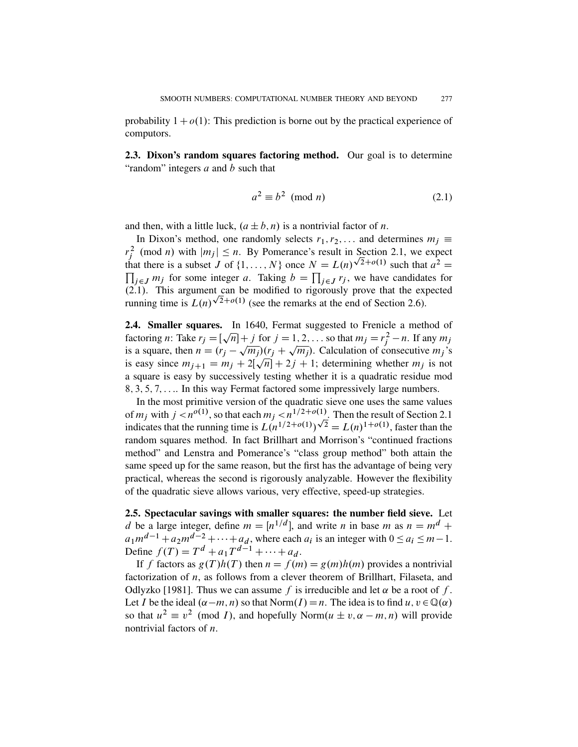probability  $1+o(1)$ : This prediction is borne out by the practical experience of computors.

2.3. Dixon's random squares factoring method. Our goal is to determine "random" integers  $a$  and  $b$  such that

$$
a^2 \equiv b^2 \pmod{n} \tag{2.1}
$$

and then, with a little luck,  $(a \pm b, n)$  is a nontrivial factor of n.

In Dixon's method, one randomly selects  $r_1, r_2, \ldots$  and determines  $m_j \equiv$  $r_i^2 \pmod{n}$  with  $|m_j| \leq n$ . By Pomerance's result in Section 2.1, we expect that there is a subset J of  $\{1, ..., N\}$  once  $N = L(n)^{\sqrt{2} + o(1)}$  such that  $a^2 =$  $\prod_{j\in J} m_j$  for some integer a. Taking  $b = \prod_{j\in J} r_j$ , we have candidates for .2.1/. This argument can be modified to rigorously prove that the expected p running time is  $L(n)^{\sqrt{2}+o(1)}$  (see the remarks at the end of Section 2.6).

2.4. Smaller squares. In 1640, Fermat suggested to Frenicle a method of factoring *n*: Take  $r_j = [\sqrt{n}] + j$  for  $j = 1, 2, ...$  so that  $m_j = r_j^2 - n$ . If any  $m_j$ is a square, then  $n = (r_j - \mathbb{I})$  $^{+}$  $\overline{m_j}(r_j +$  $\frac{1}{2}$  $\overline{m_j}(r_j + \sqrt{m_j})$ . Calculation of consecutive  $m_j$ 's is easy since  $m_{j+1} = m_j + 2[\sqrt{n}] + 2j + 1$ ; determining whether  $m_j$  is not a square is easy by successively testing whether it is a quadratic residue mod  $8, 3, 5, 7, \ldots$  In this way Fermat factored some impressively large numbers.

In the most primitive version of the quadratic sieve one uses the same values of  $m_j$  with  $j < n^{o(1)}$ , so that each  $m_j < n^{1/2+o(1)}$ . Then the result of Section 2.1 indicates that the running time is  $L(n^{1/2+o(1)})$  $\overline{u}$  $\sqrt{2} = L(n)^{1+o(1)}$ , faster than the random squares method. In fact Brillhart and Morrison's "continued fractions method" and Lenstra and Pomerance's "class group method" both attain the same speed up for the same reason, but the first has the advantage of being very practical, whereas the second is rigorously analyzable. However the flexibility of the quadratic sieve allows various, very effective, speed-up strategies.

2.5. Spectacular savings with smaller squares: the number field sieve. Let d be a large integer, define  $m = [n^{1/d}]$ , and write n in base m as  $n = m^d +$  $a_1 m^{d-1} + a_2 m^{d-2} + \cdots + a_d$ , where each  $a_i$  is an integer with  $0 \le a_i \le m-1$ . Define  $f(T) = T^d + a_1 T^{d-1} + \dots + a_d$ .

If f factors as  $g(T)h(T)$  then  $n = f(m) = g(m)h(m)$  provides a nontrivial factorization of *n*, as follows from a clever theorem of Brillhart, Filaseta, and Odlyzko [1981]. Thus we can assume f is irreducible and let  $\alpha$  be a root of f. Let I be the ideal  $(\alpha-m, n)$  so that Norm $(I)=n$ . The idea is to find  $u, v \in \mathbb{Q}(\alpha)$ so that  $u^2 \equiv v^2 \pmod{I}$ , and hopefully Norm $(u \pm v, \alpha - m, n)$  will provide nontrivial factors of n.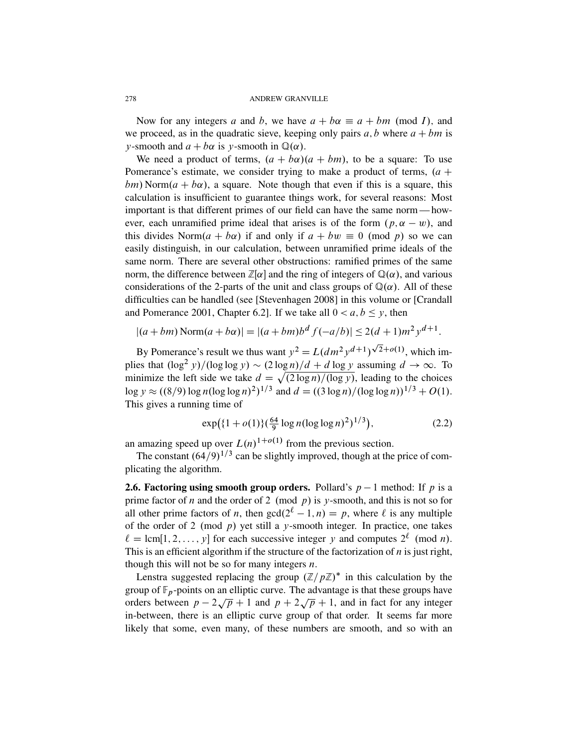Now for any integers a and b, we have  $a + b\alpha \equiv a + bm \pmod{I}$ , and we proceed, as in the quadratic sieve, keeping only pairs a, b where  $a + bm$  is y-smooth and  $a + b\alpha$  is y-smooth in  $\mathbb{Q}(\alpha)$ .

We need a product of terms,  $(a + b\alpha)(a + bm)$ , to be a square: To use Pomerance's estimate, we consider trying to make a product of terms,  $(a +$  $bm)$  Norm $(a + b\alpha)$ , a square. Note though that even if this is a square, this calculation is insufficient to guarantee things work, for several reasons: Most important is that different primes of our field can have the same norm— however, each unramified prime ideal that arises is of the form  $(p, \alpha - w)$ , and this divides Norm $(a + b\alpha)$  if and only if  $a + bw \equiv 0 \pmod{p}$  so we can easily distinguish, in our calculation, between unramified prime ideals of the same norm. There are several other obstructions: ramified primes of the same norm, the difference between  $\mathbb{Z}[\alpha]$  and the ring of integers of  $\mathbb{Q}(\alpha)$ , and various considerations of the 2-parts of the unit and class groups of  $\mathbb{Q}(\alpha)$ . All of these difficulties can be handled (see [Stevenhagen 2008] in this volume or [Crandall and Pomerance 2001, Chapter 6.2]. If we take all  $0 < a, b \le y$ , then

$$
|(a+bm)\text{ Norm}(a+b\alpha)| = |(a+bm)b^d f(-a/b)| \le 2(d+1)m^2y^{d+1}.
$$

By Pomerance's result we thus want  $y^2 = L(dm^2y^{d+1})$  $\sqrt{2}+o(1)$ , which implies that  $(\log^2 y)/(\log \log y) \sim (2 \log n)/d + d \log y$  assuming  $d \to \infty$ . To minimize the left side we take  $d = \sqrt{\frac{2 \log n}{\log y}}$ , leading to the choices  $\log y \approx ((8/9) \log n (\log \log n)^2)^{1/3}$  and  $d = ((3 \log n)/(\log \log n))^{1/3} + O(1)$ . This gives a running time of

$$
\exp\bigl(\{1+o(1)\}\bigl(\frac{64}{9}\log n(\log\log n)^2\bigr)^{1/3}\bigr),\tag{2.2}
$$

an amazing speed up over  $L(n)^{1+o(1)}$  from the previous section.

The constant  $(64/9)^{1/3}$  can be slightly improved, though at the price of complicating the algorithm.

**2.6. Factoring using smooth group orders.** Pollard's  $p-1$  method: If p is a prime factor of n and the order of 2 (mod  $p$ ) is y-smooth, and this is not so for all other prime factors of *n*, then  $gcd(2^{\ell} - 1, n) = p$ , where  $\ell$  is any multiple of the order of 2 (mod  $p$ ) yet still a y-smooth integer. In practice, one takes  $\ell = \text{lcm}[1, 2, \dots, y]$  for each successive integer y and computes  $2^{\ell}$  (mod *n*). This is an efficient algorithm if the structure of the factorization of  $n$  is just right, though this will not be so for many integers  $n$ .

Lenstra suggested replacing the group  $(\mathbb{Z}/p\mathbb{Z})^*$  in this calculation by the group of  $\mathbb{F}_p$ -points on an elliptic curve. The advantage is that these groups have group of  $\mathbb{F}_p$ -points on an emplic curve. The advantage is that these groups have<br>orders between  $p - 2\sqrt{p} + 1$  and  $p + 2\sqrt{p} + 1$ , and in fact for any integer in-between, there is an elliptic curve group of that order. It seems far more likely that some, even many, of these numbers are smooth, and so with an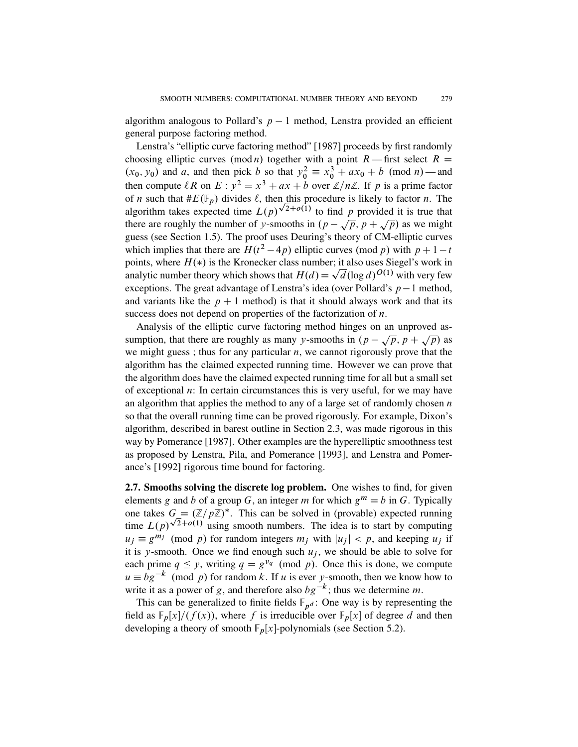algorithm analogous to Pollard's  $p-1$  method, Lenstra provided an efficient general purpose factoring method.

Lenstra's "elliptic curve factoring method" [1987] proceeds by first randomly choosing elliptic curves (mod *n*) together with a point  $R$  — first select  $R =$  $(x_0, y_0)$  and a, and then pick b so that  $y_0^2 \equiv x_0^3 + ax_0 + b \pmod{n}$ —and then compute  $\ell R$  on  $E : y^2 = x^3 + ax + b$  over  $\mathbb{Z}/n\mathbb{Z}$ . If p is a prime factor of *n* such that  $#E(\mathbb{F}_p)$  divides  $\ell$ , then this procedure is likely to factor *n*. The algorithm takes expected time  $L(p)^{\sqrt{2}+o(1)}$  to find p provided it is true that algorithm takes expected time  $L(p)$ . Therefore, the number of y-smooths in  $(p - \sqrt{p}, p + \sqrt{p})$  as we might guess (see Section 1.5). The proof uses Deuring's theory of CM-elliptic curves which implies that there are  $H(t^2 - 4p)$  elliptic curves (mod p) with  $p + 1 - t$ points, where  $H(*)$  is the Kronecker class number; it also uses Siegel's work in analytic number theory which shows that  $H(d) = \sqrt{d} (\log d)^{O(1)}$  with very few exceptions. The great advantage of Lenstra's idea (over Pollard's  $p-1$  method, and variants like the  $p + 1$  method) is that it should always work and that its success does not depend on properties of the factorization of *n*.

Analysis of the elliptic curve factoring method hinges on an unproved as-Analysis of the empire curve factoring method minges on an unproved assumption, that there are roughly as many y-smooths in  $(p - \sqrt{p}, p + \sqrt{p})$  as we might guess; thus for any particular  $n$ , we cannot rigorously prove that the algorithm has the claimed expected running time. However we can prove that the algorithm does have the claimed expected running time for all but a small set of exceptional  $n$ : In certain circumstances this is very useful, for we may have an algorithm that applies the method to any of a large set of randomly chosen  $n$ so that the overall running time can be proved rigorously. For example, Dixon's algorithm, described in barest outline in Section 2.3, was made rigorous in this way by Pomerance [1987]. Other examples are the hyperelliptic smoothness test as proposed by Lenstra, Pila, and Pomerance [1993], and Lenstra and Pomerance's [1992] rigorous time bound for factoring.

2.7. Smooths solving the discrete log problem. One wishes to find, for given elements g and b of a group G, an integer m for which  $g^m = b$  in G. Typically one takes  $G = (\mathbb{Z}/p\mathbb{Z})^*$ . This can be solved in (provable) expected running time  $L(p)^{\sqrt{2}+o(1)}$  using smooth numbers. The idea is to start by computing  $u_j \equiv g^{m_j} \pmod{p}$  for random integers  $m_j$  with  $|u_j| < p$ , and keeping  $u_j$  if it is y-smooth. Once we find enough such  $u_i$ , we should be able to solve for each prime  $q \leq y$ , writing  $q = g^{v_q} \pmod{p}$ . Once this is done, we compute  $u \equiv bg^{-k} \pmod{p}$  for random k. If u is ever y-smooth, then we know how to write it as a power of g, and therefore also  $bg^{-k}$ ; thus we determine m.

This can be generalized to finite fields  $\mathbb{F}_{p^d}$ : One way is by representing the field as  $\mathbb{F}_p[x]/(f(x))$ , where f is irreducible over  $\mathbb{F}_p[x]$  of degree d and then developing a theory of smooth  $\mathbb{F}_p[x]$ -polynomials (see Section 5.2).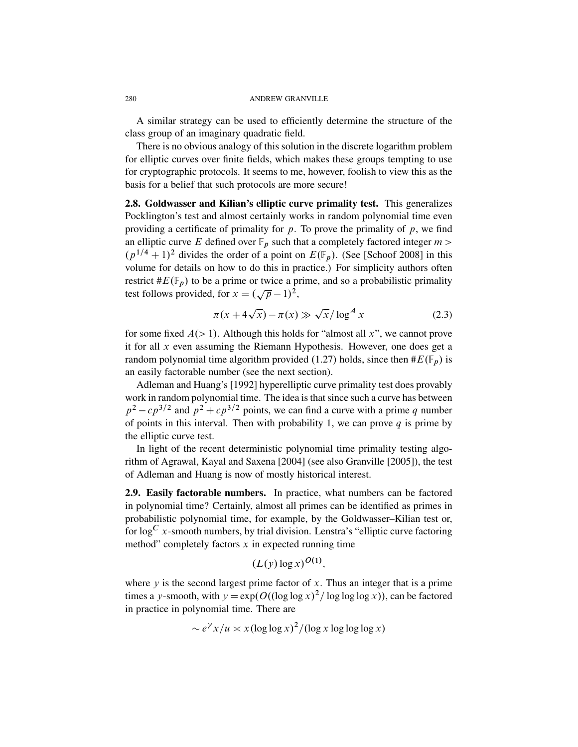A similar strategy can be used to efficiently determine the structure of the class group of an imaginary quadratic field.

There is no obvious analogy of this solution in the discrete logarithm problem for elliptic curves over finite fields, which makes these groups tempting to use for cryptographic protocols. It seems to me, however, foolish to view this as the basis for a belief that such protocols are more secure!

2.8. Goldwasser and Kilian's elliptic curve primality test. This generalizes Pocklington's test and almost certainly works in random polynomial time even providing a certificate of primality for  $p$ . To prove the primality of  $p$ , we find an elliptic curve E defined over  $\mathbb{F}_p$  such that a completely factored integer  $m >$  $(p^{1/4}+1)^2$  divides the order of a point on  $E(\mathbb{F}_p)$ . (See [Schoof 2008] in this volume for details on how to do this in practice.) For simplicity authors often restrict  $#E(\mathbb{F}_p)$  to be a prime or twice a prime, and so a probabilistic primality restrict  $#E(\mathbb{F}_p)$  to be a prime or twice a p.<br>test follows provided, for  $x = (\sqrt{p} - 1)^2$ ,

$$
\pi(x + 4\sqrt{x}) - \pi(x) \gg \sqrt{x}/\log^4 x \tag{2.3}
$$

for some fixed  $A(> 1)$ . Although this holds for "almost all x", we cannot prove it for all  $x$  even assuming the Riemann Hypothesis. However, one does get a random polynomial time algorithm provided (1.27) holds, since then  $\#E(\mathbb{F}_p)$  is an easily factorable number (see the next section).

Adleman and Huang's [1992] hyperelliptic curve primality test does provably work in random polynomial time. The idea is that since such a curve has between  $p^2 - cp^{3/2}$  and  $p^2 + cp^{3/2}$  points, we can find a curve with a prime q number of points in this interval. Then with probability 1, we can prove  $q$  is prime by the elliptic curve test.

In light of the recent deterministic polynomial time primality testing algorithm of Agrawal, Kayal and Saxena [2004] (see also Granville [2005]), the test of Adleman and Huang is now of mostly historical interest.

2.9. Easily factorable numbers. In practice, what numbers can be factored in polynomial time? Certainly, almost all primes can be identified as primes in probabilistic polynomial time, for example, by the Goldwasser–Kilian test or, for log<sup>C</sup> x-smooth numbers, by trial division. Lenstra's "elliptic curve factoring method" completely factors  $x$  in expected running time

$$
(L(y) \log x)^{O(1)},
$$

where  $y$  is the second largest prime factor of  $x$ . Thus an integer that is a prime times a y-smooth, with  $y = \exp(O((\log \log x)^2 / \log \log \log x))$ , can be factored in practice in polynomial time. There are

$$
\sim e^{\gamma} x/u \approx x (\log \log x)^2 / (\log x \log \log \log x)
$$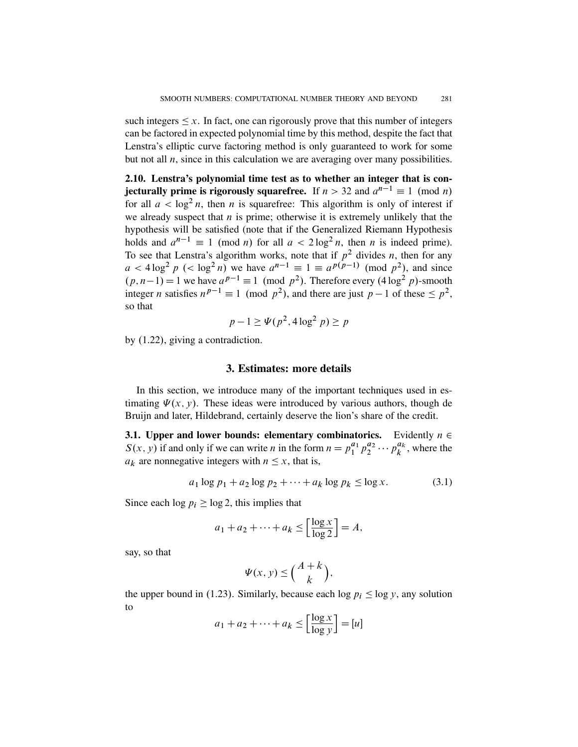such integers  $\leq x$ . In fact, one can rigorously prove that this number of integers can be factored in expected polynomial time by this method, despite the fact that Lenstra's elliptic curve factoring method is only guaranteed to work for some but not all  $n$ , since in this calculation we are averaging over many possibilities.

2.10. Lenstra's polynomial time test as to whether an integer that is conjecturally prime is rigorously squarefree. If  $n > 32$  and  $a^{n-1} \equiv 1 \pmod{n}$ for all  $a < log^2 n$ , then *n* is squarefree: This algorithm is only of interest if we already suspect that  $n$  is prime; otherwise it is extremely unlikely that the hypothesis will be satisfied (note that if the Generalized Riemann Hypothesis holds and  $a^{n-1} \equiv 1 \pmod{n}$  for all  $a < 2 \log^2 n$ , then *n* is indeed prime). To see that Lenstra's algorithm works, note that if  $p^2$  divides *n*, then for any  $a < 4 \log^2 p \ (< \log^2 n)$  we have  $a^{n-1} \equiv 1 \equiv a^{p(p-1)} \pmod{p^2}$ , and since  $(p, n-1) = 1$  we have  $a^{p-1} \equiv 1 \pmod{p^2}$ . Therefore every  $(4 \log^2 p)$ -smooth integer *n* satisfies  $n^{p-1} \equiv 1 \pmod{p^2}$ , and there are just  $p-1$  of these  $\leq p^2$ , so that

$$
p - 1 \ge \Psi(p^2, 4\log^2 p) \ge p
$$

by  $(1.22)$ , giving a contradiction.

# 3. Estimates: more details

In this section, we introduce many of the important techniques used in estimating  $\Psi(x, y)$ . These ideas were introduced by various authors, though de Bruijn and later, Hildebrand, certainly deserve the lion's share of the credit.

**3.1.** Upper and lower bounds: elementary combinatorics. Evidently  $n \in$  $S(x, y)$  if and only if we can write *n* in the form  $n = p_1^{a_1}$  $\binom{a_1}{1} p_2^{a_2}$  $a_2^a \cdots p_k^{a_k}$  $\frac{a_k}{k}$ , where the  $a_k$  are nonnegative integers with  $n \leq x$ , that is,

$$
a_1 \log p_1 + a_2 \log p_2 + \dots + a_k \log p_k \le \log x. \tag{3.1}
$$

Since each log  $p_i \ge \log 2$ , this implies that

$$
a_1 + a_2 + \dots + a_k \le \left[\frac{\log x}{\log 2}\right] = A,
$$

say, so that

$$
\Psi(x, y) \leq \binom{A + k}{k},
$$

the upper bound in (1.23). Similarly, because each log  $p_i \le \log y$ , any solution to

$$
a_1 + a_2 + \dots + a_k \le \left[\frac{\log x}{\log y}\right] = [u]
$$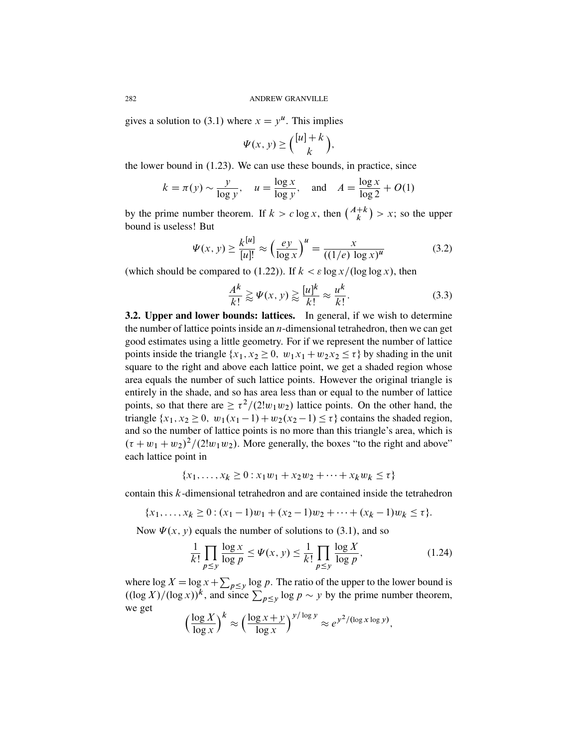gives a solution to (3.1) where  $x = y^u$ . This implies

$$
\Psi(x, y) \ge \binom{[u]+k}{k},
$$

the lower bound in  $(1.23)$ . We can use these bounds, in practice, since

$$
k = \pi(y) \sim \frac{y}{\log y}
$$
,  $u = \frac{\log x}{\log y}$ , and  $A = \frac{\log x}{\log 2} + O(1)$ 

by the prime number theorem. If  $k > c \log x$ , then  $\binom{A+k}{k} > x$ ; so the upper bound is useless! But

$$
\Psi(x, y) \ge \frac{k^{[u]}}{[u]!} \approx \left(\frac{ey}{\log x}\right)^u = \frac{x}{((1/e)\log x)^u}
$$
(3.2)

(which should be compared to (1.22)). If  $k < \varepsilon \log x/(\log \log x)$ , then

$$
\frac{A^k}{k!} \gtrapprox \Psi(x, y) \gtrapprox \frac{[u]^k}{k!} \approx \frac{u^k}{k!}.
$$
\n(3.3)

**3.2. Upper and lower bounds: lattices.** In general, if we wish to determine the number of lattice points inside an  $n$ -dimensional tetrahedron, then we can get good estimates using a little geometry. For if we represent the number of lattice points inside the triangle  $\{x_1, x_2 \geq 0, w_1x_1 + w_2x_2 \leq \tau\}$  by shading in the unit square to the right and above each lattice point, we get a shaded region whose area equals the number of such lattice points. However the original triangle is entirely in the shade, and so has area less than or equal to the number of lattice points, so that there are  $\geq \tau^2/(2!w_1w_2)$  lattice points. On the other hand, the triangle  $\{x_1, x_2 \geq 0, w_1(x_1 - 1) + w_2(x_2 - 1) \leq \tau\}$  contains the shaded region, and so the number of lattice points is no more than this triangle's area, which is  $(\tau + w_1 + w_2)^2 / (2!w_1w_2)$ . More generally, the boxes "to the right and above" each lattice point in

$$
\{x_1, \ldots, x_k \ge 0 : x_1 w_1 + x_2 w_2 + \cdots + x_k w_k \le \tau\}
$$

contain this k-dimensional tetrahedron and are contained inside the tetrahedron

$$
\{x_1, \ldots, x_k \ge 0 : (x_1 - 1)w_1 + (x_2 - 1)w_2 + \cdots + (x_k - 1)w_k \le \tau\}.
$$

Now  $\Psi(x, y)$  equals the number of solutions to (3.1), and so

$$
\frac{1}{k!} \prod_{p \le y} \frac{\log x}{\log p} \le \Psi(x, y) \le \frac{1}{k!} \prod_{p \le y} \frac{\log X}{\log p},\tag{1.24}
$$

where  $\log X = \log x + \sum_{p \le y} \log p$ . The ratio of the upper to the lower bound is  $((\log X)/(\log x))^k$ , and since  $\sum_{p\leq y}\log p \sim y$  by the prime number theorem, we get

$$
\left(\frac{\log X}{\log x}\right)^k \approx \left(\frac{\log x + y}{\log x}\right)^{y/\log y} \approx e^{y^2/(\log x \log y)},
$$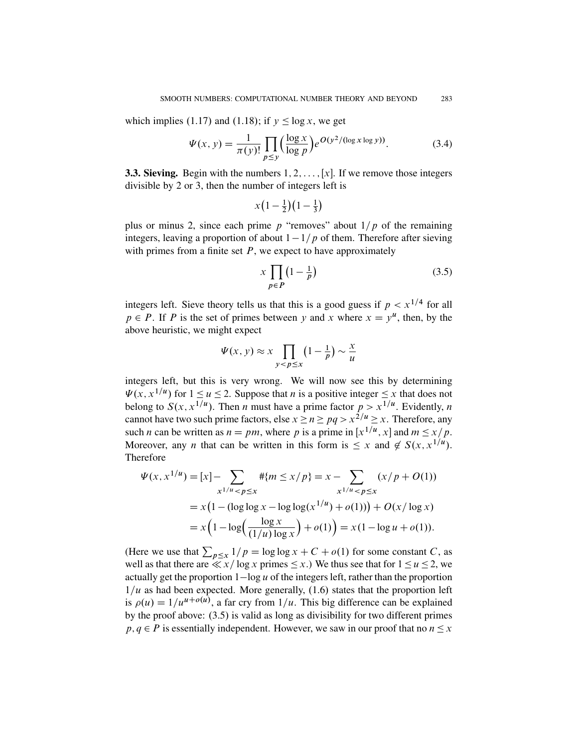which implies (1.17) and (1.18); if  $v < log x$ , we get

$$
\Psi(x, y) = \frac{1}{\pi(y)!} \prod_{p \le y} \left( \frac{\log x}{\log p} \right) e^{O(y^2/(\log x \log y))}.
$$
 (3.4)

**3.3. Sieving.** Begin with the numbers  $1, 2, \ldots, [x]$ . If we remove those integers divisible by 2 or 3, then the number of integers left is

$$
x\left(1-\frac{1}{2}\right)\left(1-\frac{1}{3}\right)
$$

plus or minus 2, since each prime p "removes" about  $1/p$  of the remaining integers, leaving a proportion of about  $1-1/p$  of them. Therefore after sieving with primes from a finite set  $P$ , we expect to have approximately

$$
x \prod_{p \in P} \left(1 - \frac{1}{p}\right) \tag{3.5}
$$

integers left. Sieve theory tells us that this is a good guess if  $p < x^{1/4}$  for all  $p \in P$ . If P is the set of primes between y and x where  $x = y^u$ , then, by the above heuristic, we might expect

$$
\Psi(x, y) \approx x \prod_{y < p \le x} \left(1 - \frac{1}{p}\right) \sim \frac{x}{u}
$$

integers left, but this is very wrong. We will now see this by determining  $\Psi(x, x^{1/u})$  for  $1 \le u \le 2$ . Suppose that *n* is a positive integer  $\le x$  that does not belong to  $S(x, x^{1/u})$ . Then *n* must have a prime factor  $p > x^{1/u}$ . Evidently, *n* cannot have two such prime factors, else  $x \ge n \ge pq > x^{2/u} \ge x$ . Therefore, any such *n* can be written as  $n = pm$ , where *p* is a prime in  $[x^{1/u}, x]$  and  $m \le x/p$ . Moreover, any *n* that can be written in this form is  $\leq x$  and  $\notin S(x, x^{1/u})$ . Therefore

$$
\Psi(x, x^{1/u}) = [x] - \sum_{x^{1/u} < p \le x} \# \{ m \le x/p \} = x - \sum_{x^{1/u} < p \le x} (x/p + O(1))
$$
\n
$$
= x \left( 1 - (\log \log x - \log \log(x^{1/u}) + o(1)) \right) + O(x/\log x)
$$
\n
$$
= x \left( 1 - \log \left( \frac{\log x}{(1/u) \log x} \right) + o(1) \right) = x \left( 1 - \log u + o(1) \right).
$$

(Here we use that  $\sum_{p \leq x} 1/p = \log \log x + C + o(1)$  for some constant C, as well as that there are  $\ll x/\log x$  primes  $\leq x$ .) We thus see that for  $1 \leq u \leq 2$ , we actually get the proportion  $1-\log u$  of the integers left, rather than the proportion  $1/u$  as had been expected. More generally,  $(1.6)$  states that the proportion left is  $\rho(u) = 1/u^{u + o(u)}$ , a far cry from  $1/u$ . This big difference can be explained by the proof above:  $(3.5)$  is valid as long as divisibility for two different primes  $p, q \in P$  is essentially independent. However, we saw in our proof that no  $n \leq x$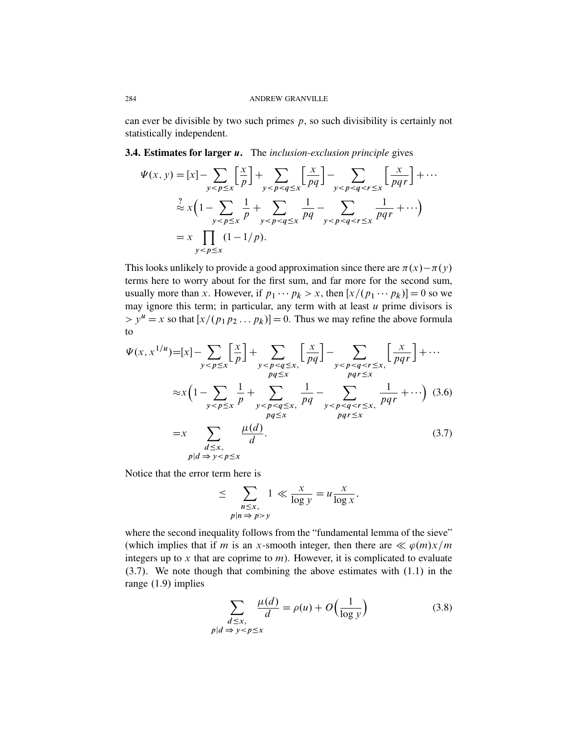can ever be divisible by two such primes  $p$ , so such divisibility is certainly not statistically independent.

3.4. Estimates for larger u. The *inclusion-exclusion principle* gives

$$
\Psi(x, y) = [x] - \sum_{y < p \le x} \left[ \frac{x}{p} \right] + \sum_{y < p < q \le x} \left[ \frac{x}{pq} \right] - \sum_{y < p < q < r \le x} \left[ \frac{x}{pqr} \right] + \cdots
$$
\n
$$
\stackrel{?}{\approx} x \left( 1 - \sum_{y < p \le x} \frac{1}{p} + \sum_{y < p < q \le x} \frac{1}{pq} - \sum_{y < p < q < r \le x} \frac{1}{pqr} + \cdots \right)
$$
\n
$$
= x \prod_{y < p \le x} (1 - 1/p).
$$

This looks unlikely to provide a good approximation since there are  $\pi(x) - \pi(y)$ terms here to worry about for the first sum, and far more for the second sum, usually more than x. However, if  $p_1 \cdots p_k > x$ , then  $[x/(p_1 \cdots p_k)] = 0$  so we may ignore this term; in particular, any term with at least  $u$  prime divisors is  $> y^{\mu} = x$  so that  $[x/(p_1p_2 \dots p_k)] = 0$ . Thus we may refine the above formula to

$$
\Psi(x, x^{1/u}) = [x] - \sum_{y < p \le x} \left[ \frac{x}{p} \right] + \sum_{\substack{y < p < q \le x, \\ pq \le x}} \left[ \frac{x}{pq} \right] - \sum_{\substack{y < p < q < r \le x, \\ pq \le x}} \left[ \frac{x}{pq} \right] + \cdots
$$
\n
$$
\approx x \left( 1 - \sum_{\substack{y < p \le x \\ pq \le x}} \frac{1}{p} + \sum_{\substack{y < p < q \le x, \\ pq \le x}} \frac{1}{pq} - \sum_{\substack{y < p < q < r \le x, \\ pq \le x}} \frac{1}{pq} + \cdots \right) \tag{3.6}
$$
\n
$$
= x \sum_{\substack{d \le x, \\ pq \le x \\ p \nmid d \Rightarrow y < p \le x}} \frac{\mu(d)}{d}.
$$
\n
$$
(3.7)
$$

Notice that the error term here is

$$
\leq \sum_{\substack{n \leq x, \\ p|n \Rightarrow p > y}} 1 \ll \frac{x}{\log y} = u \frac{x}{\log x},
$$

where the second inequality follows from the "fundamental lemma of the sieve" (which implies that if m is an x-smooth integer, then there are  $\ll \varphi(m)x/m$ integers up to  $x$  that are coprime to  $m$ ). However, it is complicated to evaluate  $(3.7)$ . We note though that combining the above estimates with  $(1.1)$  in the range  $(1.9)$  implies

$$
\sum_{\substack{d \le x, \\ p|d \Rightarrow y < p \le x}} \frac{\mu(d)}{d} = \rho(u) + O\left(\frac{1}{\log y}\right) \tag{3.8}
$$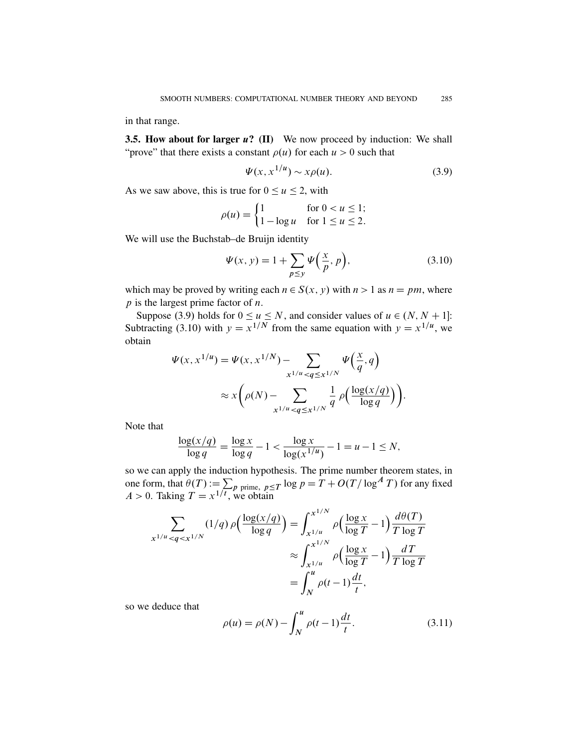in that range.

**3.5. How about for larger**  $u$ **?** (II) We now proceed by induction: We shall "prove" that there exists a constant  $\rho(u)$  for each  $u > 0$  such that

$$
\Psi(x, x^{1/u}) \sim x\rho(u). \tag{3.9}
$$

As we saw above, this is true for  $0 \le u \le 2$ , with

$$
\rho(u) = \begin{cases} 1 & \text{for } 0 < u \le 1; \\ 1 - \log u & \text{for } 1 \le u \le 2. \end{cases}
$$

We will use the Buchstab–de Bruijn identity

$$
\Psi(x, y) = 1 + \sum_{p \le y} \Psi\left(\frac{x}{p}, p\right),\tag{3.10}
$$

which may be proved by writing each  $n \in S(x, y)$  with  $n > 1$  as  $n = pm$ , where  $p$  is the largest prime factor of  $n$ .

Suppose (3.9) holds for  $0 \le u \le N$ , and consider values of  $u \in (N, N + 1]$ : Subtracting (3.10) with  $y = x^{1/N}$  from the same equation with  $y = x^{1/u}$ , we obtain

$$
\Psi(x, x^{1/u}) = \Psi(x, x^{1/N}) - \sum_{x^{1/u} < q \le x^{1/N}} \Psi\left(\frac{x}{q}, q\right)
$$
\n
$$
\approx x \left(\rho(N) - \sum_{x^{1/u} < q \le x^{1/N}} \frac{1}{q} \rho\left(\frac{\log(x/q)}{\log q}\right)\right).
$$

Note that

$$
\frac{\log(x/q)}{\log q} = \frac{\log x}{\log q} - 1 < \frac{\log x}{\log(x^{1/u})} - 1 = u - 1 \le N,
$$

so we can apply the induction hypothesis. The prime number theorem states, in one form, that  $\theta(T) := \sum_{p \text{ prime, } p \leq T} \log p = T + O(T / \log^A T)$  for any fixed  $A > 0$ . Taking  $T = x^{1/\tau}$ , we obtain

$$
\sum_{x^{1/u} < q < x^{1/N}} (1/q) \rho\left(\frac{\log(x/q)}{\log q}\right) = \int_{x^{1/u}}^{x^{1/N}} \rho\left(\frac{\log x}{\log T} - 1\right) \frac{d\theta(T)}{T \log T}
$$

$$
\approx \int_{x^{1/u}}^{x^{1/N}} \rho\left(\frac{\log x}{\log T} - 1\right) \frac{dT}{T \log T}
$$

$$
= \int_{N}^{u} \rho(t-1) \frac{dt}{t},
$$

so we deduce that

$$
\rho(u) = \rho(N) - \int_{N}^{u} \rho(t-1) \frac{dt}{t}.
$$
\n(3.11)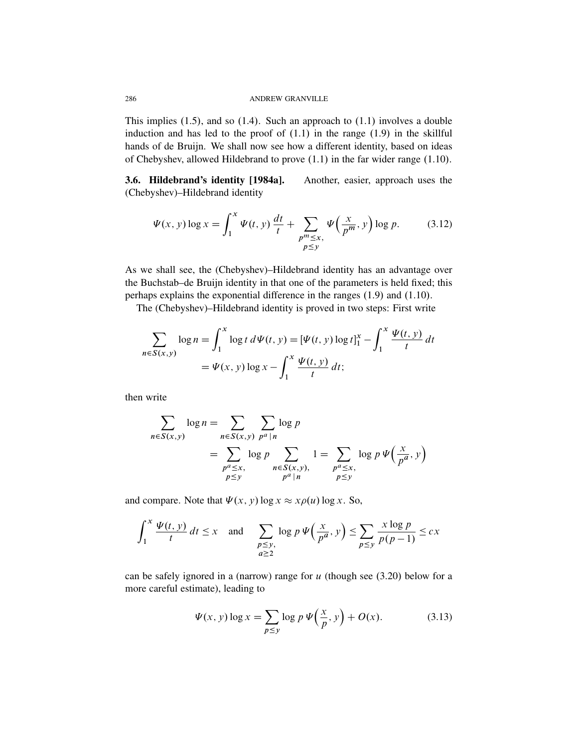This implies  $(1.5)$ , and so  $(1.4)$ . Such an approach to  $(1.1)$  involves a double induction and has led to the proof of  $(1.1)$  in the range  $(1.9)$  in the skillful hands of de Bruijn. We shall now see how a different identity, based on ideas of Chebyshev, allowed Hildebrand to prove  $(1.1)$  in the far wider range  $(1.10)$ .

3.6. Hildebrand's identity [1984a]. Another, easier, approach uses the (Chebyshev)–Hildebrand identity

$$
\Psi(x, y) \log x = \int_1^x \Psi(t, y) \frac{dt}{t} + \sum_{\substack{p^m \le x, \\ p \le y}} \Psi\left(\frac{x}{p^m}, y\right) \log p. \tag{3.12}
$$

As we shall see, the (Chebyshev)–Hildebrand identity has an advantage over the Buchstab–de Bruijn identity in that one of the parameters is held fixed; this perhaps explains the exponential difference in the ranges  $(1.9)$  and  $(1.10)$ .

The (Chebyshev)–Hildebrand identity is proved in two steps: First write

$$
\sum_{n \in S(x,y)} \log n = \int_1^x \log t \, d\Psi(t, y) = [\Psi(t, y) \log t]_1^x - \int_1^x \frac{\Psi(t, y)}{t} \, dt
$$

$$
= \Psi(x, y) \log x - \int_1^x \frac{\Psi(t, y)}{t} \, dt;
$$

then write

$$
\sum_{n \in S(x,y)} \log n = \sum_{n \in S(x,y)} \sum_{p^a \mid n} \log p
$$
  
= 
$$
\sum_{\substack{p^a \le x, \\ p \le y}} \log p \sum_{\substack{n \in S(x,y), \\ p^a \mid n}} 1 = \sum_{\substack{p^a \le x, \\ p \le y}} \log p \Psi \left( \frac{x}{p^a}, y \right)
$$

and compare. Note that  $\Psi(x, y) \log x \approx x \rho(u) \log x$ . So,

$$
\int_{1}^{x} \frac{\Psi(t, y)}{t} dt \leq x \quad \text{and} \quad \sum_{\substack{p \leq y, \\ a \geq 2}} \log p \Psi\left(\frac{x}{p^a}, y\right) \leq \sum_{p \leq y} \frac{x \log p}{p(p-1)} \leq cx
$$

can be safely ignored in a (narrow) range for  $u$  (though see  $(3.20)$  below for a more careful estimate), leading to

$$
\Psi(x, y) \log x = \sum_{p \le y} \log p \Psi\left(\frac{x}{p}, y\right) + O(x). \tag{3.13}
$$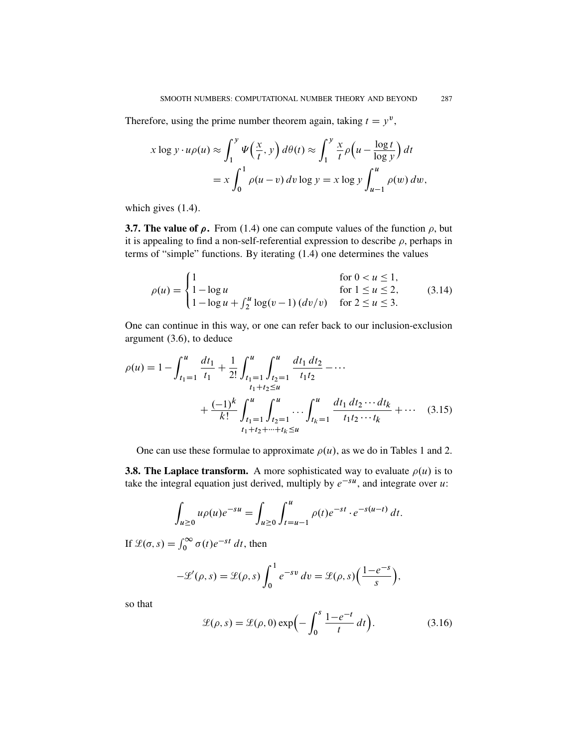Therefore, using the prime number theorem again, taking  $t = y^v$ ,

$$
x \log y \cdot u\rho(u) \approx \int_1^y \Psi\left(\frac{x}{t}, y\right) d\theta(t) \approx \int_1^y \frac{x}{t} \rho\left(u - \frac{\log t}{\log y}\right) dt
$$
  
=  $x \int_0^1 \rho(u - v) dv \log y = x \log y \int_{u-1}^u \rho(w) dw,$ 

which gives  $(1.4)$ .

**3.7. The value of**  $\rho$ **.** From (1.4) one can compute values of the function  $\rho$ , but it is appealing to find a non-self-referential expression to describe  $\rho$ , perhaps in terms of "simple" functions. By iterating  $(1.4)$  one determines the values

$$
\rho(u) = \begin{cases} 1 & \text{for } 0 < u \le 1, \\ 1 - \log u & \text{for } 1 \le u \le 2, \\ 1 - \log u + \int_2^u \log(v - 1) (dv/v) & \text{for } 2 \le u \le 3. \end{cases}
$$
(3.14)

One can continue in this way, or one can refer back to our inclusion-exclusion argument  $(3.6)$ , to deduce

$$
\rho(u) = 1 - \int_{t_1=1}^{u} \frac{dt_1}{t_1} + \frac{1}{2!} \int_{t_1=1}^{u} \int_{t_2=1}^{u} \frac{dt_1 dt_2}{t_1 t_2} - \cdots
$$
  
+ 
$$
\frac{(-1)^k}{k!} \int_{t_1=1}^{u} \int_{t_2=1}^{u} \cdots \int_{t_k=1}^{u} \frac{dt_1 dt_2 \cdots dt_k}{t_1 t_2 \cdots t_k} + \cdots \quad (3.15)
$$

One can use these formulae to approximate  $\rho(u)$ , as we do in Tables 1 and 2.

**3.8. The Laplace transform.** A more sophisticated way to evaluate  $\rho(u)$  is to take the integral equation just derived, multiply by  $e^{-su}$ , and integrate over u:

$$
\int_{u\geq 0} u\rho(u)e^{-su} = \int_{u\geq 0} \int_{t=u-1}^{u} \rho(t)e^{-st} \cdot e^{-s(u-t)} dt.
$$

If  $\mathcal{L}(\sigma, s) = \int_0^\infty \sigma(t) e^{-st} dt$ , then

$$
-\mathscr{L}(\rho,s) = \mathscr{L}(\rho,s) \int_0^1 e^{-sv} dv = \mathscr{L}(\rho,s) \left( \frac{1-e^{-s}}{s} \right),
$$

so that

$$
\mathcal{L}(\rho, s) = \mathcal{L}(\rho, 0) \exp\left(-\int_0^s \frac{1 - e^{-t}}{t} dt\right).
$$
 (3.16)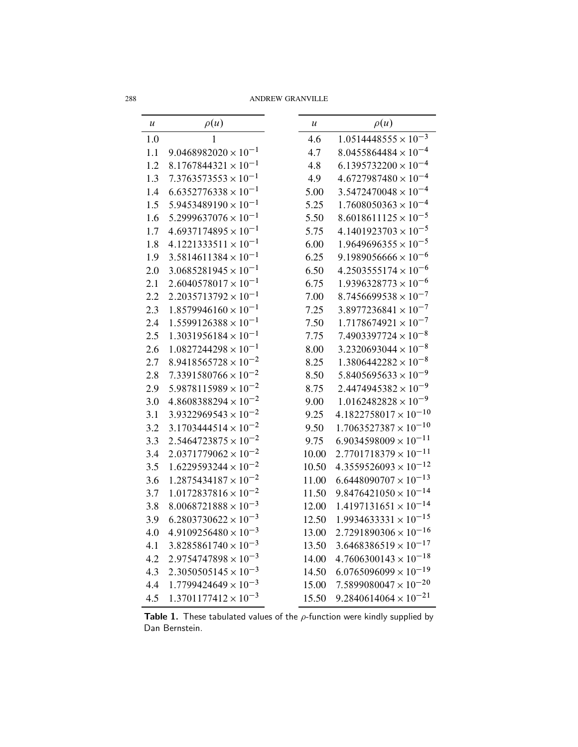288 ANDREW GRANVILLE

| u   | $\rho(u)$                     | u     | $\rho(u)$                      |
|-----|-------------------------------|-------|--------------------------------|
| 1.0 | 1                             | 4.6   | $1.0514448555 \times 10^{-3}$  |
| 1.1 | $9.0468982020 \times 10^{-1}$ | 4.7   | $8.0455864484 \times 10^{-4}$  |
| 1.2 | $8.1767844321 \times 10^{-1}$ | 4.8   | $6.1395732200 \times 10^{-4}$  |
| 1.3 | $7.3763573553 \times 10^{-1}$ | 4.9   | $4.6727987480 \times 10^{-4}$  |
| 1.4 | $6.6352776338 \times 10^{-1}$ | 5.00  | $3.5472470048 \times 10^{-4}$  |
| 1.5 | $5.9453489190 \times 10^{-1}$ | 5.25  | $1.7608050363 \times 10^{-4}$  |
| 1.6 | $5.2999637076 \times 10^{-1}$ | 5.50  | $8.6018611125 \times 10^{-5}$  |
| 1.7 | $4.6937174895 \times 10^{-1}$ | 5.75  | $4.1401923703 \times 10^{-5}$  |
| 1.8 | $4.1221333511 \times 10^{-1}$ | 6.00  | $1.9649696355 \times 10^{-5}$  |
| 1.9 | $3.5814611384 \times 10^{-1}$ | 6.25  | $9.1989056666 \times 10^{-6}$  |
| 2.0 | $3.0685281945 \times 10^{-1}$ | 6.50  | $4.2503555174 \times 10^{-6}$  |
| 2.1 | $2.6040578017 \times 10^{-1}$ | 6.75  | $1.9396328773 \times 10^{-6}$  |
| 2.2 | $2.2035713792 \times 10^{-1}$ | 7.00  | $8.7456699538 \times 10^{-7}$  |
| 2.3 | $1.8579946160 \times 10^{-1}$ | 7.25  | $3.8977236841 \times 10^{-7}$  |
| 2.4 | $1.5599126388 \times 10^{-1}$ | 7.50  | $1.7178674921 \times 10^{-7}$  |
| 2.5 | $1.3031956184 \times 10^{-1}$ | 7.75  | $7.4903397724 \times 10^{-8}$  |
| 2.6 | $1.0827244298 \times 10^{-1}$ | 8.00  | $3.2320693044 \times 10^{-8}$  |
| 2.7 | $8.9418565728 \times 10^{-2}$ | 8.25  | $1.3806442282 \times 10^{-8}$  |
| 2.8 | $7.3391580766 \times 10^{-2}$ | 8.50  | $5.8405695633 \times 10^{-9}$  |
| 2.9 | $5.9878115989 \times 10^{-2}$ | 8.75  | $2.4474945382 \times 10^{-9}$  |
| 3.0 | $4.8608388294 \times 10^{-2}$ | 9.00  | $1.0162482828 \times 10^{-9}$  |
| 3.1 | $3.9322969543 \times 10^{-2}$ | 9.25  | $4.1822758017 \times 10^{-10}$ |
| 3.2 | $3.1703444514 \times 10^{-2}$ | 9.50  | $1.7063527387 \times 10^{-10}$ |
| 3.3 | $2.5464723875 \times 10^{-2}$ | 9.75  | $6.9034598009 \times 10^{-11}$ |
| 3.4 | $2.0371779062 \times 10^{-2}$ | 10.00 | $2.7701718379 \times 10^{-11}$ |
| 3.5 | $1.6229593244 \times 10^{-2}$ | 10.50 | $4.3559526093 \times 10^{-12}$ |
| 3.6 | $1.2875434187 \times 10^{-2}$ | 11.00 | $6.6448090707 \times 10^{-13}$ |
| 3.7 | $1.0172837816 \times 10^{-2}$ | 11.50 | $9.8476421050 \times 10^{-14}$ |
| 3.8 | $8.0068721888 \times 10^{-3}$ | 12.00 | $1.4197131651 \times 10^{-14}$ |
| 3.9 | $6.2803730622 \times 10^{-3}$ | 12.50 | $1.9934633331 \times 10^{-15}$ |
| 4.0 | $4.9109256480 \times 10^{-3}$ | 13.00 | $2.7291890306 \times 10^{-16}$ |
| 4.1 | $3.8285861740 \times 10^{-3}$ | 13.50 | $3.6468386519 \times 10^{-17}$ |
| 4.2 | $2.9754747898 \times 10^{-3}$ | 14.00 | $4.7606300143 \times 10^{-18}$ |
| 4.3 | $2.3050505145 \times 10^{-3}$ | 14.50 | $6.0765096099 \times 10^{-19}$ |
| 4.4 | $1.7799424649 \times 10^{-3}$ | 15.00 | $7.5899080047 \times 10^{-20}$ |
| 4.5 | $1.3701177412 \times 10^{-3}$ | 15.50 | $9.2840614064 \times 10^{-21}$ |

Table 1. These tabulated values of the  $\rho$ -function were kindly supplied by Dan Bernstein.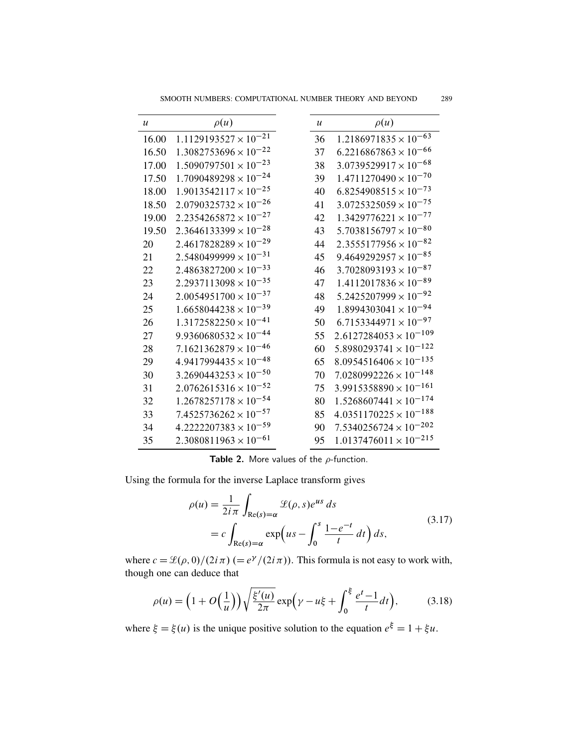| SMOOTH NUMBERS: COMPUTATIONAL NUMBER THEORY AND BEYOND |  |  |  | 289 |
|--------------------------------------------------------|--|--|--|-----|
|--------------------------------------------------------|--|--|--|-----|

| $\boldsymbol{u}$ | $\rho(u)$                      | $\boldsymbol{u}$ | $\rho(u)$                       |
|------------------|--------------------------------|------------------|---------------------------------|
| 16.00            | $1.1129193527 \times 10^{-21}$ | 36               | $1.2186971835 \times 10^{-63}$  |
| 16.50            | $1.3082753696 \times 10^{-22}$ | 37               | $6.2216867863 \times 10^{-66}$  |
| 17.00            | $1.5090797501 \times 10^{-23}$ | 38               | $3.0739529917 \times 10^{-68}$  |
| 17.50            | $1.7090489298 \times 10^{-24}$ | 39               | $1.4711270490 \times 10^{-70}$  |
| 18.00            | $1.9013542117 \times 10^{-25}$ | 40               | $6.8254908515 \times 10^{-73}$  |
| 18.50            | $2.0790325732 \times 10^{-26}$ | 41               | $3.0725325059 \times 10^{-75}$  |
| 19.00            | $2.2354265872 \times 10^{-27}$ | 42               | $1.3429776221 \times 10^{-77}$  |
| 19.50            | $2.3646133399 \times 10^{-28}$ | 43               | $5.7038156797 \times 10^{-80}$  |
| 20               | $2.4617828289 \times 10^{-29}$ | 44               | $2.3555177956 \times 10^{-82}$  |
| 21               | $2.5480499999 \times 10^{-31}$ | 45               | $9.4649292957 \times 10^{-85}$  |
| 22               | $2.4863827200 \times 10^{-33}$ | 46               | $3.7028093193 \times 10^{-87}$  |
| 23               | $2.2937113098 \times 10^{-35}$ | 47               | $1.4112017836 \times 10^{-89}$  |
| 24               | $2.0054951700 \times 10^{-37}$ | 48               | $5.2425207999 \times 10^{-92}$  |
| 25               | $1.6658044238 \times 10^{-39}$ | 49               | $1.8994303041 \times 10^{-94}$  |
| 26               | $1.3172582250 \times 10^{-41}$ | 50               | $6.7153344971 \times 10^{-97}$  |
| 27               | $9.9360680532 \times 10^{-44}$ | 55               | $2.6127284053 \times 10^{-109}$ |
| 28               | $7.1621362879 \times 10^{-46}$ | 60               | $5.8980293741 \times 10^{-122}$ |
| 29               | $4.9417994435 \times 10^{-48}$ | 65               | $8.0954516406 \times 10^{-135}$ |
| 30               | $3.2690443253 \times 10^{-50}$ | 70               | $7.0280992226 \times 10^{-148}$ |
| 31               | $2.0762615316 \times 10^{-52}$ | 75               | $3.9915358890 \times 10^{-161}$ |
| 32               | $1.2678257178 \times 10^{-54}$ | 80               | $1.5268607441 \times 10^{-174}$ |
| 33               | $7.4525736262 \times 10^{-57}$ | 85               | $4.0351170225 \times 10^{-188}$ |
| 34               | $4.2222207383 \times 10^{-59}$ | 90               | $7.5340256724 \times 10^{-202}$ |
| 35               | $2.3080811963 \times 10^{-61}$ | 95               | $1.0137476011 \times 10^{-215}$ |
|                  |                                |                  |                                 |

Table 2. More values of the  $\rho$ -function.

Using the formula for the inverse Laplace transform gives

$$
\rho(u) = \frac{1}{2i\pi} \int_{\text{Re}(s) = \alpha} \mathcal{L}(\rho, s) e^{us} ds
$$
  
= 
$$
c \int_{\text{Re}(s) = \alpha} \exp\left(us - \int_0^s \frac{1 - e^{-t}}{t} dt\right) ds,
$$
 (3.17)

where  $c = \mathcal{L}(\rho, 0)/(2i\pi)$  (=  $e^{\gamma}/(2i\pi)$ ). This formula is not easy to work with, though one can deduce that

$$
\rho(u) = \left(1 + O\left(\frac{1}{u}\right)\right) \sqrt{\frac{\xi'(u)}{2\pi}} \exp\left(\gamma - u\xi + \int_0^{\xi} \frac{e^t - 1}{t} dt\right),\tag{3.18}
$$

where  $\xi = \xi(u)$  is the unique positive solution to the equation  $e^{\xi} = 1 + \xi u$ .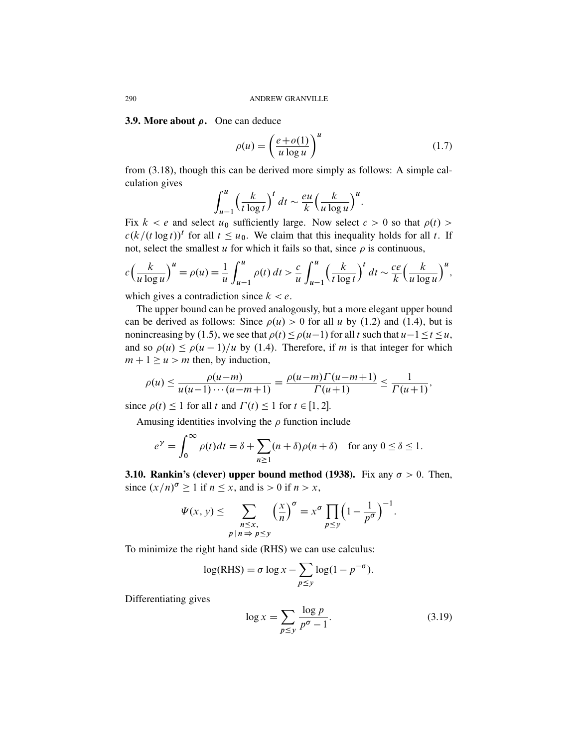**3.9. More about**  $\rho$ **.** One can deduce

$$
\rho(u) = \left(\frac{e + o(1)}{u \log u}\right)^u \tag{1.7}
$$

from  $(3.18)$ , though this can be derived more simply as follows: A simple calculation gives

$$
\int_{u-1}^{u} \left(\frac{k}{t \log t}\right)^t dt \sim \frac{eu}{k} \left(\frac{k}{u \log u}\right)^u.
$$

Fix  $k < e$  and select  $u_0$  sufficiently large. Now select  $c > 0$  so that  $\rho(t) >$  $c(k/(t \log t))^t$  for all  $t \leq u_0$ . We claim that this inequality holds for all t. If not, select the smallest u for which it fails so that, since  $\rho$  is continuous,

$$
c\left(\frac{k}{u\log u}\right)^u = \rho(u) = \frac{1}{u}\int_{u-1}^u \rho(t) dt > \frac{c}{u}\int_{u-1}^u \left(\frac{k}{t\log t}\right)^t dt \sim \frac{ce}{k}\left(\frac{k}{u\log u}\right)^u,
$$

which gives a contradiction since  $k < e$ .

The upper bound can be proved analogously, but a more elegant upper bound can be derived as follows: Since  $\rho(u) > 0$  for all u by (1.2) and (1.4), but is nonincreasing by (1.5), we see that  $\rho(t) \le \rho(u-1)$  for all t such that  $u-1 \le t \le u$ , and so  $\rho(u) \le \rho(u - 1)/u$  by (1.4). Therefore, if m is that integer for which  $m + 1 \ge u > m$  then, by induction,

$$
\rho(u) \le \frac{\rho(u-m)}{u(u-1)\cdots(u-m+1)} = \frac{\rho(u-m)\Gamma(u-m+1)}{\Gamma(u+1)} \le \frac{1}{\Gamma(u+1)},
$$

since  $\rho(t) \leq 1$  for all t and  $\Gamma(t) \leq 1$  for  $t \in [1, 2]$ .

Amusing identities involving the  $\rho$  function include

$$
e^{\gamma} = \int_0^{\infty} \rho(t)dt = \delta + \sum_{n \ge 1} (n + \delta)\rho(n + \delta) \quad \text{for any } 0 \le \delta \le 1.
$$

**3.10. Rankin's (clever) upper bound method (1938).** Fix any  $\sigma > 0$ . Then, since  $(x/n)^{\sigma} \ge 1$  if  $n \le x$ , and is  $> 0$  if  $n > x$ ,

$$
\Psi(x, y) \le \sum_{\substack{n \le x, \\ p \mid n \Rightarrow p \le y}} \left(\frac{x}{n}\right)^{\sigma} = x^{\sigma} \prod_{p \le y} \left(1 - \frac{1}{p^{\sigma}}\right)^{-1}.
$$

To minimize the right hand side (RHS) we can use calculus:

$$
\log(\text{RHS}) = \sigma \log x - \sum_{p \le y} \log(1 - p^{-\sigma}).
$$

Differentiating gives

$$
\log x = \sum_{p \le y} \frac{\log p}{p^{\sigma} - 1}.
$$
\n(3.19)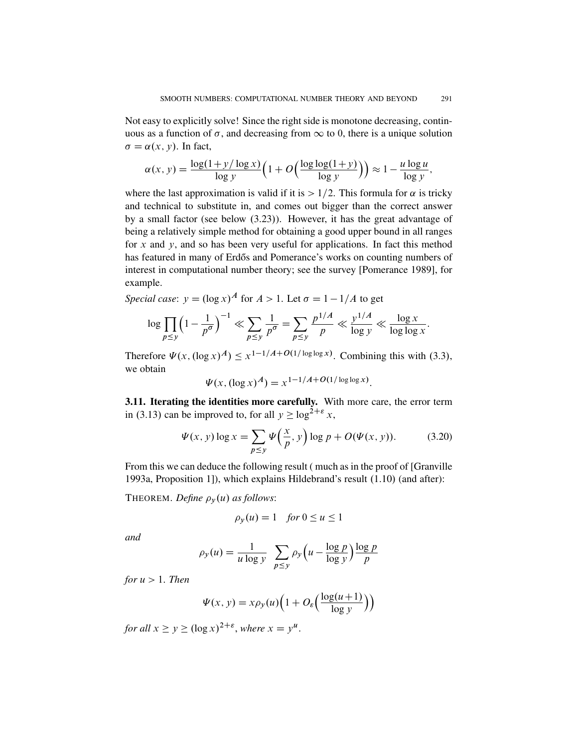Not easy to explicitly solve! Since the right side is monotone decreasing, continuous as a function of  $\sigma$ , and decreasing from  $\infty$  to 0, there is a unique solution  $\sigma = \alpha(x, y)$ . In fact,

$$
\alpha(x, y) = \frac{\log(1 + y/\log x)}{\log y} \left(1 + O\left(\frac{\log \log(1 + y)}{\log y}\right)\right) \approx 1 - \frac{u \log u}{\log y},
$$

where the last approximation is valid if it is  $> 1/2$ . This formula for  $\alpha$  is tricky and technical to substitute in, and comes out bigger than the correct answer by a small factor (see below  $(3.23)$ ). However, it has the great advantage of being a relatively simple method for obtaining a good upper bound in all ranges for  $x$  and  $y$ , and so has been very useful for applications. In fact this method has featured in many of Erdős and Pomerance's works on counting numbers of interest in computational number theory; see the survey [Pomerance 1989], for example.

*Special case*:  $y = (\log x)^A$  for  $A > 1$ . Let  $\sigma = 1 - 1/A$  to get

$$
\log \prod_{p \le y} \left(1 - \frac{1}{p^{\sigma}}\right)^{-1} \ll \sum_{p \le y} \frac{1}{p^{\sigma}} = \sum_{p \le y} \frac{p^{1/A}}{p} \ll \frac{y^{1/A}}{\log y} \ll \frac{\log x}{\log \log x}
$$

Therefore  $\Psi(x, (\log x)^A) \leq x^{1-1/A + O(1/\log \log x)}$ . Combining this with (3.3), we obtain

$$
\Psi(x, (\log x)^A) = x^{1-1/A + O(1/\log \log x)}.
$$

3.11. Iterating the identities more carefully. With more care, the error term in (3.13) can be improved to, for all  $y \ge \log^{2+\epsilon} x$ ,

$$
\Psi(x, y) \log x = \sum_{p \le y} \Psi\left(\frac{x}{p}, y\right) \log p + O(\Psi(x, y)).\tag{3.20}
$$

:

From this we can deduce the following result ( much as in the proof of [Granville 1993a, Proposition 1]), which explains Hildebrand's result  $(1.10)$  (and after):

THEOREM. *Define*  $\rho_{\nu}(u)$  *as follows*:

$$
\rho_y(u) = 1 \quad \text{for } 0 \le u \le 1
$$

*and*

$$
\rho_y(u) = \frac{1}{u \log y} \sum_{p \le y} \rho_y \left( u - \frac{\log p}{\log y} \right) \frac{\log p}{p}
$$

*for*  $u > 1$ *. Then* 

$$
\Psi(x, y) = x \rho_y(u) \left( 1 + O_{\varepsilon} \left( \frac{\log(u+1)}{\log y} \right) \right)
$$

*for all*  $x \ge y \ge (\log x)^{2+\varepsilon}$ , *where*  $x = y^u$ .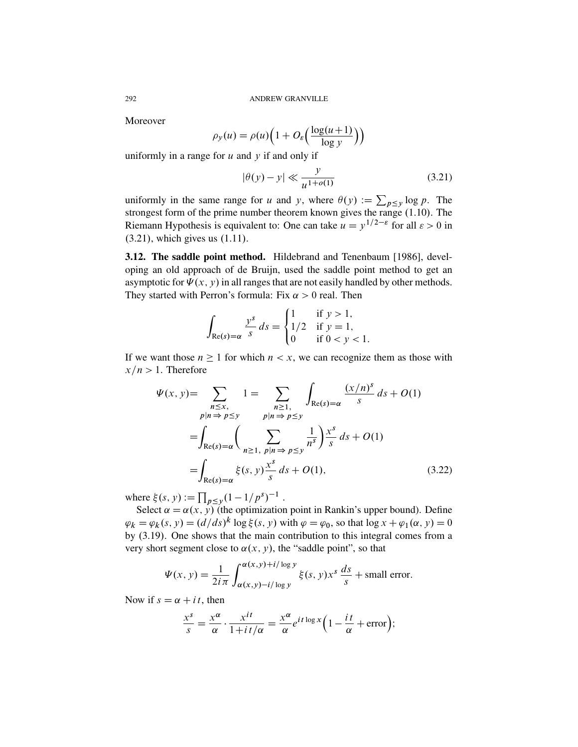Moreover

$$
\rho_y(u) = \rho(u) \Big( 1 + O_{\varepsilon} \Big( \frac{\log(u+1)}{\log y} \Big) \Big)
$$

uniformly in a range for  $u$  and  $y$  if and only if

$$
|\theta(y) - y| \ll \frac{y}{u^{1+o(1)}}\tag{3.21}
$$

uniformly in the same range for u and y, where  $\theta(y) := \sum_{p \leq y} \log p$ . The strongest form of the prime number theorem known gives the range  $(1.10)$ . The Riemann Hypothesis is equivalent to: One can take  $u = y^{1/2-\epsilon}$  for all  $\varepsilon > 0$  in  $(3.21)$ , which gives us  $(1.11)$ .

3.12. The saddle point method. Hildebrand and Tenenbaum [1986], developing an old approach of de Bruijn, used the saddle point method to get an asymptotic for  $\Psi(x, y)$  in all ranges that are not easily handled by other methods. They started with Perron's formula: Fix  $\alpha > 0$  real. Then

$$
\int_{\text{Re}(s)=\alpha} \frac{y^s}{s} ds = \begin{cases} 1 & \text{if } y > 1, \\ 1/2 & \text{if } y = 1, \\ 0 & \text{if } 0 < y < 1. \end{cases}
$$

If we want those  $n \ge 1$  for which  $n < x$ , we can recognize them as those with  $x/n > 1$ . Therefore

$$
\Psi(x, y) = \sum_{\substack{n \le x, \\ p|n \Rightarrow p \le y}} 1 = \sum_{\substack{n \ge 1, \\ p|n \Rightarrow p \le y}} \int_{\text{Re}(s) = \alpha} \frac{(x/n)^s}{s} ds + O(1)
$$

$$
= \int_{\text{Re}(s) = \alpha} \left( \sum_{\substack{n \ge 1, \\ p|n \Rightarrow p \le y}} \frac{1}{n^s} \right) \frac{x^s}{s} ds + O(1)
$$

$$
= \int_{\text{Re}(s) = \alpha} \xi(s, y) \frac{x^s}{s} ds + O(1), \tag{3.22}
$$

where  $\xi(s, y) := \prod_{p \le y} (1 - 1/p^s)^{-1}$ .

Select  $\alpha = \alpha(x, y)$  (the optimization point in Rankin's upper bound). Define  $\varphi_k = \varphi_k(s, y) = (d/ds)^k \log \xi(s, y)$  with  $\varphi = \varphi_0$ , so that  $\log x + \varphi_1(\alpha, y) = 0$ by  $(3.19)$ . One shows that the main contribution to this integral comes from a very short segment close to  $\alpha(x, y)$ , the "saddle point", so that

$$
\Psi(x, y) = \frac{1}{2i\pi} \int_{\alpha(x,y)-i/\log y}^{\alpha(x,y)+i/\log y} \xi(s, y) x^s \frac{ds}{s} + \text{small error}.
$$

Now if  $s = \alpha + it$ , then

$$
\frac{x^s}{s} = \frac{x^{\alpha}}{\alpha} \cdot \frac{x^{it}}{1 + it/\alpha} = \frac{x^{\alpha}}{\alpha} e^{it \log x} \left( 1 - \frac{it}{\alpha} + \text{error} \right);
$$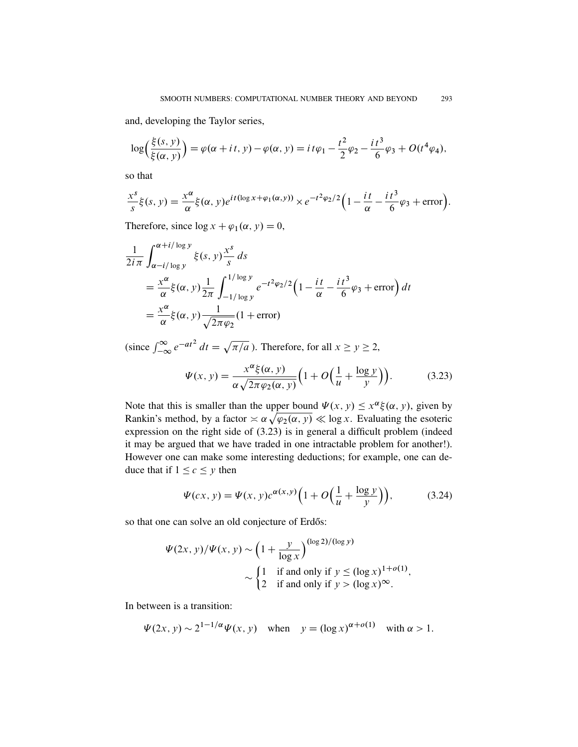and, developing the Taylor series,

$$
\log\left(\frac{\xi(s,\,y)}{\xi(\alpha,\,y)}\right) = \varphi(\alpha+it,\,y) - \varphi(\alpha,\,y) = it\varphi_1 - \frac{t^2}{2}\varphi_2 - \frac{it^3}{6}\varphi_3 + O(t^4\varphi_4),
$$

so that

$$
\frac{x^s}{s}\xi(s, y) = \frac{x^{\alpha}}{\alpha}\xi(\alpha, y)e^{it(\log x + \varphi_1(\alpha, y))} \times e^{-t^2\varphi_2/2}\left(1 - \frac{it}{\alpha} - \frac{it^3}{6}\varphi_3 + \text{error}\right).
$$

Therefore, since  $\log x + \varphi_1(\alpha, y) = 0$ ,

$$
\frac{1}{2i\pi} \int_{\alpha - i/\log y}^{\alpha + i/\log y} \xi(s, y) \frac{x^s}{s} ds
$$
  
=  $\frac{x^{\alpha}}{\alpha} \xi(\alpha, y) \frac{1}{2\pi} \int_{-1/\log y}^{1/\log y} e^{-t^2 \varphi_2/2} \left(1 - \frac{it}{\alpha} - \frac{it^3}{6}\varphi_3 + \text{error}\right) dt$   
=  $\frac{x^{\alpha}}{\alpha} \xi(\alpha, y) \frac{1}{\sqrt{2\pi \varphi_2}} (1 + \text{error})$ 

(since  $\int_{-\infty}^{\infty} e^{-at^2} dt = \sqrt{\pi/a}$ ). Therefore, for all  $x \ge y \ge 2$ ,

$$
\Psi(x, y) = \frac{x^{\alpha} \xi(\alpha, y)}{\alpha \sqrt{2\pi \varphi_2(\alpha, y)}} \Big( 1 + O\Big(\frac{1}{u} + \frac{\log y}{y}\Big)\Big). \tag{3.23}
$$

Note that this is smaller than the upper bound  $\Psi(x, y) \leq x^{\alpha} \xi(\alpha, y)$ , given by Rankin's method, by a factor  $\frac{\alpha}{\sqrt{\varphi_2(\alpha, y)}} \ll \log x$ . Evaluating the esoteric expression on the right side of  $(3.23)$  is in general a difficult problem (indeed it may be argued that we have traded in one intractable problem for another!). However one can make some interesting deductions; for example, one can deduce that if  $1 \leq c \leq y$  then

$$
\Psi(cx, y) = \Psi(x, y)c^{\alpha(x, y)}\Big(1 + O\Big(\frac{1}{u} + \frac{\log y}{y}\Big)\Big),\tag{3.24}
$$

so that one can solve an old conjecture of Erdős:

$$
\Psi(2x, y)/\Psi(x, y) \sim \left(1 + \frac{y}{\log x}\right)^{(\log 2)/(\log y)}
$$
  
 
$$
\sim \begin{cases} 1 & \text{if and only if } y \leq (\log x)^{1+o(1)}, \\ 2 & \text{if and only if } y > (\log x)^{\infty}. \end{cases}
$$

In between is a transition:

$$
\Psi(2x, y) \sim 2^{1-1/\alpha} \Psi(x, y) \quad \text{when} \quad y = (\log x)^{\alpha + o(1)} \quad \text{with } \alpha > 1.
$$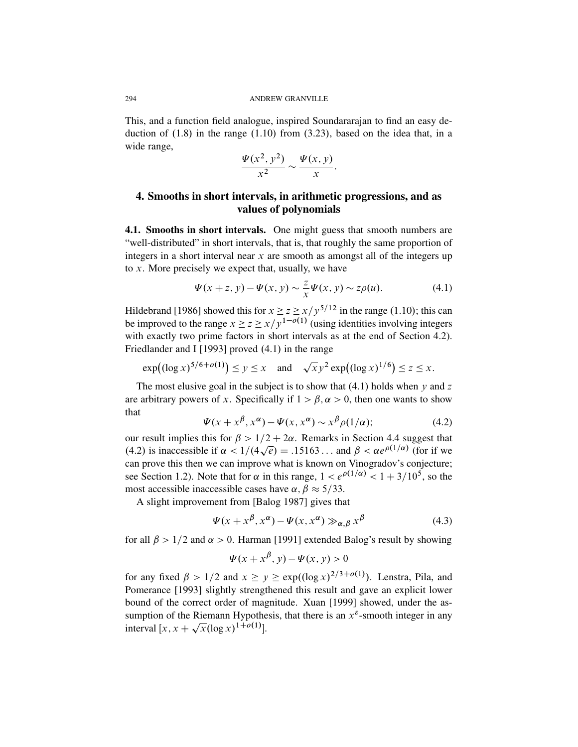This, and a function field analogue, inspired Soundararajan to find an easy deduction of  $(1.8)$  in the range  $(1.10)$  from  $(3.23)$ , based on the idea that, in a wide range,

$$
\frac{\Psi(x^2, y^2)}{x^2} \sim \frac{\Psi(x, y)}{x}.
$$

# 4. Smooths in short intervals, in arithmetic progressions, and as values of polynomials

4.1. Smooths in short intervals. One might guess that smooth numbers are "well-distributed" in short intervals, that is, that roughly the same proportion of integers in a short interval near  $x$  are smooth as amongst all of the integers up to x. More precisely we expect that, usually, we have

$$
\Psi(x+z, y) - \Psi(x, y) \sim \frac{z}{x} \Psi(x, y) \sim z \rho(u). \tag{4.1}
$$

Hildebrand [1986] showed this for  $x \ge z \ge x/y^{5/12}$  in the range (1.10); this can be improved to the range  $x \ge z \ge x/y^{1-o(1)}$  (using identities involving integers with exactly two prime factors in short intervals as at the end of Section 4.2). Friedlander and I [1993] proved  $(4.1)$  in the range

$$
\exp((\log x)^{5/6+o(1)}) \le y \le x \quad \text{and} \quad \sqrt{x}y^2 \exp((\log x)^{1/6}) \le z \le x.
$$

The most elusive goal in the subject is to show that  $(4.1)$  holds when y and z are arbitrary powers of x. Specifically if  $1 > \beta$ ,  $\alpha > 0$ , then one wants to show that

$$
\Psi(x + x^{\beta}, x^{\alpha}) - \Psi(x, x^{\alpha}) \sim x^{\beta} \rho(1/\alpha); \tag{4.2}
$$

our result implies this for  $\beta > 1/2 + 2\alpha$ . Remarks in Section 4.4 suggest that (4.2) is inaccessible if  $\alpha < 1/(4\sqrt{e}) = .15163...$  and  $\beta < \alpha e^{\rho(1/\alpha)}$  (for if we can prove this then we can improve what is known on Vinogradov's conjecture; see Section 1.2). Note that for  $\alpha$  in this range,  $1 < e^{\rho(1/\alpha)} < 1 + 3/10^5$ , so the most accessible inaccessible cases have  $\alpha$ ,  $\beta \approx 5/33$ .

A slight improvement from [Balog 1987] gives that

$$
\Psi(x + x^{\beta}, x^{\alpha}) - \Psi(x, x^{\alpha}) \gg_{\alpha, \beta} x^{\beta}
$$
\n(4.3)

for all  $\beta > 1/2$  and  $\alpha > 0$ . Harman [1991] extended Balog's result by showing

$$
\Psi(x + x^{\beta}, y) - \Psi(x, y) > 0
$$

for any fixed  $\beta > 1/2$  and  $x \ge y \ge \exp((\log x)^{2/3 + o(1)})$ . Lenstra, Pila, and Pomerance [1993] slightly strengthened this result and gave an explicit lower bound of the correct order of magnitude. Xuan [1999] showed, under the assumption of the Riemann Hypothesis, that there is an  $x^{\epsilon}$ -smooth integer in any interval  $[x, x + \sqrt{x}(\log x)^{1+o(1)}].$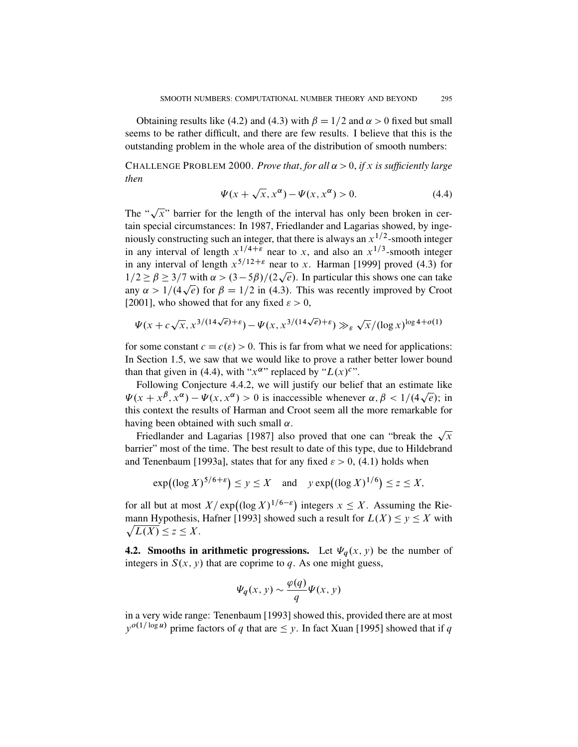Obtaining results like (4.2) and (4.3) with  $\beta = 1/2$  and  $\alpha > 0$  fixed but small seems to be rather difficult, and there are few results. I believe that this is the outstanding problem in the whole area of the distribution of smooth numbers:

CHALLENGE PROBLEM 2000. *Prove that, for all*  $\alpha > 0$ , *if* x *is sufficiently large then* p

$$
\Psi(x + \sqrt{x}, x^{\alpha}) - \Psi(x, x^{\alpha}) > 0. \tag{4.4}
$$

The " $\sqrt{x}$ " barrier for the length of the interval has only been broken in certain special circumstances: In 1987, Friedlander and Lagarias showed, by ingeniously constructing such an integer, that there is always an  $x^{1/2}$ -smooth integer in any interval of length  $x^{1/4+\epsilon}$  near to x, and also an  $x^{1/3}$ -smooth integer in any interval of length  $x^{5/12+\epsilon}$  near to x. Harman [1999] proved (4.3) for  $1/2 \ge \beta \ge 3/7$  with  $\alpha > (3-5\beta)/(2\sqrt{e})$ . In particular this shows one can take any  $\alpha > 1/(4\sqrt{e})$  for  $\beta = 1/2$  in (4.3). This was recently improved by Croot [2001], who showed that for any fixed  $\varepsilon > 0$ ,

$$
\Psi(x + c\sqrt{x}, x^{3/(14\sqrt{e})+ \varepsilon}) - \Psi(x, x^{3/(14\sqrt{e})+ \varepsilon}) \gg_{\varepsilon} \sqrt{x} / (\log x)^{\log 4 + o(1)}
$$

for some constant  $c = c(\varepsilon) > 0$ . This is far from what we need for applications: In Section 1.5, we saw that we would like to prove a rather better lower bound than that given in (4.4), with " $x^{\alpha}$ " replaced by " $L(x)^{c}$ ".

Following Conjecture 4.4.2, we will justify our belief that an estimate like  $\Psi(x + x^{\beta}, x^{\alpha}) - \Psi(x, x^{\alpha}) > 0$  is inaccessible whenever  $\alpha, \beta < 1/(4\sqrt{e})$ ; in this context the results of Harman and Croot seem all the more remarkable for having been obtained with such small  $\alpha$ .

ving been obtained with such small  $\alpha$ .<br>Friedlander and Lagarias [1987] also proved that one can "break the  $\sqrt{x}$ barrier" most of the time. The best result to date of this type, due to Hildebrand and Tenenbaum [1993a], states that for any fixed  $\varepsilon > 0$ , (4.1) holds when

$$
\exp((\log X)^{5/6+\varepsilon}) \le y \le X \quad \text{and} \quad y \exp((\log X)^{1/6}) \le z \le X,
$$

for all but at most  $X/\exp((\log X)^{1/6-\epsilon})$  integers  $x \leq X$ . Assuming the Rie- $\sqrt{L(X)} \leq z \leq X.$ mann Hypothesis, Hafner [1993] showed such a result for  $L(X) \le y \le X$  with

4.2. Smooths in arithmetic progressions. Let  $\Psi_a(x, y)$  be the number of integers in  $S(x, y)$  that are coprime to q. As one might guess,

$$
\Psi_q(x, y) \sim \frac{\varphi(q)}{q} \Psi(x, y)
$$

in a very wide range: Tenenbaum [1993] showed this, provided there are at most  $y^{o(1/\log u)}$  prime factors of q that are  $\leq y$ . In fact Xuan [1995] showed that if q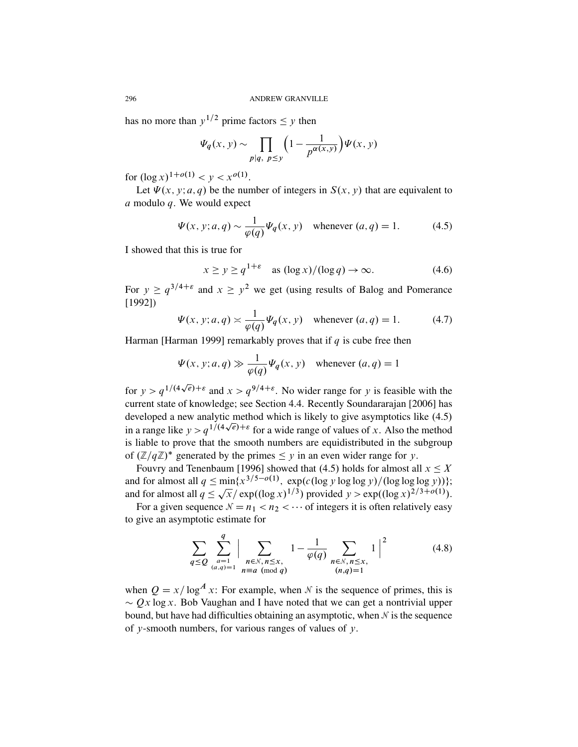has no more than  $y^{1/2}$  prime factors  $\leq y$  then

$$
\Psi_q(x, y) \sim \prod_{p \mid q, \ p \le y} \left(1 - \frac{1}{p^{\alpha(x, y)}}\right) \Psi(x, y)
$$

for  $(\log x)^{1+o(1)} < y < x^{o(1)}$ .

Let  $\Psi(x, y; a, q)$  be the number of integers in  $S(x, y)$  that are equivalent to  $a$  modulo  $q$ . We would expect

$$
\Psi(x, y; a, q) \sim \frac{1}{\varphi(q)} \Psi_q(x, y) \quad \text{whenever } (a, q) = 1. \tag{4.5}
$$

I showed that this is true for

$$
x \ge y \ge q^{1+\varepsilon} \quad \text{as } (\log x) / (\log q) \to \infty. \tag{4.6}
$$

For  $y \geq q^{3/4+\epsilon}$  and  $x \geq y^2$  we get (using results of Balog and Pomerance [1992])

$$
\Psi(x, y; a, q) \approx \frac{1}{\varphi(q)} \Psi_q(x, y) \quad \text{whenever } (a, q) = 1. \tag{4.7}
$$

Harman [Harman 1999] remarkably proves that if  $q$  is cube free then

$$
\Psi(x, y; a, q) \gg \frac{1}{\varphi(q)} \Psi_q(x, y)
$$
 whenever  $(a, q) = 1$ 

for  $y > q^{1/(4\sqrt{e})+\varepsilon}$  and  $x > q^{9/4+\varepsilon}$ . No wider range for y is feasible with the current state of knowledge; see Section 4.4. Recently Soundararajan [2006] has developed a new analytic method which is likely to give asymptotics like (4.5) in a range like  $y > q^{1/(4\sqrt{e})+\varepsilon}$  for a wide range of values of x. Also the method is liable to prove that the smooth numbers are equidistributed in the subgroup of  $(\mathbb{Z}/q\mathbb{Z})^*$  generated by the primes  $\leq y$  in an even wider range for y.

Fouvry and Tenenbaum [1996] showed that (4.5) holds for almost all  $x \leq X$ and for almost all  $q \le \min\{x^{3/5-o(1)}, \exp(c(\log y \log \log y)/(\log \log \log y))\};$ and for almost all  $q \leq \sqrt{x}/\exp((\log x)^{1/3})$  provided  $y > \exp((\log x)^{2/3+o(1)})$ .

For a given sequence  $N = n_1 < n_2 < \cdots$  of integers it is often relatively easy to give an asymptotic estimate for

$$
\sum_{q \le Q} \sum_{\substack{a=1 \\ (a,q)=1}}^q \left| \sum_{\substack{n \in \mathcal{N}, n \le x, \\ n \equiv a \pmod{q}}} 1 - \frac{1}{\varphi(q)} \sum_{\substack{n \in \mathcal{N}, n \le x, \\ (n,q)=1}} 1 \right|^2 \tag{4.8}
$$

when  $Q = x/\log^4 x$ : For example, when N is the sequence of primes, this is  $\sim Qx \log x$ . Bob Vaughan and I have noted that we can get a nontrivial upper bound, but have had difficulties obtaining an asymptotic, when  $N$  is the sequence of y-smooth numbers, for various ranges of values of  $y$ .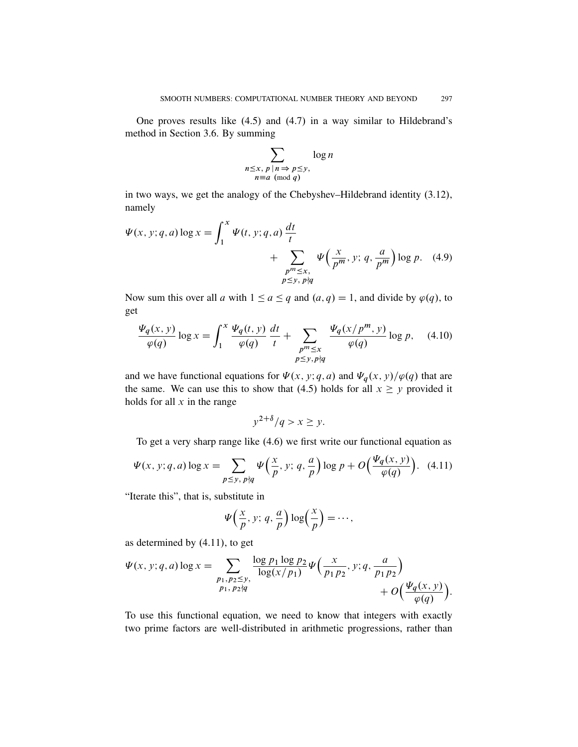One proves results like  $(4.5)$  and  $(4.7)$  in a way similar to Hildebrand's method in Section 3.6. By summing

$$
\sum_{\substack{n \le x, \ p \mid n \Rightarrow p \le y, \\ n \equiv a \pmod{q}}} \log n
$$

in two ways, we get the analogy of the Chebyshev–Hildebrand identity  $(3.12)$ , namely

$$
\Psi(x, y; q, a) \log x = \int_1^x \Psi(t, y; q, a) \frac{dt}{t} + \sum_{\substack{p^m \le x, \\ p \le y, p \nmid q}} \Psi\left(\frac{x}{p^m}, y; q, \frac{a}{p^m}\right) \log p. \tag{4.9}
$$

Now sum this over all a with  $1 \le a \le q$  and  $(a,q) = 1$ , and divide by  $\varphi(q)$ , to get

$$
\frac{\Psi_q(x, y)}{\varphi(q)} \log x = \int_1^x \frac{\Psi_q(t, y)}{\varphi(q)} \frac{dt}{t} + \sum_{\substack{p^m \le x \\ p \le y, p \nmid q}} \frac{\Psi_q(x/p^m, y)}{\varphi(q)} \log p, \quad (4.10)
$$

and we have functional equations for  $\Psi(x, y; q, a)$  and  $\Psi_q(x, y)/\varphi(q)$  that are the same. We can use this to show that (4.5) holds for all  $x \ge y$  provided it holds for all  $x$  in the range

$$
y^{2+\delta}/q > x \ge y.
$$

To get a very sharp range like  $(4.6)$  we first write our functional equation as

$$
\Psi(x, y; q, a) \log x = \sum_{p \le y, p \nmid q} \Psi\left(\frac{x}{p}, y; q, \frac{a}{p}\right) \log p + O\left(\frac{\Psi_q(x, y)}{\varphi(q)}\right). \tag{4.11}
$$

"Iterate this", that is, substitute in

$$
\Psi\left(\frac{x}{p},y;\,q,\frac{a}{p}\right)\log\left(\frac{x}{p}\right)=\cdots,
$$

as determined by  $(4.11)$ , to get

$$
\Psi(x, y; q, a) \log x = \sum_{\substack{p_1, p_2 \le y, \\ p_1, p_2 \nmid q}} \frac{\log p_1 \log p_2}{\log(x/p_1)} \Psi\left(\frac{x}{p_1 p_2}, y; q, \frac{a}{p_1 p_2}\right) + O\left(\frac{\Psi_q(x, y)}{\varphi(q)}\right).
$$

To use this functional equation, we need to know that integers with exactly two prime factors are well-distributed in arithmetic progressions, rather than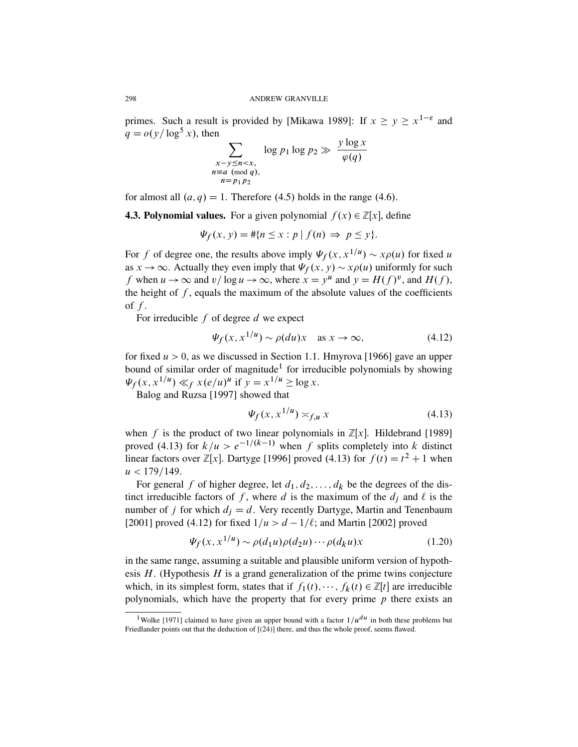primes. Such a result is provided by [Mikawa 1989]: If  $x \ge y \ge x^{1-\epsilon}$  and  $q = o(y/\log^5 x)$ , then

$$
\sum_{\substack{x-y\leq n
$$

for almost all  $(a, q) = 1$ . Therefore  $(4.5)$  holds in the range  $(4.6)$ .

**4.3. Polynomial values.** For a given polynomial  $f(x) \in \mathbb{Z}[x]$ , define

$$
\Psi_f(x, y) = \#\{n \le x : p \mid f(n) \implies p \le y\}.
$$

For f of degree one, the results above imply  $\Psi_f(x, x^{1/u}) \sim x \rho(u)$  for fixed u as  $x \to \infty$ . Actually they even imply that  $\Psi_f(x, y) \sim x \rho(u)$  uniformly for such f when  $u \to \infty$  and  $v / \log u \to \infty$ , where  $x = y^u$  and  $y = H(f)^v$ , and  $H(f)$ , the height of  $f$ , equals the maximum of the absolute values of the coefficients of  $f$ .

For irreducible  $f$  of degree  $d$  we expect

$$
\Psi_f(x, x^{1/u}) \sim \rho(du)x \quad \text{as } x \to \infty,
$$
\n(4.12)

for fixed  $u > 0$ , as we discussed in Section 1.1. Hmyrova [1966] gave an upper bound of similar order of magnitude<sup>1</sup> for irreducible polynomials by showing  $\Psi_f(x, x^{1/u}) \ll_f x(e/u)^u$  if  $y = x^{1/u} \ge \log x$ .

Balog and Ruzsa [1997] showed that

$$
\Psi_f(x, x^{1/u}) \asymp_{f,u} x \tag{4.13}
$$

when f is the product of two linear polynomials in  $\mathbb{Z}[x]$ . Hildebrand [1989] proved (4.13) for  $k/u > e^{-1/(k-1)}$  when f splits completely into k distinct linear factors over  $\mathbb{Z}[x]$ . Dartyge [1996] proved (4.13) for  $f(t) = t^2 + 1$  when  $u < 179/149$ .

For general f of higher degree, let  $d_1, d_2, \ldots, d_k$  be the degrees of the distinct irreducible factors of f, where d is the maximum of the  $d_i$  and  $\ell$  is the number of j for which  $d_i = d$ . Very recently Dartyge, Martin and Tenenbaum [2001] proved (4.12) for fixed  $1/u > d - 1/\ell$ ; and Martin [2002] proved

$$
\Psi_f(x, x^{1/u}) \sim \rho(d_1 u)\rho(d_2 u) \cdots \rho(d_k u)x \tag{1.20}
$$

in the same range, assuming a suitable and plausible uniform version of hypothesis  $H$ . (Hypothesis  $H$  is a grand generalization of the prime twins conjecture which, in its simplest form, states that if  $f_1(t), \dots, f_k(t) \in \mathbb{Z}[t]$  are irreducible polynomials, which have the property that for every prime  $p$  there exists an

<sup>&</sup>lt;sup>1</sup>Wolke [1971] claimed to have given an upper bound with a factor  $1/u^{du}$  in both these problems but Friedlander points out that the deduction of  $[(24)]$  there, and thus the whole proof, seems flawed.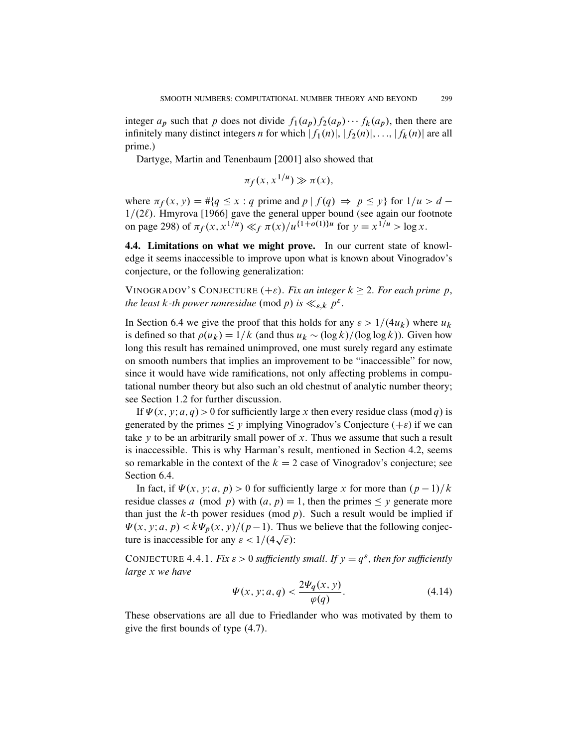integer  $a_p$  such that p does not divide  $f_1(a_p) f_2(a_p) \cdots f_k(a_p)$ , then there are infinitely many distinct integers n for which  $|f_1(n)|$ ,  $|f_2(n)|$ , ...,  $|f_k(n)|$  are all prime.)

Dartyge, Martin and Tenenbaum [2001] also showed that

$$
\pi_f(x, x^{1/u}) \gg \pi(x),
$$

where  $\pi_f(x, y) = \#\{q \le x : q \text{ prime and } p \mid f(q) \implies p \le y\}$  for  $1/u > d$  –  $1/(2\ell)$ . Hmyrova [1966] gave the general upper bound (see again our footnote on page 298) of  $\pi_f(x, x^{1/u}) \ll_f \pi(x)/u^{1+o(1)}u$  for  $y = x^{1/u} > \log x$ .

4.4. Limitations on what we might prove. In our current state of knowledge it seems inaccessible to improve upon what is known about Vinogradov's conjecture, or the following generalization:

VINOGRADOV'S CONJECTURE  $(+\varepsilon)$ . *Fix an integer*  $k \geq 2$ . *For each prime* p, *the least k-th power nonresidue* (mod *p*) *is*  $\ll_{\varepsilon,k} p^{\varepsilon}$ .

In Section 6.4 we give the proof that this holds for any  $\varepsilon > 1/(4u_k)$  where  $u_k$ is defined so that  $\rho(u_k) = 1/k$  (and thus  $u_k \sim (\log k)/(\log \log k)$ ). Given how long this result has remained unimproved, one must surely regard any estimate on smooth numbers that implies an improvement to be "inaccessible" for now, since it would have wide ramifications, not only affecting problems in computational number theory but also such an old chestnut of analytic number theory; see Section 1.2 for further discussion.

If  $\Psi(x, y; a, q) > 0$  for sufficiently large x then every residue class (mod q) is generated by the primes  $\leq y$  implying Vinogradov's Conjecture  $(+\varepsilon)$  if we can take  $y$  to be an arbitrarily small power of x. Thus we assume that such a result is inaccessible. This is why Harman's result, mentioned in Section 4.2, seems so remarkable in the context of the  $k = 2$  case of Vinogradov's conjecture; see Section 6.4.

In fact, if  $\Psi(x, y; a, p) > 0$  for sufficiently large x for more than  $(p-1)/k$ residue classes a (mod p) with  $(a, p) = 1$ , then the primes  $\leq y$  generate more than just the  $k$ -th power residues (mod  $p$ ). Such a result would be implied if  $\Psi(x, y; a, p) < k\Psi_p(x, y)/(p-1)$ . Thus we believe that the following conjecture is inaccessible for any  $\varepsilon < 1/(4\sqrt{e})$ :

CONJECTURE 4.4.1. *Fix*  $\varepsilon > 0$  sufficiently small. If  $y = q^{\varepsilon}$ , then for sufficiently *large* x *we have*

$$
\Psi(x, y; a, q) < \frac{2\Psi_q(x, y)}{\varphi(q)}.\tag{4.14}
$$

These observations are all due to Friedlander who was motivated by them to give the first bounds of type  $(4.7)$ .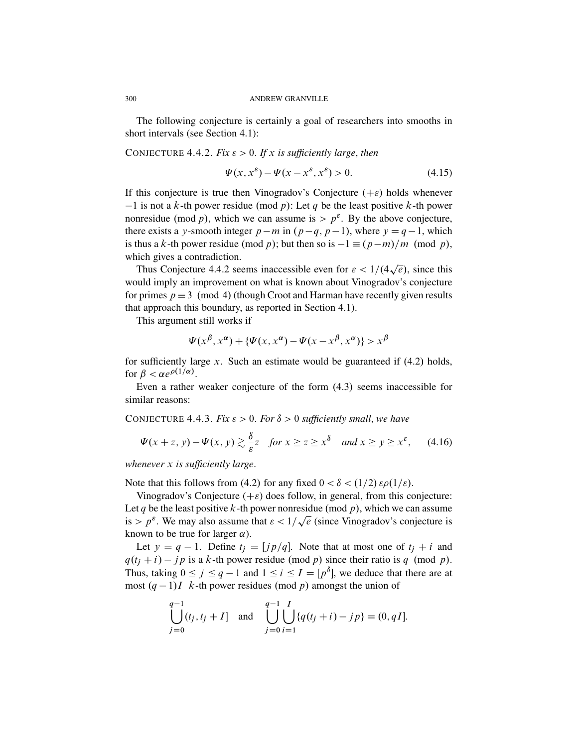The following conjecture is certainly a goal of researchers into smooths in short intervals (see Section 4.1):

CONJECTURE 4.4.2. *Fix*  $\varepsilon > 0$ . *If* x *is sufficiently large, then* 

$$
\Psi(x, x^{\varepsilon}) - \Psi(x - x^{\varepsilon}, x^{\varepsilon}) > 0. \tag{4.15}
$$

If this conjecture is true then Vinogradov's Conjecture  $(+\varepsilon)$  holds whenever  $-1$  is not a k-th power residue (mod p): Let q be the least positive k-th power nonresidue (mod p), which we can assume is  $> p^{\varepsilon}$ . By the above conjecture, there exists a y-smooth integer  $p - m$  in  $(p - q, p - 1)$ , where  $y = q - 1$ , which is thus a k-th power residue (mod p); but then so is  $-1 \equiv (p-m)/m \pmod{p}$ , which gives a contradiction. p

Thus Conjecture 4.4.2 seems inaccessible even for  $\varepsilon < 1/(4$  $\overline{e}$ ), since this would imply an improvement on what is known about Vinogradov's conjecture for primes  $p \equiv 3 \pmod{4}$  (though Croot and Harman have recently given results that approach this boundary, as reported in Section 4.1).

This argument still works if

$$
\Psi(x^{\beta}, x^{\alpha}) + \{\Psi(x, x^{\alpha}) - \Psi(x - x^{\beta}, x^{\alpha})\} > x^{\beta}
$$

for sufficiently large x. Such an estimate would be guaranteed if  $(4.2)$  holds, for  $\beta < \alpha e^{\rho(1/\alpha)}$ .

Even a rather weaker conjecture of the form  $(4.3)$  seems inaccessible for similar reasons:

CONJECTURE 4.4.3. *Fix*  $\varepsilon > 0$ . *For*  $\delta > 0$  *sufficiently small, we have* 

$$
\Psi(x+z, y) - \Psi(x, y) \gtrsim \frac{\delta}{\varepsilon} z \quad \text{for } x \ge z \ge x^{\delta} \quad \text{and } x \ge y \ge x^{\varepsilon}, \qquad (4.16)
$$

*whenever* x *is sufficiently large*.

Note that this follows from (4.2) for any fixed  $0 < \delta < (1/2) \varepsilon \rho(1/\varepsilon)$ .

Vinogradov's Conjecture  $(+\varepsilon)$  does follow, in general, from this conjecture: Let q be the least positive k-th power nonresidue (mod  $p$ ), which we can assume is >  $p^{\varepsilon}$ . We may also assume that  $\varepsilon < 1/\sqrt{e}$  (since Vinogradov's conjecture is known to be true for larger  $\alpha$ ).

Let  $y = q - 1$ . Define  $t<sub>i</sub> = [j p/q]$ . Note that at most one of  $t<sub>i</sub> + i$  and  $q(t_j + i) - j p$  is a k-th power residue (mod p) since their ratio is q (mod p). Thus, taking  $0 \le j \le q - 1$  and  $1 \le i \le I = [p^{\delta}]$ , we deduce that there are at most  $(q - 1)I$  k-th power residues (mod p) amongst the union of

$$
\bigcup_{j=0}^{q-1} (t_j, t_j + I) \text{ and } \bigcup_{j=0}^{q-1} \bigcup_{i=1}^{I} \{q(t_j + i) - j p\} = (0, qI].
$$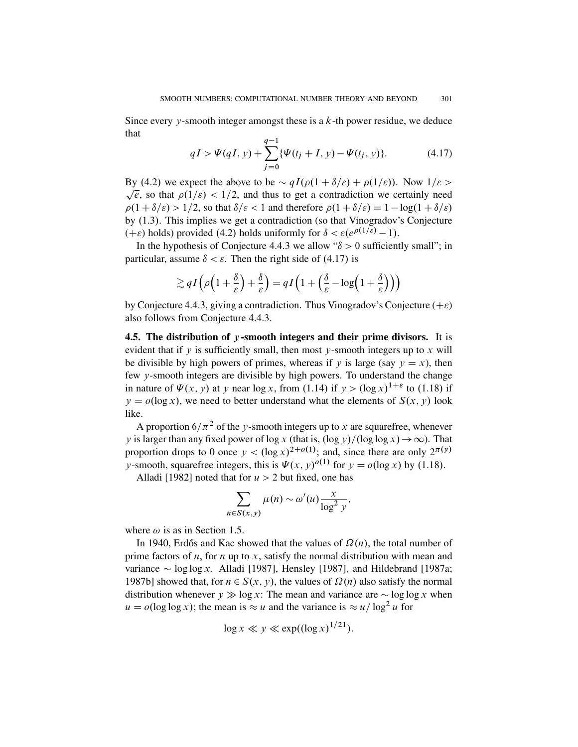Since every  $\nu$ -smooth integer amongst these is a  $k$ -th power residue, we deduce that

$$
qI > \Psi(qI, y) + \sum_{j=0}^{q-1} {\{\Psi(t_j + I, y) - \Psi(t_j, y)\}}.
$$
 (4.17)

By (4.2) we expect the above to be  $\sim qI(\rho(1 + \delta/\varepsilon) + \rho(1/\varepsilon))$ . Now  $1/\varepsilon >$  $\sqrt{e}$ , so that  $\rho(1/\varepsilon) < 1/2$ , and thus to get a contradiction we certainly need  $\rho(1 + \delta/\varepsilon) > 1/2$ , so that  $\delta/\varepsilon < 1$  and therefore  $\rho(1 + \delta/\varepsilon) = 1 - \log(1 + \delta/\varepsilon)$ by  $(1.3)$ . This implies we get a contradiction (so that Vinogradov's Conjecture  $(+\varepsilon)$  holds) provided (4.2) holds uniformly for  $\delta < \varepsilon (e^{\rho(1/\varepsilon)} - 1)$ .

In the hypothesis of Conjecture 4.4.3 we allow " $\delta > 0$  sufficiently small"; in particular, assume  $\delta < \varepsilon$ . Then the right side of (4.17) is

$$
\gtrsim qI\left(\rho\left(1+\frac{\delta}{\varepsilon}\right)+\frac{\delta}{\varepsilon}\right)=qI\left(1+\left(\frac{\delta}{\varepsilon}-\log\left(1+\frac{\delta}{\varepsilon}\right)\right)\right)
$$

by Conjecture 4.4.3, giving a contradiction. Thus Vinogradov's Conjecture  $(+\varepsilon)$ also follows from Conjecture 4.4.3.

4.5. The distribution of  $y$ -smooth integers and their prime divisors. It is evident that if y is sufficiently small, then most y-smooth integers up to x will be divisible by high powers of primes, whereas if y is large (say  $y = x$ ), then few y-smooth integers are divisible by high powers. To understand the change in nature of  $\Psi(x, y)$  at y near log x, from (1.14) if  $y > (\log x)^{1+\epsilon}$  to (1.18) if  $y = o(\log x)$ , we need to better understand what the elements of  $S(x, y)$  look like.

A proportion  $6/\pi^2$  of the y-smooth integers up to x are squarefree, whenever y is larger than any fixed power of  $\log x$  (that is,  $(\log y)/(\log \log x) \rightarrow \infty$ ). That proportion drops to 0 once  $y < (\log x)^{2+o(1)}$ ; and, since there are only  $2^{\pi(y)}$ y-smooth, squarefree integers, this is  $\Psi(x, y)^{o(1)}$  for  $y = o(\log x)$  by (1.18).

Alladi [1982] noted that for  $u > 2$  but fixed, one has

$$
\sum_{n \in S(x,y)} \mu(n) \sim \omega'(u) \frac{x}{\log^2 y},
$$

where  $\omega$  is as in Section 1.5.

In 1940, Erdős and Kac showed that the values of  $\Omega(n)$ , the total number of prime factors of  $n$ , for  $n$  up to  $x$ , satisfy the normal distribution with mean and variance  $\sim \log \log x$ . Alladi [1987], Hensley [1987], and Hildebrand [1987a; 1987b] showed that, for  $n \in S(x, y)$ , the values of  $\Omega(n)$  also satisfy the normal distribution whenever  $y \gg \log x$ : The mean and variance are  $\sim \log \log x$  when  $u = o(\log \log x)$ ; the mean is  $\approx u$  and the variance is  $\approx u/\log^2 u$  for

$$
\log x \ll y \ll \exp((\log x)^{1/21}).
$$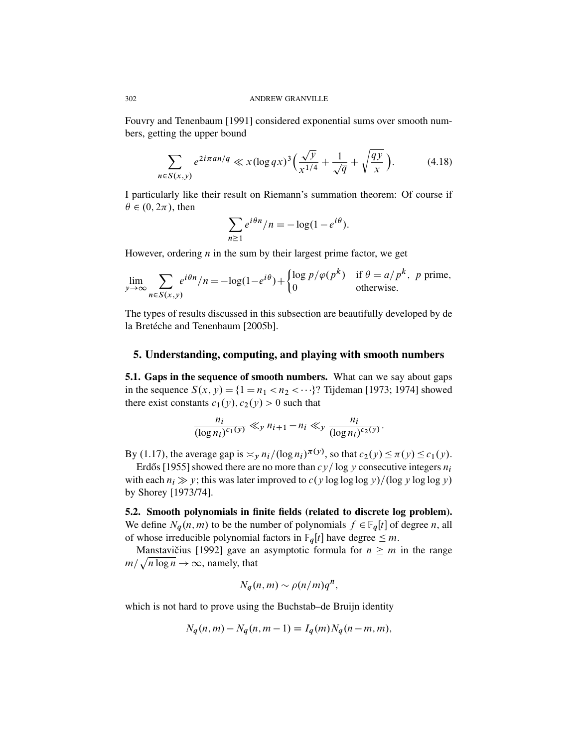Fouvry and Tenenbaum [1991] considered exponential sums over smooth numbers, getting the upper bound

$$
\sum_{n \in S(x,y)} e^{2i\pi a n/q} \ll x(\log qx)^3 \left(\frac{\sqrt{y}}{x^{1/4}} + \frac{1}{\sqrt{q}} + \sqrt{\frac{qy}{x}}\right). \tag{4.18}
$$

I particularly like their result on Riemann's summation theorem: Of course if  $\theta \in (0, 2\pi)$ , then

$$
\sum_{n\geq 1} e^{i\theta n}/n = -\log(1 - e^{i\theta}).
$$

However, ordering  $n$  in the sum by their largest prime factor, we get

$$
\lim_{y \to \infty} \sum_{n \in S(x,y)} e^{i\theta n} / n = -\log(1 - e^{i\theta}) + \begin{cases} \log p / \varphi(p^k) & \text{if } \theta = a/p^k, \ p \text{ prime,} \\ 0 & \text{otherwise.} \end{cases}
$$

The types of results discussed in this subsection are beautifully developed by de la Bretéche and Tenenbaum [2005b].

# 5. Understanding, computing, and playing with smooth numbers

5.1. Gaps in the sequence of smooth numbers. What can we say about gaps in the sequence  $S(x, y) = \{1 = n_1 < n_2 < \cdots\}$ ? Tijdeman [1973; 1974] showed there exist constants  $c_1(y)$ ,  $c_2(y) > 0$  such that

$$
\frac{n_i}{(\log n_i)^{c_1(y)}} \ll_y n_{i+1} - n_i \ll_y \frac{n_i}{(\log n_i)^{c_2(y)}}.
$$

By (1.17), the average gap is  $\frac{dy}{dx}$   $n_i/(\log n_i)^{\pi(y)}$ , so that  $c_2(y) \le \pi(y) \le c_1(y)$ .

Erdős [1955] showed there are no more than  $cy/\log y$  consecutive integers  $n_i$ with each  $n_i \gg y$ ; this was later improved to  $c(y \log \log y)/( \log y \log \log y)$ by Shorey [1973/74].

5.2. Smooth polynomials in finite fields (related to discrete log problem). We define  $N_q(n,m)$  to be the number of polynomials  $f \in \mathbb{F}_q[t]$  of degree n, all of whose irreducible polynomial factors in  $\mathbb{F}_q[t]$  have degree  $\leq m$ .

Manstavičius [1992] gave an asymptotic formula for  $n \geq m$  in the range  $m / \sqrt{n \log n} \rightarrow \infty$ , namely, that

$$
N_q(n,m) \sim \rho(n/m)q^n,
$$

which is not hard to prove using the Buchstab–de Bruijn identity

$$
N_q(n, m) - N_q(n, m - 1) = I_q(m)N_q(n - m, m),
$$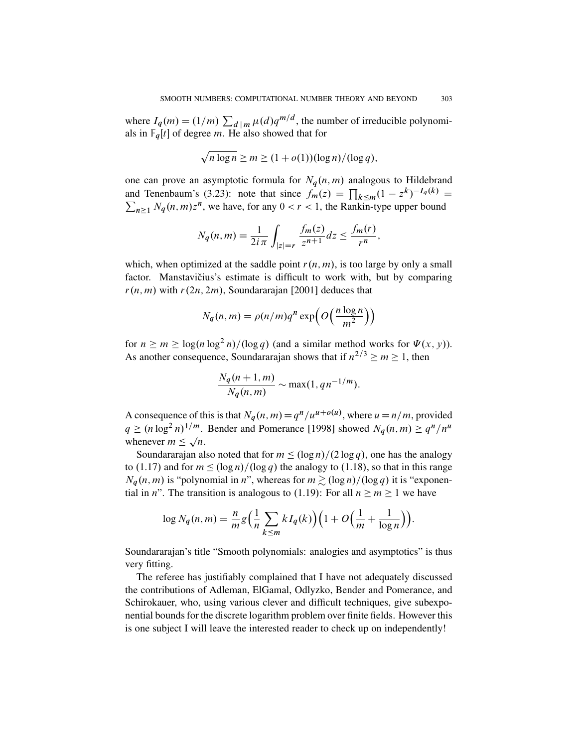where  $I_q(m) = (1/m) \sum_{d | m} \mu(d) q^{m/d}$ , the number of irreducible polynomials in  $\mathbb{F}_q[t]$  of degree m. He also showed that for

$$
\sqrt{n \log n} \ge m \ge (1 + o(1))(\log n)/(\log q),
$$

one can prove an asymptotic formula for  $N_q(n,m)$  analogous to Hildebrand and Tenenbaum's (3.23): note that since  $f_m(z) = \prod_{k \le m} (1 - z^k)^{-I_q(k)} =$  $\sum_{n\geq 1} N_q(n,m)z^n$ , we have, for any  $0 < r < 1$ , the Rankin-type upper bound

$$
N_q(n,m) = \frac{1}{2i\pi} \int_{|z|=r} \frac{f_m(z)}{z^{n+1}} dz \le \frac{f_m(r)}{r^n},
$$

which, when optimized at the saddle point  $r(n, m)$ , is too large by only a small factor. Manstavičius's estimate is difficult to work with, but by comparing  $r(n, m)$  with  $r(2n, 2m)$ , Soundararajan [2001] deduces that

$$
N_q(n,m) = \rho(n/m)q^n \exp\left(O\left(\frac{n\log n}{m^2}\right)\right)
$$

for  $n \ge m \ge \log(n \log^2 n)/(\log q)$  (and a similar method works for  $\Psi(x, y)$ ). As another consequence, Soundararajan shows that if  $n^{2/3} \ge m \ge 1$ , then

$$
\frac{N_q(n+1,m)}{N_q(n,m)} \sim \max(1, qn^{-1/m}).
$$

A consequence of this is that  $N_q(n,m) = q^n/u^{u+o(u)}$ , where  $u = n/m$ , provided  $q \ge (n \log^2 n)^{1/m}$ . Bender and Pomerance [1998] showed  $N_q(n,m) \ge q^n/n^u$ whenever  $m \leq \sqrt{n}$ .

Soundararajan also noted that for  $m \leq (\log n)/(2 \log q)$ , one has the analogy to (1.17) and for  $m \leq (\log n)/(\log q)$  the analogy to (1.18), so that in this range  $N_q(n,m)$  is "polynomial in n", whereas for  $m \gtrsim (\log n)/(\log q)$  it is "exponential in *n*". The transition is analogous to (1.19): For all  $n \ge m \ge 1$  we have

$$
\log N_q(n,m) = \frac{n}{m} g\left(\frac{1}{n}\sum_{k\leq m} k I_q(k)\right) \left(1 + O\left(\frac{1}{m} + \frac{1}{\log n}\right)\right).
$$

Soundararajan's title "Smooth polynomials: analogies and asymptotics" is thus very fitting.

The referee has justifiably complained that I have not adequately discussed the contributions of Adleman, ElGamal, Odlyzko, Bender and Pomerance, and Schirokauer, who, using various clever and difficult techniques, give subexponential bounds for the discrete logarithm problem over finite fields. However this is one subject I will leave the interested reader to check up on independently!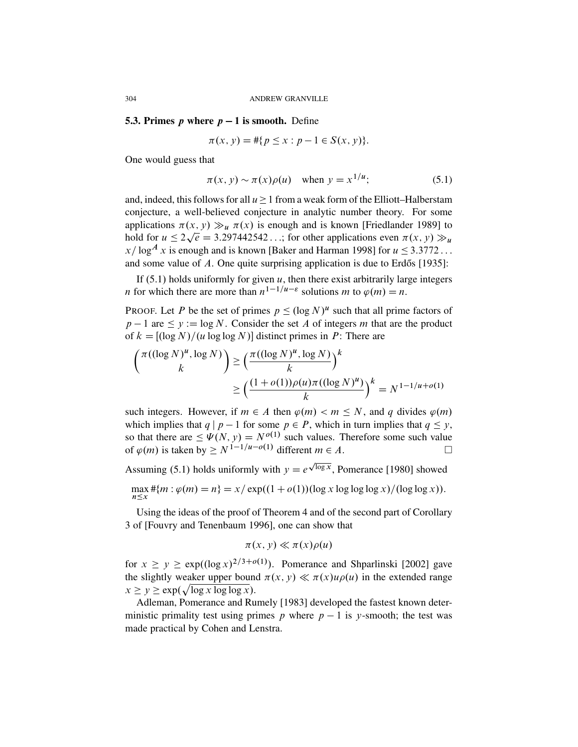# 5.3. Primes *p* where  $p - 1$  is smooth. Define

$$
\pi(x, y) = #\{p \le x : p - 1 \in S(x, y)\}.
$$

One would guess that

$$
\pi(x, y) \sim \pi(x)\rho(u) \quad \text{when } y = x^{1/u}; \tag{5.1}
$$

and, indeed, this follows for all  $u \geq 1$  from a weak form of the Elliott–Halberstam conjecture, a well-believed conjecture in analytic number theory. For some applications  $\pi(x, y) \gg_u \pi(x)$  is enough and is known [Friedlander 1989] to hold for  $u \le 2\sqrt{e} = 3.297442542...$ ; for other applications even  $\pi(x, y) \gg u$  $x/\log^4 x$  is enough and is known [Baker and Harman 1998] for  $u \le 3.3772...$ and some value of  $A$ . One quite surprising application is due to Erdős [1935]:

If  $(5.1)$  holds uniformly for given u, then there exist arbitrarily large integers *n* for which there are more than  $n^{1-1/u-\epsilon}$  solutions *m* to  $\varphi(m) = n$ .

PROOF. Let P be the set of primes  $p \leq (\log N)^u$  such that all prime factors of  $p-1$  are  $\leq v := \log N$ . Consider the set A of integers m that are the product of  $k = \left[ (\log N) / (u \log \log N) \right]$  distinct primes in P: There are

$$
\begin{aligned} \binom{\pi((\log N)^u, \log N)}{k} &\ge \left(\frac{\pi((\log N)^u, \log N)}{k}\right)^k\\ &\ge \left(\frac{(1+o(1))\rho(u)\pi((\log N)^u)}{k}\right)^k = N^{1-1/u+o(1)} \end{aligned}
$$

such integers. However, if  $m \in A$  then  $\varphi(m) < m \le N$ , and q divides  $\varphi(m)$ which implies that  $q \mid p-1$  for some  $p \in P$ , which in turn implies that  $q \leq y$ , so that there are  $\leq \Psi(N, y) = N^{o(1)}$  such values. Therefore some such value of  $\varphi(m)$  is taken by  $\geq N^{1-1/u-o(1)}$  different  $m \in A$ .

Assuming (5.1) holds uniformly with  $y = e^{\sqrt{\log x}}$ , Pomerance [1980] showed

 $\max \# \{ m : \varphi(m) = n \} = x / \exp((1 + o(1)) (\log x \log \log x) / (\log \log x)).$  $n \leq x$ 

Using the ideas of the proof of Theorem 4 and of the second part of Corollary 3 of [Fouvry and Tenenbaum 1996], one can show that

$$
\pi(x, y) \ll \pi(x)\rho(u)
$$

for  $x \ge y \ge \exp((\log x)^{2/3 + o(1)})$ . Pomerance and Shparlinski [2002] gave the slightly weaker upper bound  $\pi(x, y) \ll \pi(x)u\rho(u)$  in the extended range  $x \ge y \ge \exp(\sqrt{\log x \log \log x}).$ 

Adleman, Pomerance and Rumely [1983] developed the fastest known deterministic primality test using primes p where  $p - 1$  is y-smooth; the test was made practical by Cohen and Lenstra.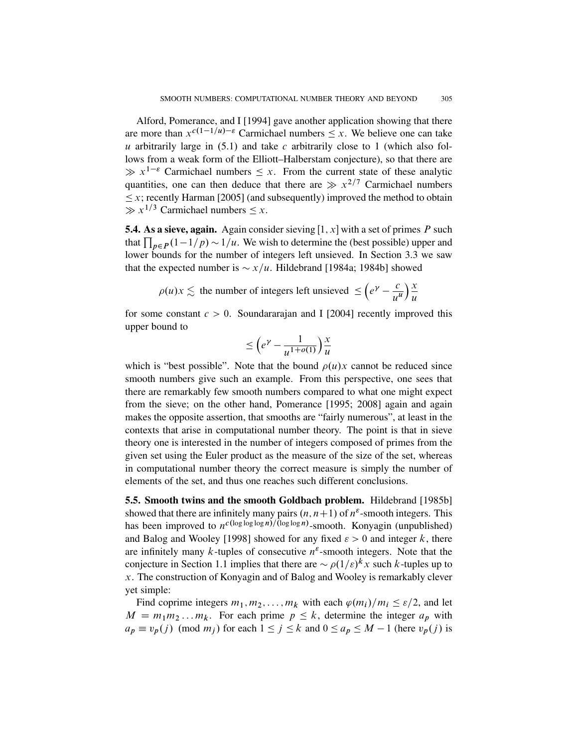Alford, Pomerance, and I [1994] gave another application showing that there are more than  $x^{c(1-1/u)-\varepsilon}$  Carmichael numbers  $\leq x$ . We believe one can take u arbitrarily large in  $(5.1)$  and take c arbitrarily close to 1 (which also follows from a weak form of the Elliott–Halberstam conjecture), so that there are  $\gg x^{1-\epsilon}$  Carmichael numbers  $\leq x$ . From the current state of these analytic quantities, one can then deduce that there are  $\gg x^{2/7}$  Carmichael numbers  $\leq$  x; recently Harman [2005] (and subsequently) improved the method to obtain  $\gg x^{1/3}$  Carmichael numbers  $\leq x$ .

**5.4.** As a sieve, again. Again consider sieving [1, x] with a set of primes P such that  $\prod_{p\in P} (1-1/p) \sim 1/u$ . We wish to determine the (best possible) upper and lower bounds for the number of integers left unsieved. In Section 3.3 we saw that the expected number is  $\sim x/u$ . Hildebrand [1984a; 1984b] showed

$$
\rho(u)x \lesssim
$$
 the number of integers left unsieved  $\leq \left(e^{\gamma} - \frac{c}{u^u}\right)\frac{x}{u}$ 

for some constant  $c > 0$ . Soundararajan and I [2004] recently improved this upper bound to

$$
\leq \left(e^{\gamma} - \frac{1}{u^{1+o(1)}}\right)\frac{x}{u}
$$

which is "best possible". Note that the bound  $\rho(u)x$  cannot be reduced since smooth numbers give such an example. From this perspective, one sees that there are remarkably few smooth numbers compared to what one might expect from the sieve; on the other hand, Pomerance [1995; 2008] again and again makes the opposite assertion, that smooths are "fairly numerous", at least in the contexts that arise in computational number theory. The point is that in sieve theory one is interested in the number of integers composed of primes from the given set using the Euler product as the measure of the size of the set, whereas in computational number theory the correct measure is simply the number of elements of the set, and thus one reaches such different conclusions.

5.5. Smooth twins and the smooth Goldbach problem. Hildebrand [1985b] showed that there are infinitely many pairs  $(n, n+1)$  of  $n^{\epsilon}$ -smooth integers. This has been improved to  $n^{c(\log \log \log n)/(\log \log n)}$ -smooth. Konyagin (unpublished) and Balog and Wooley [1998] showed for any fixed  $\varepsilon > 0$  and integer k, there are infinitely many k-tuples of consecutive  $n^{\varepsilon}$ -smooth integers. Note that the conjecture in Section 1.1 implies that there are  $\sim \rho(1/\varepsilon)^k x$  such k-tuples up to  $x$ . The construction of Konyagin and of Balog and Wooley is remarkably clever yet simple:

Find coprime integers  $m_1, m_2, \ldots, m_k$  with each  $\varphi(m_i)/m_i \leq \varepsilon/2$ , and let  $M = m_1 m_2 ... m_k$ . For each prime  $p \le k$ , determine the integer  $a_p$  with  $a_p \equiv v_p(j) \pmod{m_j}$  for each  $1 \le j \le k$  and  $0 \le a_p \le M - 1$  (here  $v_p(j)$  is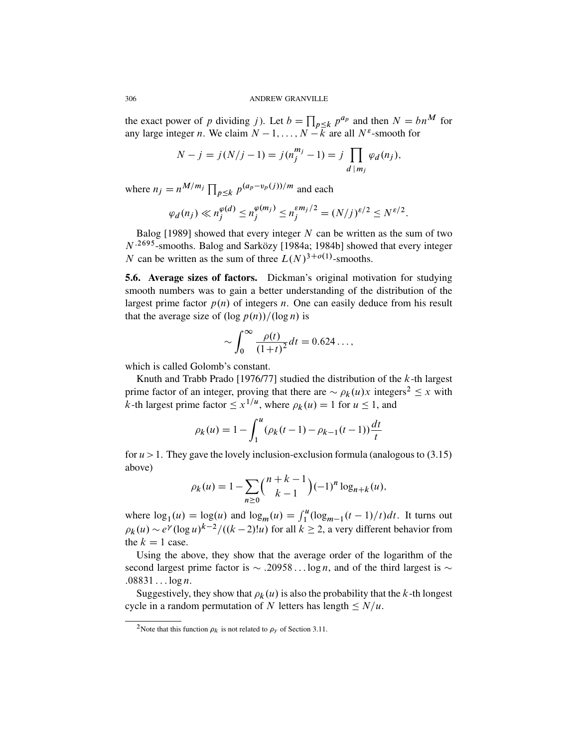the exact power of p dividing j). Let  $b = \prod_{p \le k} p^{a_p}$  and then  $N = bn^M$  for any large integer *n*. We claim  $N-1, \ldots, N-k$  are all  $N^{\varepsilon}$ -smooth for

$$
N - j = j(N/j - 1) = j(n_j^{m_j} - 1) = j \prod_{d \mid m_j} \varphi_d(n_j),
$$

where  $n_j = n^{M/m_j} \prod_{p \leq k} p^{(a_p - v_p(j))/m}$  and each

$$
\varphi_d(n_j) \ll n_j^{\varphi(d)} \le n_j^{\varphi(m_j)} \le n_j^{\varepsilon m_j/2} = (N/j)^{\varepsilon/2} \le N^{\varepsilon/2}.
$$

Balog [1989] showed that every integer  $N$  can be written as the sum of two  $N^{.2695}$ -smooths. Balog and Sarközy [1984a; 1984b] showed that every integer N can be written as the sum of three  $L(N)^{3+o(1)}$ -smooths.

5.6. Average sizes of factors. Dickman's original motivation for studying smooth numbers was to gain a better understanding of the distribution of the largest prime factor  $p(n)$  of integers n. One can easily deduce from his result that the average size of  $(\log p(n))/(log n)$  is

$$
\sim \int_0^\infty \frac{\rho(t)}{(1+t)^2} dt = 0.624\dots,
$$

which is called Golomb's constant.

Knuth and Trabb Prado [1976/77] studied the distribution of the  $k$ -th largest prime factor of an integer, proving that there are  $\sim \rho_k(u)x$  integers<sup>2</sup>  $\leq x$  with *k*-th largest prime factor  $\leq x^{1/u}$ , where  $\rho_k(u) = 1$  for  $u \leq 1$ , and

$$
\rho_k(u) = 1 - \int_1^u (\rho_k(t-1) - \rho_{k-1}(t-1)) \frac{dt}{t}
$$

for  $u > 1$ . They gave the lovely inclusion-exclusion formula (analogous to  $(3.15)$ ) above)

$$
\rho_k(u) = 1 - \sum_{n \ge 0} {n+k-1 \choose k-1} (-1)^n \log_{n+k} (u),
$$

where  $\log_1(u) = \log(u)$  and  $\log_m(u) = \int_1^u (\log_{m-1}(t-1)/t) dt$ . It turns out  $\rho_k(u) \sim e^{\gamma} (\log u)^{k-2}/((k-2)!u)$  for all  $k \ge 2$ , a very different behavior from the  $k = 1$  case.

Using the above, they show that the average order of the logarithm of the second largest prime factor is  $\sim$  .20958 ... log n, and of the third largest is  $\sim$  $.08831... \log n$ .

Suggestively, they show that  $\rho_k(u)$  is also the probability that the k-th longest cycle in a random permutation of N letters has length  $\leq N/u$ .

<sup>&</sup>lt;sup>2</sup>Note that this function  $\rho_k$  is not related to  $\rho_y$  of Section 3.11.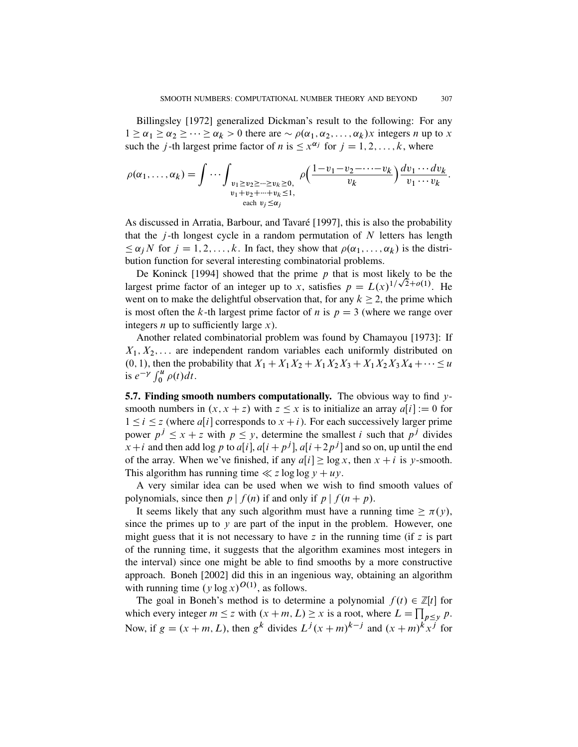Billingsley [1972] generalized Dickman's result to the following: For any  $1 \ge \alpha_1 \ge \alpha_2 \ge \cdots \ge \alpha_k > 0$  there are  $\sim \rho(\alpha_1, \alpha_2, \ldots, \alpha_k)x$  integers *n* up to *x* such the *j*-th largest prime factor of *n* is  $\leq x^{\alpha_j}$  for  $j = 1, 2, ..., k$ , where

$$
\rho(\alpha_1,\ldots,\alpha_k)=\int\cdots\int_{\substack{v_1\geq v_2\geq\cdots\geq v_k\geq 0,\\v_1+v_2+\cdots+v_k\leq 1,\\ \text{each }v_j\leq \alpha_j}}\rho\Big(\frac{1-v_1-v_2-\cdots-v_k}{v_k}\Big)\frac{dv_1\cdots dv_k}{v_1\cdots v_k}.
$$

As discussed in Arratia, Barbour, and Tavaré [1997], this is also the probability that the  $j$ -th longest cycle in a random permutation of  $N$  letters has length  $\leq \alpha_j N$  for  $j = 1, 2, ..., k$ . In fact, they show that  $\rho(\alpha_1, ..., \alpha_k)$  is the distribution function for several interesting combinatorial problems.

De Koninck [1994] showed that the prime  $p$  that is most likely to be the largest prime factor of an integer up to x, satisfies  $p = L(x)^{1/\sqrt{2} + o(1)}$ . He went on to make the delightful observation that, for any  $k \ge 2$ , the prime which is most often the k-th largest prime factor of *n* is  $p = 3$  (where we range over integers *n* up to sufficiently large  $x$ ).

Another related combinatorial problem was found by Chamayou [1973]: If  $X_1, X_2, \ldots$  are independent random variables each uniformly distributed on  $(0, 1)$ , then the probability that  $X_1 + X_1X_2 + X_1X_2X_3 + X_1X_2X_3X_4 + \cdots \le u$ is  $e^{-\gamma} \int_0^u \rho(t) dt$ .

**5.7. Finding smooth numbers computationally.** The obvious way to find  $y$ smooth numbers in  $(x, x + z)$  with  $z \le x$  is to initialize an array  $a[i] := 0$  for  $1 \le i \le z$  (where  $a[i]$  corresponds to  $x + i$ ). For each successively larger prime power  $p^{j} \leq x + z$  with  $p \leq y$ , determine the smallest i such that  $p^{j}$  divides  $x + i$  and then add log p to  $a[i]$ ,  $a[i + p^j]$ ,  $a[i + 2p^j]$  and so on, up until the end of the array. When we've finished, if any  $a[i] \ge \log x$ , then  $x + i$  is y-smooth. This algorithm has running time  $\ll z \log \log y + uy$ .

A very similar idea can be used when we wish to find smooth values of polynomials, since then  $p \mid f(n)$  if and only if  $p \mid f(n + p)$ .

It seems likely that any such algorithm must have a running time  $\geq \pi(y)$ , since the primes up to  $y$  are part of the input in the problem. However, one might guess that it is not necessary to have  $z$  in the running time (if  $z$  is part of the running time, it suggests that the algorithm examines most integers in the interval) since one might be able to find smooths by a more constructive approach. Boneh [2002] did this in an ingenious way, obtaining an algorithm with running time  $(y \log x)^{O(1)}$ , as follows.

The goal in Boneh's method is to determine a polynomial  $f(t) \in \mathbb{Z}[t]$  for which every integer  $m \le z$  with  $(x + m, L) \ge x$  is a root, where  $L = \prod_{p \le y} p$ . Now, if  $g = (x + m, L)$ , then  $g^k$  divides  $L^j (x + m)^{k-j}$  and  $(x + m)^k x^j$  for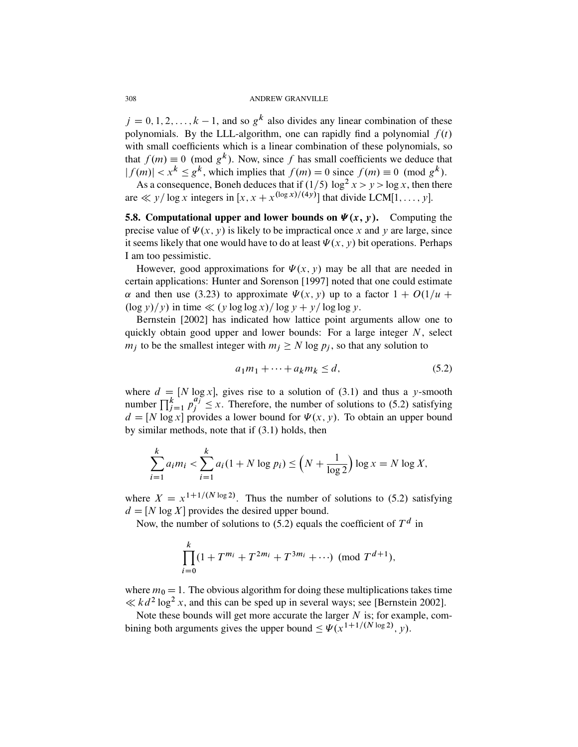$j = 0, 1, 2, \dots, k - 1$ , and so  $g^k$  also divides any linear combination of these polynomials. By the LLL-algorithm, one can rapidly find a polynomial  $f(t)$ with small coefficients which is a linear combination of these polynomials, so that  $f(m) \equiv 0 \pmod{g^k}$ . Now, since f has small coefficients we deduce that  $|f(m)| < x^k \leq g^k$ , which implies that  $f(m) = 0$  since  $f(m) \equiv 0 \pmod{g^k}$ .

As a consequence, Boneh deduces that if  $(1/5) \log^2 x > y > \log x$ , then there are  $\ll y/\log x$  integers in  $[x, x + x^{(\log x)/(4y)}]$  that divide LCM[1, ..., y].

**5.8. Computational upper and lower bounds on**  $\Psi(x, y)$ **.** Computing the precise value of  $\Psi(x, y)$  is likely to be impractical once x and y are large, since it seems likely that one would have to do at least  $\Psi(x, y)$  bit operations. Perhaps I am too pessimistic.

However, good approximations for  $\Psi(x, y)$  may be all that are needed in certain applications: Hunter and Sorenson [1997] noted that one could estimate  $\alpha$  and then use (3.23) to approximate  $\Psi(x, y)$  up to a factor  $1 + O(1/u + 1)$  $(\log y)/y$  in time  $\ll (y \log \log x)/\log y + y/\log \log y$ .

Bernstein [2002] has indicated how lattice point arguments allow one to quickly obtain good upper and lower bounds: For a large integer  $N$ , select  $m_j$  to be the smallest integer with  $m_j \ge N \log p_j$ , so that any solution to

$$
a_1m_1 + \dots + a_k m_k \le d,\tag{5.2}
$$

where  $d = [N \log x]$ , gives rise to a solution of (3.1) and thus a y-smooth number  $\prod_{j=1}^{k} p_j^{a_j} \leq x$ . Therefore, the number of solutions to (5.2) satisfying  $d = [N \log x]$  provides a lower bound for  $\Psi(x, y)$ . To obtain an upper bound by similar methods, note that if  $(3.1)$  holds, then

$$
\sum_{i=1}^{k} a_i m_i < \sum_{i=1}^{k} a_i (1 + N \log p_i) \le \left( N + \frac{1}{\log 2} \right) \log x = N \log X,
$$

where  $X = x^{1+1/(N \log 2)}$ . Thus the number of solutions to (5.2) satisfying  $d = [N \log X]$  provides the desired upper bound.

Now, the number of solutions to (5.2) equals the coefficient of  $T<sup>d</sup>$  in

$$
\prod_{i=0}^{k} (1 + T^{m_i} + T^{2m_i} + T^{3m_i} + \cdots) \pmod{T^{d+1}},
$$

where  $m_0 = 1$ . The obvious algorithm for doing these multiplications takes time  $\ll k d^2 \log^2 x$ , and this can be sped up in several ways; see [Bernstein 2002].

Note these bounds will get more accurate the larger  $N$  is; for example, combining both arguments gives the upper bound  $\leq \Psi(x^{1+1/(N \log 2)}, y)$ .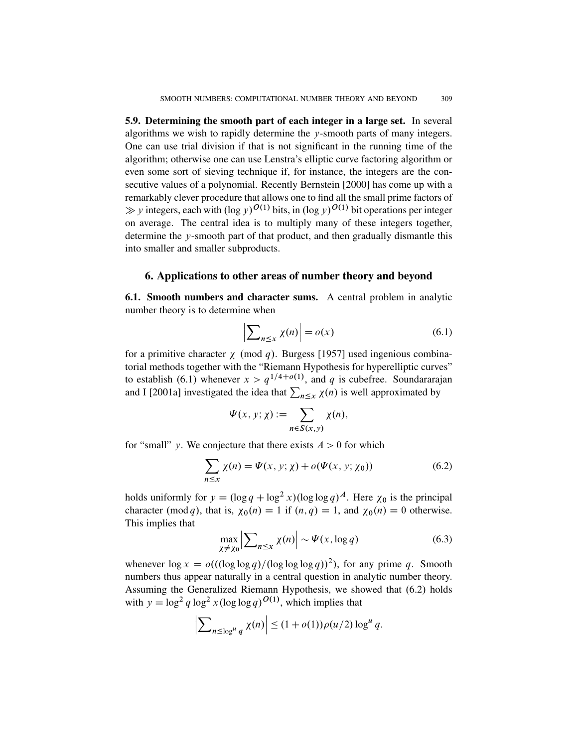5.9. Determining the smooth part of each integer in a large set. In several algorithms we wish to rapidly determine the  $y$ -smooth parts of many integers. One can use trial division if that is not significant in the running time of the algorithm; otherwise one can use Lenstra's elliptic curve factoring algorithm or even some sort of sieving technique if, for instance, the integers are the consecutive values of a polynomial. Recently Bernstein [2000] has come up with a remarkably clever procedure that allows one to find all the small prime factors of  $\gg y$  integers, each with  $(\log y)^{O(1)}$  bits, in  $(\log y)^{O(1)}$  bit operations per integer on average. The central idea is to multiply many of these integers together, determine the  $y$ -smooth part of that product, and then gradually dismantle this into smaller and smaller subproducts.

# 6. Applications to other areas of number theory and beyond

6.1. Smooth numbers and character sums. A central problem in analytic number theory is to determine when

$$
\left| \sum_{n \le x} \chi(n) \right| = o(x) \tag{6.1}
$$

for a primitive character  $\chi$  (mod q). Burgess [1957] used ingenious combinatorial methods together with the "Riemann Hypothesis for hyperelliptic curves" to establish (6.1) whenever  $x > q^{1/4+o(1)}$ , and q is cubefree. Soundararajan and I [2001a] investigated the idea that  $\sum_{n \leq x} \chi(n)$  is well approximated by

$$
\Psi(x, y; \chi) := \sum_{n \in S(x, y)} \chi(n),
$$

for "small" y. We conjecture that there exists  $A > 0$  for which

$$
\sum_{n \le x} \chi(n) = \Psi(x, y; \chi) + o(\Psi(x, y; \chi_0)) \tag{6.2}
$$

holds uniformly for  $y = (\log q + \log^2 x)(\log \log q)^A$ . Here  $\chi_0$  is the principal character (mod q), that is,  $\chi_0(n) = 1$  if  $(n, q) = 1$ , and  $\chi_0(n) = 0$  otherwise. This implies that

$$
\max_{\chi \neq \chi_0} \left| \sum_{n \le x} \chi(n) \right| \sim \Psi(x, \log q) \tag{6.3}
$$

whenever  $\log x = o(((\log \log q)/(\log \log \log q))^2)$ , for any prime q. Smooth numbers thus appear naturally in a central question in analytic number theory. Assuming the Generalized Riemann Hypothesis, we showed that  $(6.2)$  holds with  $y = \log^2 q \log^2 x (\log \log q)^{O(1)}$ , which implies that

$$
\left|\sum_{n\leq \log^u q}\chi(n)\right| \leq (1+o(1))\rho(u/2)\log^u q.
$$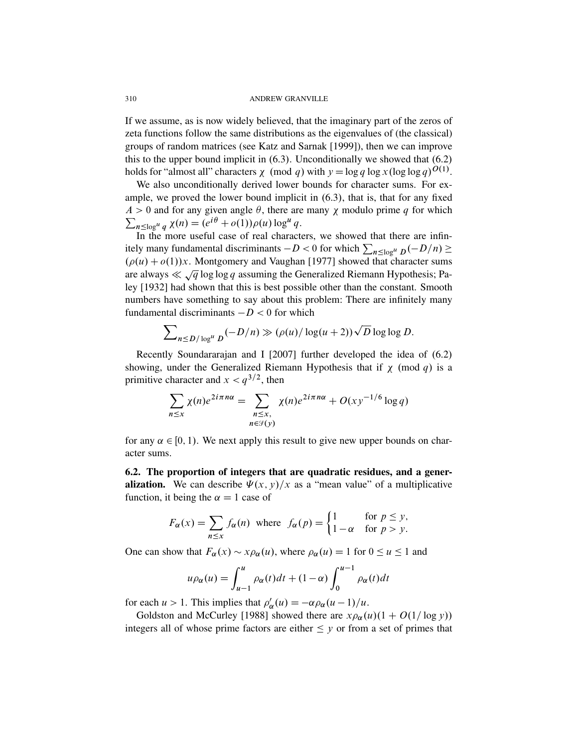If we assume, as is now widely believed, that the imaginary part of the zeros of zeta functions follow the same distributions as the eigenvalues of (the classical) groups of random matrices (see Katz and Sarnak [1999]), then we can improve this to the upper bound implicit in  $(6.3)$ . Unconditionally we showed that  $(6.2)$ holds for "almost all" characters  $\chi \pmod{q}$  with  $y = \log q \log x (\log \log q)^{O(1)}$ .

We also unconditionally derived lower bounds for character sums. For example, we proved the lower bound implicit in  $(6.3)$ , that is, that for any fixed  $\sum_{n \leq \log^u q} \chi(n) = (e^{i\theta} + o(1))\rho(u) \log^u q.$  $A > 0$  and for any given angle  $\theta$ , there are many  $\chi$  modulo prime q for which

In the more useful case of real characters, we showed that there are infinitely many fundamental discriminants  $-D < 0$  for which  $\sum_{n \leq \log^u D} (-D/n) \geq$  $(\rho(u) + o(1))x$ . Montgomery and Vaughan [1977] showed that character sums  $(\rho(u) + o(1))x$ . Montgomery and Vaugnan [1977] showed that character sums are always  $\ll \sqrt{q} \log \log q$  assuming the Generalized Riemann Hypothesis; Paley [1932] had shown that this is best possible other than the constant. Smooth numbers have something to say about this problem: There are infinitely many fundamental discriminants  $-D < 0$  for which

$$
\sum_{n \le D/\log^u D} (-D/n) \gg (\rho(u)/\log(u+2))\sqrt{D} \log \log D.
$$

Recently Soundararajan and I  $[2007]$  further developed the idea of  $(6.2)$ showing, under the Generalized Riemann Hypothesis that if  $\chi$  (mod q) is a primitive character and  $x < q^{3/2}$ , then

$$
\sum_{n \le x} \chi(n) e^{2i\pi n\alpha} = \sum_{\substack{n \le x, \\ n \in \mathcal{G}(y)}} \chi(n) e^{2i\pi n\alpha} + O(xy^{-1/6} \log q)
$$

for any  $\alpha \in [0, 1)$ . We next apply this result to give new upper bounds on character sums.

6.2. The proportion of integers that are quadratic residues, and a gener**alization.** We can describe  $\Psi(x, y)/x$  as a "mean value" of a multiplicative function, it being the  $\alpha = 1$  case of

$$
F_{\alpha}(x) = \sum_{n \le x} f_{\alpha}(n) \text{ where } f_{\alpha}(p) = \begin{cases} 1 & \text{for } p \le y, \\ 1 - \alpha & \text{for } p > y. \end{cases}
$$

One can show that  $F_{\alpha}(x) \sim x \rho_{\alpha}(u)$ , where  $\rho_{\alpha}(u) = 1$  for  $0 \le u \le 1$  and

$$
u\rho_{\alpha}(u) = \int_{u-1}^{u} \rho_{\alpha}(t)dt + (1-\alpha)\int_{0}^{u-1} \rho_{\alpha}(t)dt
$$

for each  $u > 1$ . This implies that  $\rho'_c$  $\alpha'_{\alpha}(u) = -\alpha \rho_{\alpha}(u-1)/u.$ 

Goldston and McCurley [1988] showed there are  $x \rho_{\alpha}(u) (1 + O(1/\log y))$ integers all of whose prime factors are either  $\leq y$  or from a set of primes that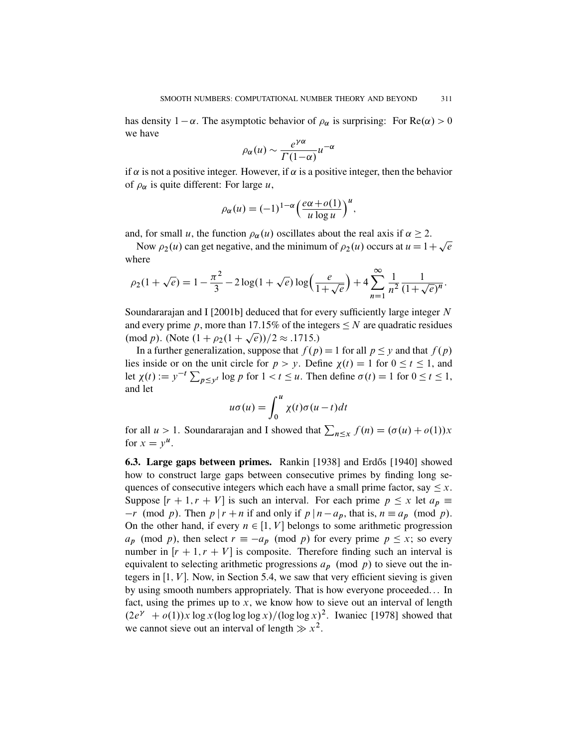has density  $1 - \alpha$ . The asymptotic behavior of  $\rho_{\alpha}$  is surprising: For Re( $\alpha$ ) > 0 we have

$$
\rho_{\alpha}(u) \sim \frac{e^{\gamma \alpha}}{\Gamma(1-\alpha)} u^{-\alpha}
$$

if  $\alpha$  is not a positive integer. However, if  $\alpha$  is a positive integer, then the behavior of  $\rho_{\alpha}$  is quite different: For large u,

$$
\rho_{\alpha}(u) = (-1)^{1-\alpha} \left( \frac{e\alpha + o(1)}{u \log u} \right)^u,
$$

and, for small u, the function  $\rho_{\alpha}(u)$  oscillates about the real axis if  $\alpha \geq 2$ .

Now  $\rho_2(u)$  can get negative, and the minimum of  $\rho_2(u)$  occurs at  $u = 1 + \sqrt{e}$ p where

$$
\rho_2(1+\sqrt{e}) = 1 - \frac{\pi^2}{3} - 2\log(1+\sqrt{e})\log\left(\frac{e}{1+\sqrt{e}}\right) + 4\sum_{n=1}^{\infty}\frac{1}{n^2}\frac{1}{(1+\sqrt{e})^n}.
$$

Soundararajan and I [2001b] deduced that for every sufficiently large integer  $N$ and every prime p, more than 17.15% of the integers  $\leq N$  are quadratic residues (mod *p*). (Note  $(1 + \rho_2(1 + \sqrt{e}))/2 \approx .1715$ .)

In a further generalization, suppose that  $f(p) = 1$  for all  $p \le y$  and that  $f(p)$ lies inside or on the unit circle for  $p > y$ . Define  $\chi(t) = 1$  for  $0 \le t \le 1$ , and let  $\chi(t) := y^{-t} \sum_{p \leq y^t} \log p$  for  $1 < t \leq u$ . Then define  $\sigma(t) = 1$  for  $0 \leq t \leq 1$ , and let

$$
u\sigma(u) = \int_0^u \chi(t)\sigma(u-t)dt
$$

for all  $u > 1$ . Soundararajan and I showed that  $\sum_{n \leq x} f(n) = (\sigma(u) + o(1))x$ for  $x = y^u$ .

6.3. Large gaps between primes. Rankin [1938] and Erdős [1940] showed how to construct large gaps between consecutive primes by finding long sequences of consecutive integers which each have a small prime factor, say  $\leq x$ . Suppose  $[r + 1, r + V]$  is such an interval. For each prime  $p \le x$  let  $a_p \equiv$  $-r \pmod{p}$ . Then  $p | r + n$  if and only if  $p | n - a_p$ , that is,  $n \equiv a_p \pmod{p}$ . On the other hand, if every  $n \in [1, V]$  belongs to some arithmetic progression  $a_p \pmod{p}$ , then select  $r \equiv -a_p \pmod{p}$  for every prime  $p \leq x$ ; so every number in  $[r + 1, r + V]$  is composite. Therefore finding such an interval is equivalent to selecting arithmetic progressions  $a_p \pmod{p}$  to sieve out the integers in  $[1, V]$ . Now, in Section 5.4, we saw that very efficient sieving is given by using smooth numbers appropriately. That is how everyone proceeded. . . In fact, using the primes up to x, we know how to sieve out an interval of length  $(2e^{\gamma} + o(1))x \log x (\log \log x)/(\log \log x)^2$ . Iwaniec [1978] showed that we cannot sieve out an interval of length  $\gg x^2$ .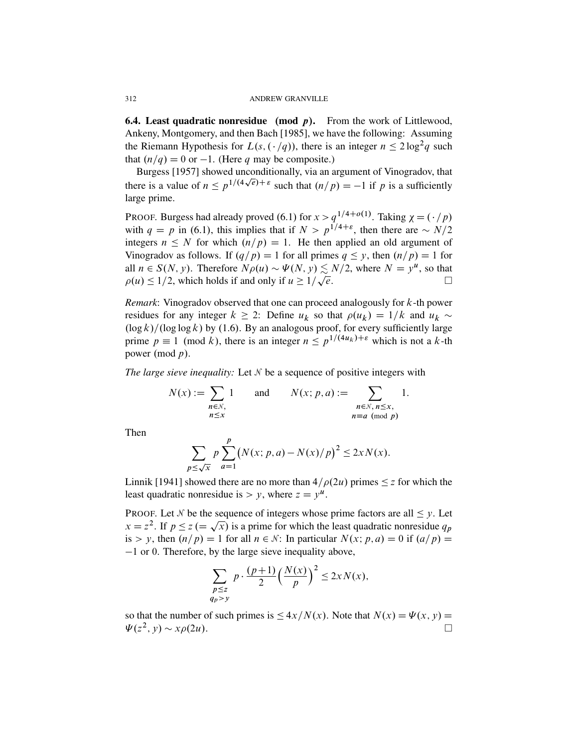**6.4. Least quadratic nonresidue (mod**  $p$ **).** From the work of Littlewood, Ankeny, Montgomery, and then Bach [1985], we have the following: Assuming the Riemann Hypothesis for  $L(s, (\cdot/q))$ , there is an integer  $n \leq 2 \log^2 q$  such that  $(n/q) = 0$  or  $-1$ . (Here q may be composite.)

Burgess [1957] showed unconditionally, via an argument of Vinogradov, that p there is a value of  $n \leq p^{1/(4\sqrt{e})+\varepsilon}$  such that  $(n/p) = -1$  if p is a sufficiently large prime.

PROOF. Burgess had already proved (6.1) for  $x > q^{1/4+o(1)}$ . Taking  $\chi = (\cdot / p)$ with  $q = p$  in (6.1), this implies that if  $N > p^{1/4+\epsilon}$ , then there are  $\sim N/2$ integers  $n \leq N$  for which  $(n/p) = 1$ . He then applied an old argument of Vinogradov as follows. If  $\left(\frac{q}{p}\right) = 1$  for all primes  $q \leq y$ , then  $\left(\frac{n}{p}\right) = 1$  for all  $n \in S(N, y)$ . Therefore  $N\rho(u) \sim \Psi(N, y) \lesssim N/2$ , where  $N = y^u$ , so that  $\rho(u) \leq 1/2$ , which holds if and only if  $u \geq 1/\sqrt{e}$ .  $\overline{e}$ .

*Remark*: Vinogradov observed that one can proceed analogously for k-th power residues for any integer  $k \ge 2$ : Define  $u_k$  so that  $\rho(u_k) = 1/k$  and  $u_k \sim$  $(\log k)/(\log \log k)$  by (1.6). By an analogous proof, for every sufficiently large prime  $p \equiv 1 \pmod{k}$ , there is an integer  $n \leq p^{1/(4u_k) + \varepsilon}$  which is not a k-th power (mod  $p$ ).

*The large sieve inequality:* Let N be a sequence of positive integers with

$$
N(x) := \sum_{\substack{n \in \mathcal{N}, \\ n \le x}} 1 \quad \text{and} \quad N(x; p, a) := \sum_{\substack{n \in \mathcal{N}, \\ n \equiv a \pmod{p}}} 1.
$$

Then

$$
\sum_{p \le \sqrt{x}} p \sum_{a=1}^{p} (N(x; p, a) - N(x)/p)^{2} \le 2x N(x).
$$

Linnik [1941] showed there are no more than  $4/\rho(2u)$  primes  $\leq z$  for which the least quadratic nonresidue is  $> y$ , where  $z = y^u$ .

PROOF. Let N be the sequence of integers whose prime factors are all  $\leq y$ . Let  $x = z^2$ . If  $p \le z (= \sqrt{x})$  is a prime for which the least quadratic nonresidue  $q_p$ is > y, then  $(n/p) = 1$  for all  $n \in \mathcal{N}$ : In particular  $N(x; p, a) = 0$  if  $\left(\frac{a}{p}\right)$  =  $-1$  or 0. Therefore, by the large sieve inequality above,

$$
\sum_{\substack{p \le z \\ q_p > y}} p \cdot \frac{(p+1)}{2} \left(\frac{N(x)}{p}\right)^2 \le 2x N(x),
$$

so that the number of such primes is  $\leq 4x/N(x)$ . Note that  $N(x) = \Psi(x, y)$  =  $\Psi(z^2, y) \sim x \rho(2u).$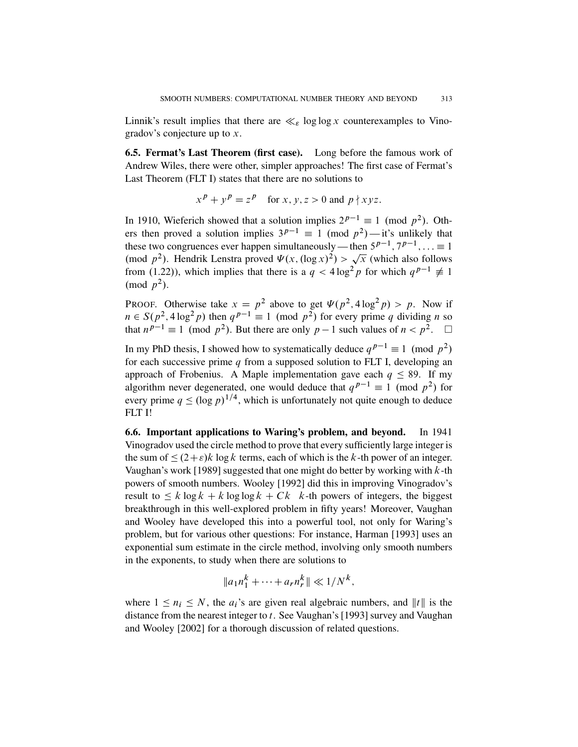Linnik's result implies that there are  $\ll_{\varepsilon} \log \log x$  counterexamples to Vinogradov's conjecture up to  $x$ .

6.5. Fermat's Last Theorem (first case). Long before the famous work of Andrew Wiles, there were other, simpler approaches! The first case of Fermat's Last Theorem (FLT I) states that there are no solutions to

$$
xp + yp = zp \text{ for } x, y, z > 0 \text{ and } p \nmid xyz.
$$

In 1910, Wieferich showed that a solution implies  $2^{p-1} \equiv 1 \pmod{p^2}$ . Others then proved a solution implies  $3^{p-1} \equiv 1 \pmod{p^2}$ —it's unlikely that these two congruences ever happen simultaneously — then  $5^{p-1}$ ,  $7^{p-1}$ ,  $\ldots \equiv 1$ these two congruences ever happen simultaneously — then  $5^{p-1}$ ,  $7^{p-2}$ , ...  $\equiv 1$  (mod  $p^2$ ). Hendrik Lenstra proved  $\Psi(x, (\log x)^2) > \sqrt{x}$  (which also follows from (1.22)), which implies that there is a  $q < 4 \log^2 p$  for which  $q^{p-1} \neq 1$  $\pmod{p^2}$ .

PROOF. Otherwise take  $x = p^2$  above to get  $\Psi(p^2, 4\log^2 p) > p$ . Now if  $n \in S(p^2, 4\log^2 p)$  then  $q^{p-1} \equiv 1 \pmod{p^2}$  for every prime q dividing n so that  $n^{p-1} \equiv 1 \pmod{p^2}$ . But there are only  $p-1$  such values of  $n < p^2$ .

In my PhD thesis, I showed how to systematically deduce  $q^{p-1} \equiv 1 \pmod{p^2}$ for each successive prime  $q$  from a supposed solution to FLT I, developing an approach of Frobenius. A Maple implementation gave each  $q \leq 89$ . If my algorithm never degenerated, one would deduce that  $q^{p-1} \equiv 1 \pmod{p^2}$  for every prime  $q \leq (\log p)^{1/4}$ , which is unfortunately not quite enough to deduce FLT I!

6.6. Important applications to Waring's problem, and beyond. In 1941 Vinogradov used the circle method to prove that every sufficiently large integer is the sum of  $\leq (2+\varepsilon)k \log k$  terms, each of which is the k-th power of an integer. Vaughan's work [1989] suggested that one might do better by working with  $k$ -th powers of smooth numbers. Wooley [1992] did this in improving Vinogradov's result to  $\leq k \log k + k \log \log k + Ck$  k-th powers of integers, the biggest breakthrough in this well-explored problem in fifty years! Moreover, Vaughan and Wooley have developed this into a powerful tool, not only for Waring's problem, but for various other questions: For instance, Harman [1993] uses an exponential sum estimate in the circle method, involving only smooth numbers in the exponents, to study when there are solutions to

$$
||a_1n_1^k + \dots + a_rn_r^k|| \ll 1/N^k,
$$

where  $1 \leq n_i \leq N$ , the  $a_i$ 's are given real algebraic numbers, and  $||t||$  is the distance from the nearest integer to  $t$ . See Vaughan's [1993] survey and Vaughan and Wooley [2002] for a thorough discussion of related questions.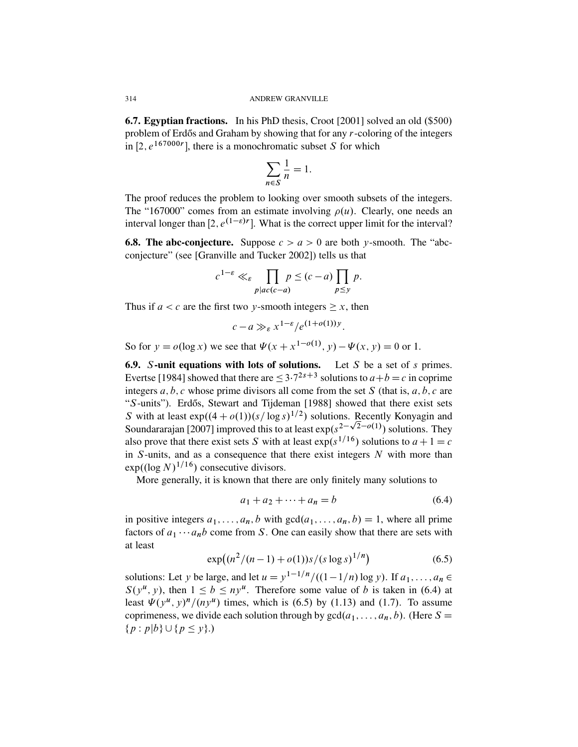**6.7. Egyptian fractions.** In his PhD thesis, Croot  $[2001]$  solved an old  $(\$500)$ problem of Erdős and Graham by showing that for any  $r$ -coloring of the integers in [2,  $e^{167000r}$ ], there is a monochromatic subset S for which

$$
\sum_{n \in S} \frac{1}{n} = 1.
$$

The proof reduces the problem to looking over smooth subsets of the integers. The "167000" comes from an estimate involving  $\rho(u)$ . Clearly, one needs an interval longer than  $[2, e^{(1-\epsilon)r}]$ . What is the correct upper limit for the interval?

**6.8. The abc-conjecture.** Suppose  $c > a > 0$  are both y-smooth. The "abcconjecture" (see [Granville and Tucker 2002]) tells us that

$$
c^{1-\varepsilon} \ll_{\varepsilon} \prod_{p \mid ac(c-a)} p \le (c-a) \prod_{p \le y} p.
$$

Thus if  $a < c$  are the first two y-smooth integers  $\geq x$ , then

$$
c - a \gg_{\varepsilon} x^{1 - \varepsilon} / e^{(1 + o(1))y}.
$$

So for  $y = o(\log x)$  we see that  $\Psi(x + x^{1-o(1)}, y) - \Psi(x, y) = 0$  or 1.

6.9. S-unit equations with lots of solutions. Let S be a set of s primes. Evertse [1984] showed that there are  $\leq 3.7^{2s+3}$  solutions to  $a+b=c$  in coprime integers a, b, c whose prime divisors all come from the set S (that is, a, b, c are "S-units"). Erdős, Stewart and Tijdeman [1988] showed that there exist sets S with at least  $\exp((4 + o(1))(s/\log s)^{1/2})$  solutions. Recently Konyagin and Soundararajan [2007] improved this to at least  $\exp(s^{2-\sqrt{2}-o(1)})$  solutions. They also prove that there exist sets S with at least  $\exp(s^{1/16})$  solutions to  $a + 1 = c$ in  $S$ -units, and as a consequence that there exist integers  $N$  with more than  $exp((\log N)^{1/16})$  consecutive divisors.

More generally, it is known that there are only finitely many solutions to

$$
a_1 + a_2 + \dots + a_n = b \tag{6.4}
$$

in positive integers  $a_1, \ldots, a_n, b$  with  $gcd(a_1, \ldots, a_n, b) = 1$ , where all prime factors of  $a_1 \cdots a_n b$  come from S. One can easily show that there are sets with at least

$$
\exp\left((n^2/(n-1)+o(1))s/(s\log s)^{1/n}\right) \tag{6.5}
$$

solutions: Let y be large, and let  $u = y^{1-1/n}/((1-1/n)\log y)$ . If  $a_1, \ldots, a_n \in$  $S(y^u, y)$ , then  $1 \leq b \leq ny^u$ . Therefore some value of b is taken in (6.4) at least  $\Psi(y^u, y)^n/(ny^u)$  times, which is (6.5) by (1.13) and (1.7). To assume coprimeness, we divide each solution through by  $gcd(a_1, \ldots, a_n, b)$ . (Here  $S =$  ${p : p | b} \cup {p \leq y}$ .)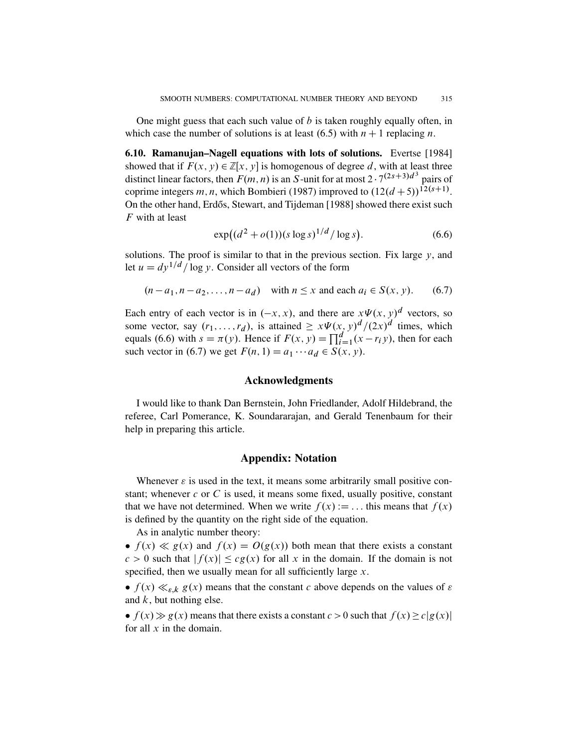One might guess that each such value of  $b$  is taken roughly equally often, in which case the number of solutions is at least  $(6.5)$  with  $n + 1$  replacing n.

6.10. Ramanujan–Nagell equations with lots of solutions. Evertse [1984] showed that if  $F(x, y) \in \mathbb{Z}[x, y]$  is homogenous of degree d, with at least three distinct linear factors, then  $F(m, n)$  is an S-unit for at most  $2 \cdot 7^{(2s+3)d^3}$  pairs of coprime integers m, n, which Bombieri (1987) improved to  $(12(d+5))^{12(s+1)}$ . On the other hand, Erdős, Stewart, and Tijdeman [1988] showed there exist such F with at least

$$
\exp\left((d^2 + o(1))(s \log s)^{1/d} / \log s\right). \tag{6.6}
$$

solutions. The proof is similar to that in the previous section. Fix large  $y$ , and let  $u = dy^{1/d}/\log y$ . Consider all vectors of the form

$$
(n - a_1, n - a_2, \dots, n - a_d) \quad \text{with } n \le x \text{ and each } a_i \in S(x, y). \tag{6.7}
$$

Each entry of each vector is in  $(-x, x)$ , and there are  $x \Psi(x, y)$ <sup>d</sup> vectors, so some vector, say  $(r_1, \ldots, r_d)$ , is attained  $\geq x \Psi(x, y)^d / (2x)^d$  times, which equals (6.6) with  $s = \pi(y)$ . Hence if  $F(x, y) = \prod_{i=1}^{d} (x - r_i y)$ , then for each such vector in (6.7) we get  $F(n, 1) = a_1 \cdots a_d \in S(x, y)$ .

# Acknowledgments

I would like to thank Dan Bernstein, John Friedlander, Adolf Hildebrand, the referee, Carl Pomerance, K. Soundararajan, and Gerald Tenenbaum for their help in preparing this article.

# Appendix: Notation

Whenever  $\varepsilon$  is used in the text, it means some arbitrarily small positive constant; whenever  $c$  or  $C$  is used, it means some fixed, usually positive, constant that we have not determined. When we write  $f(x) := \ldots$  this means that  $f(x)$ is defined by the quantity on the right side of the equation.

As in analytic number theory:

•  $f(x) \ll g(x)$  and  $f(x) = O(g(x))$  both mean that there exists a constant  $c > 0$  such that  $|f(x)| \leq cg(x)$  for all x in the domain. If the domain is not specified, then we usually mean for all sufficiently large  $x$ .

•  $f(x) \ll_{\varepsilon,k} g(x)$  means that the constant c above depends on the values of  $\varepsilon$ and  $k$ , but nothing else.

•  $f(x) \gg g(x)$  means that there exists a constant  $c > 0$  such that  $f(x) \ge c|g(x)|$ for all  $x$  in the domain.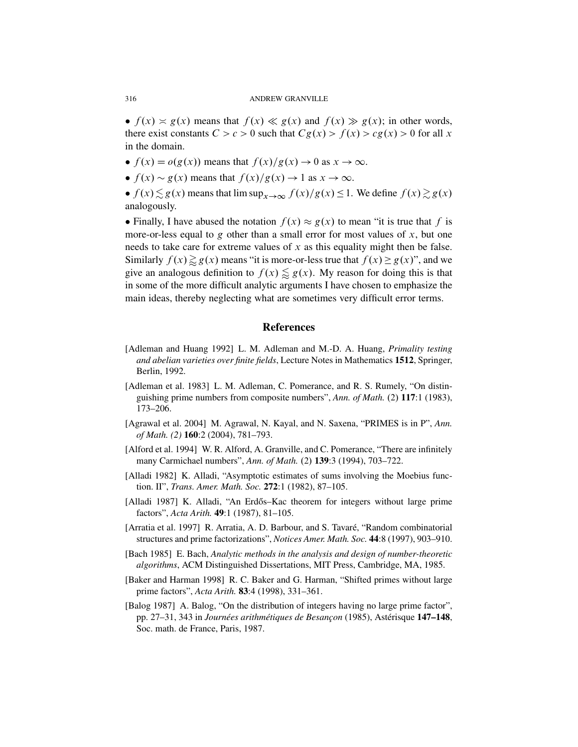•  $f(x) \approx g(x)$  means that  $f(x) \ll g(x)$  and  $f(x) \gg g(x)$ ; in other words, there exist constants  $C > c > 0$  such that  $Cg(x) > f(x) > cg(x) > 0$  for all x in the domain.

- $f(x) = o(g(x))$  means that  $f(x)/g(x) \to 0$  as  $x \to \infty$ .
- $f(x) \sim g(x)$  means that  $f(x)/g(x) \to 1$  as  $x \to \infty$ .

 $\bullet$   $f(x) \leq g(x)$  means that lim sup $\bullet$   $f(x)/g(x) \leq 1$ . We define  $f(x) \geq g(x)$ analogously.

• Finally, I have abused the notation  $f(x) \approx g(x)$  to mean "it is true that f is more-or-less equal to g other than a small error for most values of  $x$ , but one needs to take care for extreme values of  $x$  as this equality might then be false. Similarly  $f(x) \gtrsim g(x)$  means "it is more-or-less true that  $f(x) \ge g(x)$ ", and we give an analogous definition to  $f(x) \lessapprox g(x)$ . My reason for doing this is that in some of the more difficult analytic arguments I have chosen to emphasize the main ideas, thereby neglecting what are sometimes very difficult error terms.

# References

- [Adleman and Huang 1992] L. M. Adleman and M.-D. A. Huang, *Primality testing and abelian varieties over finite fields*, Lecture Notes in Mathematics 1512, Springer, Berlin, 1992.
- [Adleman et al. 1983] L. M. Adleman, C. Pomerance, and R. S. Rumely, "On distinguishing prime numbers from composite numbers", *Ann. of Math.* (2) 117:1 (1983), 173–206.
- [Agrawal et al. 2004] M. Agrawal, N. Kayal, and N. Saxena, "PRIMES is in P", *Ann. of Math. (2)* 160:2 (2004), 781–793.
- [Alford et al. 1994] W. R. Alford, A. Granville, and C. Pomerance, "There are infinitely many Carmichael numbers", Ann. of Math. (2) 139:3 (1994), 703-722.
- [Alladi 1982] K. Alladi, "Asymptotic estimates of sums involving the Moebius function. II", *Trans. Amer. Math. Soc.* 272:1 (1982), 87–105.
- [Alladi 1987] K. Alladi, "An Erdős–Kac theorem for integers without large prime factors", *Acta Arith.* 49:1 (1987), 81–105.
- [Arratia et al. 1997] R. Arratia, A. D. Barbour, and S. Tavare, "Random combinatorial ´ structures and prime factorizations", *Notices Amer. Math. Soc.* 44:8 (1997), 903–910.
- [Bach 1985] E. Bach, *Analytic methods in the analysis and design of number-theoretic algorithms*, ACM Distinguished Dissertations, MIT Press, Cambridge, MA, 1985.
- [Baker and Harman 1998] R. C. Baker and G. Harman, "Shifted primes without large prime factors", *Acta Arith.* 83:4 (1998), 331–361.
- [Balog 1987] A. Balog, "On the distribution of integers having no large prime factor", pp. 27–31, 343 in *Journées arithmétiques de Besançon* (1985), Astérisque 147–148, Soc. math. de France, Paris, 1987.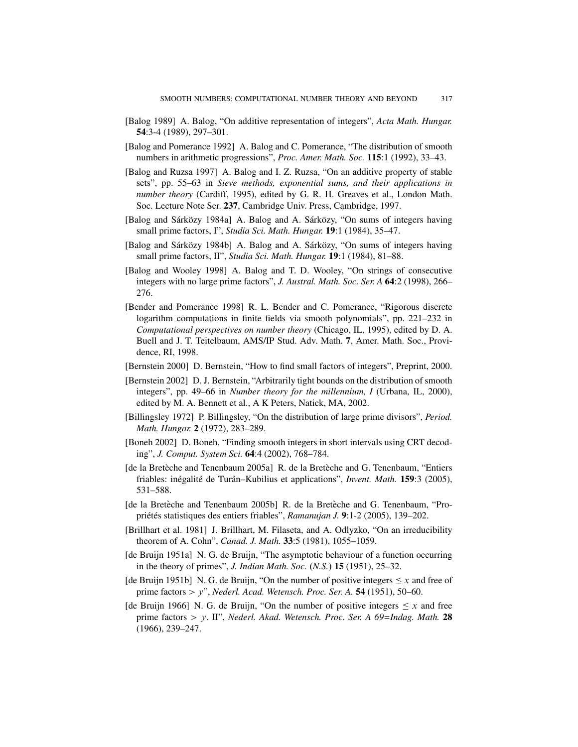- [Balog 1989] A. Balog, "On additive representation of integers", *Acta Math. Hungar.* 54:3-4 (1989), 297–301.
- [Balog and Pomerance 1992] A. Balog and C. Pomerance, "The distribution of smooth numbers in arithmetic progressions", *Proc. Amer. Math. Soc.* 115:1 (1992), 33–43.
- [Balog and Ruzsa 1997] A. Balog and I. Z. Ruzsa, "On an additive property of stable sets", pp. 55–63 in *Sieve methods, exponential sums, and their applications in number theory* (Cardiff, 1995), edited by G. R. H. Greaves et al., London Math. Soc. Lecture Note Ser. 237, Cambridge Univ. Press, Cambridge, 1997.
- [Balog and Sárközy 1984a] A. Balog and A. Sárközy, "On sums of integers having small prime factors, I", *Studia Sci. Math. Hungar.* 19:1 (1984), 35–47.
- [Balog and Sárközy 1984b] A. Balog and A. Sárközy, "On sums of integers having small prime factors, II", *Studia Sci. Math. Hungar.* 19:1 (1984), 81–88.
- [Balog and Wooley 1998] A. Balog and T. D. Wooley, "On strings of consecutive integers with no large prime factors", *J. Austral. Math. Soc. Ser. A* 64:2 (1998), 266– 276.
- [Bender and Pomerance 1998] R. L. Bender and C. Pomerance, "Rigorous discrete logarithm computations in finite fields via smooth polynomials", pp. 221–232 in *Computational perspectives on number theory* (Chicago, IL, 1995), edited by D. A. Buell and J. T. Teitelbaum, AMS/IP Stud. Adv. Math. 7, Amer. Math. Soc., Providence, RI, 1998.
- [Bernstein 2000] D. Bernstein, "How to find small factors of integers", Preprint, 2000.
- [Bernstein 2002] D. J. Bernstein, "Arbitrarily tight bounds on the distribution of smooth integers", pp. 49–66 in *Number theory for the millennium, I* (Urbana, IL, 2000), edited by M. A. Bennett et al., A K Peters, Natick, MA, 2002.
- [Billingsley 1972] P. Billingsley, "On the distribution of large prime divisors", *Period. Math. Hungar.* 2 (1972), 283–289.
- [Boneh 2002] D. Boneh, "Finding smooth integers in short intervals using CRT decoding", *J. Comput. System Sci.* 64:4 (2002), 768–784.
- [de la Bretèche and Tenenbaum 2005a] R. de la Bretèche and G. Tenenbaum, "Entiers friables: inégalité de Turán–Kubilius et applications", *Invent. Math.* **159**:3 (2005), 531–588.
- [de la Bretèche and Tenenbaum 2005b] R. de la Bretèche and G. Tenenbaum, "Propriétés statistiques des entiers friables", *Ramanujan J.* 9:1-2 (2005), 139–202.
- [Brillhart et al. 1981] J. Brillhart, M. Filaseta, and A. Odlyzko, "On an irreducibility theorem of A. Cohn", *Canad. J. Math.* 33:5 (1981), 1055–1059.
- [de Bruijn 1951a] N. G. de Bruijn, "The asymptotic behaviour of a function occurring in the theory of primes", *J. Indian Math. Soc.* (*N.S.*) **15** (1951), 25-32.
- [de Bruijn 1951b] N. G. de Bruijn, "On the number of positive integers  $\leq x$  and free of prime factors > y", *Nederl. Acad. Wetensch. Proc. Ser. A.* 54 (1951), 50–60.
- [de Bruijn 1966] N. G. de Bruijn, "On the number of positive integers  $\leq x$  and free prime factors > y. II", *Nederl. Akad. Wetensch. Proc. Ser. A 69=Indag. Math.* 28 (1966), 239–247.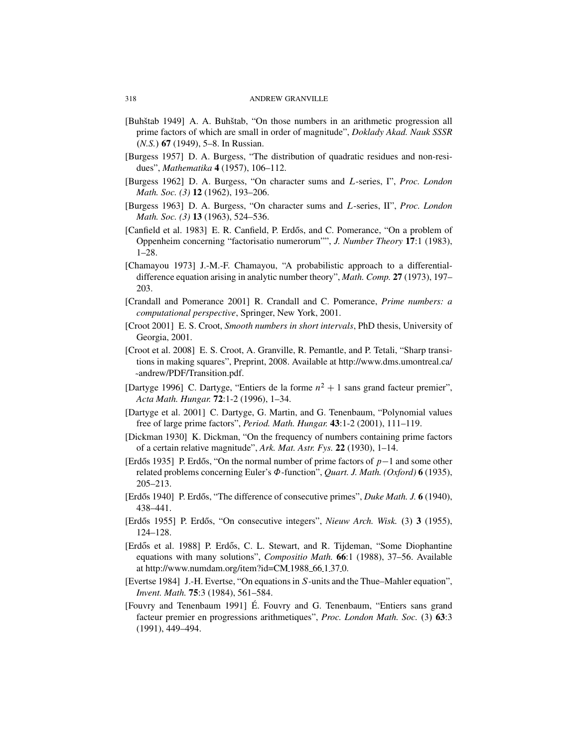- [Buhštab 1949] A. A. Buhštab, "On those numbers in an arithmetic progression all prime factors of which are small in order of magnitude", *Doklady Akad. Nauk SSSR* .*N.S.*/ 67 (1949), 5–8. In Russian.
- [Burgess 1957] D. A. Burgess, "The distribution of quadratic residues and non-residues", *Mathematika* 4 (1957), 106–112.
- [Burgess 1962] D. A. Burgess, "On character sums and L-series, I", *Proc. London Math. Soc. (3)* 12 (1962), 193–206.
- [Burgess 1963] D. A. Burgess, "On character sums and L-series, II", *Proc. London Math. Soc. (3)* 13 (1963), 524–536.
- [Canfield et al. 1983] E. R. Canfield, P. Erdős, and C. Pomerance, "On a problem of Oppenheim concerning "factorisatio numerorum"", *J. Number Theory* 17:1 (1983), 1–28.
- [Chamayou 1973] J.-M.-F. Chamayou, "A probabilistic approach to a differentialdifference equation arising in analytic number theory", *Math. Comp.* 27 (1973), 197– 203.
- [Crandall and Pomerance 2001] R. Crandall and C. Pomerance, *Prime numbers: a computational perspective*, Springer, New York, 2001.
- [Croot 2001] E. S. Croot, *Smooth numbers in short intervals*, PhD thesis, University of Georgia, 2001.
- [Croot et al. 2008] E. S. Croot, A. Granville, R. Pemantle, and P. Tetali, "Sharp transitions in making squares", Preprint, 2008. Available at http://www.dms.umontreal.ca/ ˜ andrew/PDF/Transition.pdf.
- [Dartyge 1996] C. Dartyge, "Entiers de la forme  $n^2 + 1$  sans grand facteur premier", *Acta Math. Hungar.* 72:1-2 (1996), 1–34.
- [Dartyge et al. 2001] C. Dartyge, G. Martin, and G. Tenenbaum, "Polynomial values free of large prime factors", *Period. Math. Hungar.* 43:1-2 (2001), 111–119.
- [Dickman 1930] K. Dickman, "On the frequency of numbers containing prime factors of a certain relative magnitude", *Ark. Mat. Astr. Fys.* 22 (1930), 1–14.
- [Erdős 1935] P. Erdős, "On the normal number of prime factors of  $p-1$  and some other related problems concerning Euler's  $\Phi$ -function", *Quart. J. Math. (Oxford)* 6 (1935), 205–213.
- [Erdős 1940] P. Erdős, "The difference of consecutive primes", Duke Math. J. 6 (1940), 438–441.
- [Erdős 1955] P. Erdős, "On consecutive integers", *Nieuw Arch. Wisk.* (3) 3 (1955), 124–128.
- [Erdős et al. 1988] P. Erdős, C. L. Stewart, and R. Tijdeman, "Some Diophantine equations with many solutions", *Compositio Math.* 66:1 (1988), 37–56. Available at http://www.numdam.org/item?id=CM 1988 66 1 37 0.
- [Evertse 1984] J.-H. Evertse, "On equations in S-units and the Thue–Mahler equation", *Invent. Math.* 75:3 (1984), 561–584.
- [Fouvry and Tenenbaum 1991] E. Fouvry and G. Tenenbaum, "Entiers sans grand ´ facteur premier en progressions arithmetiques", *Proc. London Math. Soc.* (3) 63:3 (1991), 449–494.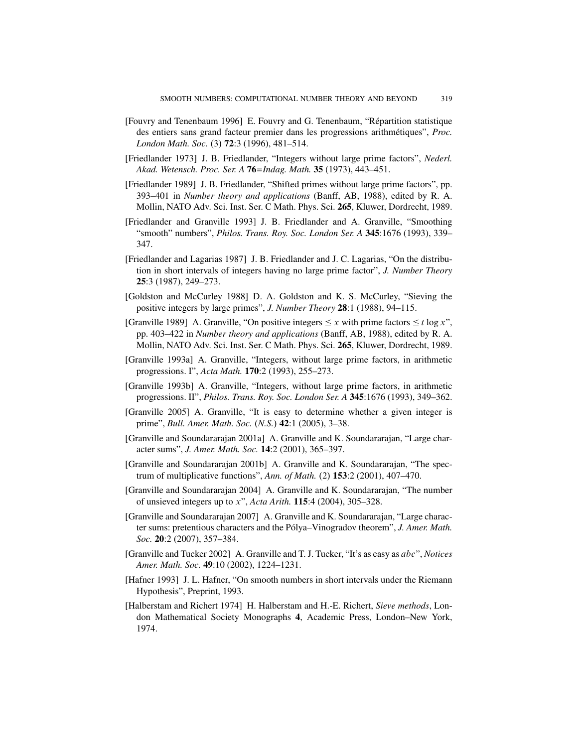- [Fouvry and Tenenbaum 1996] E. Fouvry and G. Tenenbaum, "Repartition statistique ´ des entiers sans grand facteur premier dans les progressions arithmétiques", *Proc. London Math. Soc.* (3) 72:3 (1996), 481-514.
- [Friedlander 1973] J. B. Friedlander, "Integers without large prime factors", *Nederl. Akad. Wetensch. Proc. Ser. A* 76*=Indag. Math.* 35 (1973), 443–451.
- [Friedlander 1989] J. B. Friedlander, "Shifted primes without large prime factors", pp. 393–401 in *Number theory and applications* (Banff, AB, 1988), edited by R. A. Mollin, NATO Adv. Sci. Inst. Ser. C Math. Phys. Sci. 265, Kluwer, Dordrecht, 1989.
- [Friedlander and Granville 1993] J. B. Friedlander and A. Granville, "Smoothing "smooth" numbers", *Philos. Trans. Roy. Soc. London Ser. A* 345:1676 (1993), 339– 347.
- [Friedlander and Lagarias 1987] J. B. Friedlander and J. C. Lagarias, "On the distribution in short intervals of integers having no large prime factor", *J. Number Theory* 25:3 (1987), 249–273.
- [Goldston and McCurley 1988] D. A. Goldston and K. S. McCurley, "Sieving the positive integers by large primes", *J. Number Theory* 28:1 (1988), 94–115.
- [Granville 1989] A. Granville, "On positive integers  $\leq x$  with prime factors  $\leq t \log x$ ", pp. 403–422 in *Number theory and applications* (Banff, AB, 1988), edited by R. A. Mollin, NATO Adv. Sci. Inst. Ser. C Math. Phys. Sci. 265, Kluwer, Dordrecht, 1989.
- [Granville 1993a] A. Granville, "Integers, without large prime factors, in arithmetic progressions. I", *Acta Math.* 170:2 (1993), 255–273.
- [Granville 1993b] A. Granville, "Integers, without large prime factors, in arithmetic progressions. II", *Philos. Trans. Roy. Soc. London Ser. A* 345:1676 (1993), 349–362.
- [Granville 2005] A. Granville, "It is easy to determine whether a given integer is prime", *Bull. Amer. Math. Soc.* (*N.S.*) **42**:1 (2005), 3–38.
- [Granville and Soundararajan 2001a] A. Granville and K. Soundararajan, "Large character sums", *J. Amer. Math. Soc.* 14:2 (2001), 365–397.
- [Granville and Soundararajan 2001b] A. Granville and K. Soundararajan, "The spectrum of multiplicative functions", *Ann. of Math.* (2) **153**:2 (2001), 407–470.
- [Granville and Soundararajan 2004] A. Granville and K. Soundararajan, "The number of unsieved integers up to x", *Acta Arith.* 115:4 (2004), 305–328.
- [Granville and Soundararajan 2007] A. Granville and K. Soundararajan, "Large character sums: pretentious characters and the Pólya–Vinogradov theorem", *J. Amer. Math. Soc.* 20:2 (2007), 357–384.
- [Granville and Tucker 2002] A. Granville and T. J. Tucker, "It's as easy as abc", *Notices Amer. Math. Soc.* 49:10 (2002), 1224–1231.
- [Hafner 1993] J. L. Hafner, "On smooth numbers in short intervals under the Riemann Hypothesis", Preprint, 1993.
- [Halberstam and Richert 1974] H. Halberstam and H.-E. Richert, *Sieve methods*, London Mathematical Society Monographs 4, Academic Press, London–New York, 1974.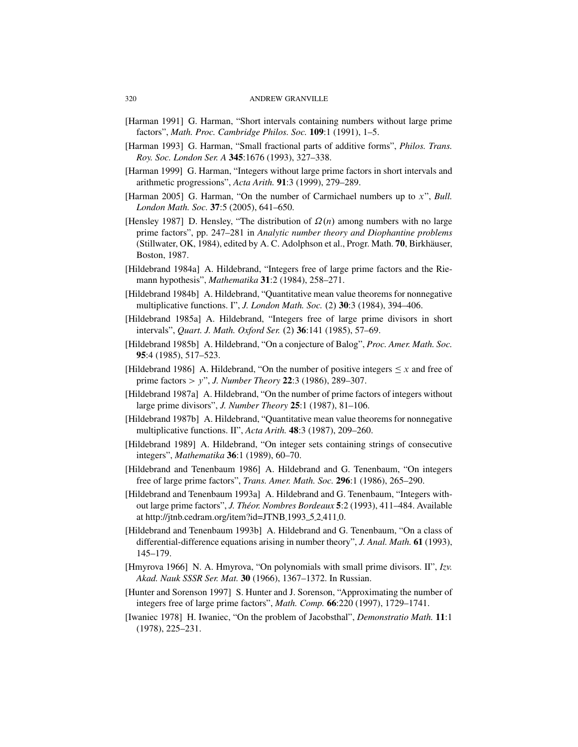- [Harman 1991] G. Harman, "Short intervals containing numbers without large prime factors", *Math. Proc. Cambridge Philos. Soc.* 109:1 (1991), 1–5.
- [Harman 1993] G. Harman, "Small fractional parts of additive forms", *Philos. Trans. Roy. Soc. London Ser. A* 345:1676 (1993), 327–338.
- [Harman 1999] G. Harman, "Integers without large prime factors in short intervals and arithmetic progressions", *Acta Arith.* 91:3 (1999), 279–289.
- [Harman 2005] G. Harman, "On the number of Carmichael numbers up to x", *Bull. London Math. Soc.* 37:5 (2005), 641–650.
- [Hensley 1987] D. Hensley, "The distribution of  $\Omega(n)$  among numbers with no large prime factors", pp. 247–281 in *Analytic number theory and Diophantine problems* (Stillwater, OK, 1984), edited by A. C. Adolphson et al., Progr. Math. 70, Birkhäuser, Boston, 1987.
- [Hildebrand 1984a] A. Hildebrand, "Integers free of large prime factors and the Riemann hypothesis", *Mathematika* 31:2 (1984), 258–271.
- [Hildebrand 1984b] A. Hildebrand, "Quantitative mean value theorems for nonnegative multiplicative functions. I", *J. London Math. Soc.* (2) **30**:3 (1984), 394–406.
- [Hildebrand 1985a] A. Hildebrand, "Integers free of large prime divisors in short intervals", *Quart. J. Math. Oxford Ser.* (2) **36**:141 (1985), 57–69.
- [Hildebrand 1985b] A. Hildebrand, "On a conjecture of Balog", *Proc. Amer. Math. Soc.* 95:4 (1985), 517–523.
- [Hildebrand 1986] A. Hildebrand, "On the number of positive integers  $\leq x$  and free of prime factors > y", *J. Number Theory* 22:3 (1986), 289–307.
- [Hildebrand 1987a] A. Hildebrand, "On the number of prime factors of integers without large prime divisors", *J. Number Theory* 25:1 (1987), 81–106.
- [Hildebrand 1987b] A. Hildebrand, "Quantitative mean value theorems for nonnegative multiplicative functions. II", *Acta Arith.* 48:3 (1987), 209–260.
- [Hildebrand 1989] A. Hildebrand, "On integer sets containing strings of consecutive integers", *Mathematika* 36:1 (1989), 60–70.
- [Hildebrand and Tenenbaum 1986] A. Hildebrand and G. Tenenbaum, "On integers free of large prime factors", *Trans. Amer. Math. Soc.* 296:1 (1986), 265–290.
- [Hildebrand and Tenenbaum 1993a] A. Hildebrand and G. Tenenbaum, "Integers without large prime factors", *J. Theor. Nombres Bordeaux ´* 5:2 (1993), 411–484. Available at http://jtnb.cedram.org/item?id=JTNB 1993 5 2 411 0.
- [Hildebrand and Tenenbaum 1993b] A. Hildebrand and G. Tenenbaum, "On a class of differential-difference equations arising in number theory", *J. Anal. Math.* 61 (1993), 145–179.
- [Hmyrova 1966] N. A. Hmyrova, "On polynomials with small prime divisors. II", *Izv. Akad. Nauk SSSR Ser. Mat.* 30 (1966), 1367–1372. In Russian.
- [Hunter and Sorenson 1997] S. Hunter and J. Sorenson, "Approximating the number of integers free of large prime factors", *Math. Comp.* 66:220 (1997), 1729–1741.
- [Iwaniec 1978] H. Iwaniec, "On the problem of Jacobsthal", *Demonstratio Math.* 11:1 (1978), 225–231.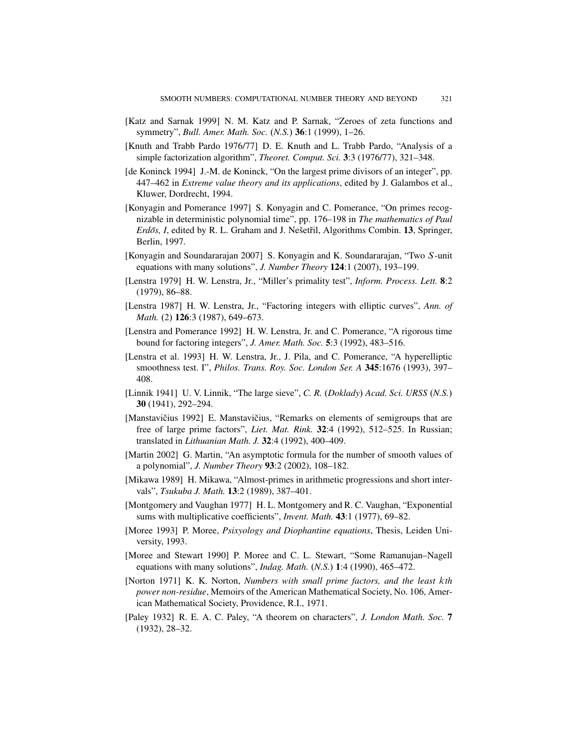- [Katz and Sarnak 1999] N. M. Katz and P. Sarnak, "Zeroes of zeta functions and symmetry", *Bull. Amer. Math. Soc.* (*N.S.*) **36**:1 (1999), 1–26.
- [Knuth and Trabb Pardo 1976/77] D. E. Knuth and L. Trabb Pardo, "Analysis of a simple factorization algorithm", *Theoret. Comput. Sci.* 3:3 (1976/77), 321–348.
- [de Koninck 1994] J.-M. de Koninck, "On the largest prime divisors of an integer", pp. 447–462 in *Extreme value theory and its applications*, edited by J. Galambos et al., Kluwer, Dordrecht, 1994.
- [Konyagin and Pomerance 1997] S. Konyagin and C. Pomerance, "On primes recognizable in deterministic polynomial time", pp. 176–198 in *The mathematics of Paul Erdős, I*, edited by R. L. Graham and J. Nešetřil, Algorithms Combin. 13, Springer, Berlin, 1997.
- [Konyagin and Soundararajan 2007] S. Konyagin and K. Soundararajan, "Two S-unit equations with many solutions", *J. Number Theory* 124:1 (2007), 193–199.
- [Lenstra 1979] H. W. Lenstra, Jr., "Miller's primality test", *Inform. Process. Lett.* 8:2 (1979), 86–88.
- [Lenstra 1987] H. W. Lenstra, Jr., "Factoring integers with elliptic curves", *Ann. of Math.* (2) **126**:3 (1987), 649–673.
- [Lenstra and Pomerance 1992] H. W. Lenstra, Jr. and C. Pomerance, "A rigorous time bound for factoring integers", *J. Amer. Math. Soc.* 5:3 (1992), 483–516.
- [Lenstra et al. 1993] H. W. Lenstra, Jr., J. Pila, and C. Pomerance, "A hyperelliptic smoothness test. I", *Philos. Trans. Roy. Soc. London Ser. A* 345:1676 (1993), 397– 408.
- [Linnik 1941] U. V. Linnik, "The large sieve", *C. R. (Doklady) Acad. Sci. URSS* (N.S.) 30 (1941), 292–294.
- [Manstavičius 1992] E. Manstavičius, "Remarks on elements of semigroups that are free of large prime factors", *Liet. Mat. Rink.* 32:4 (1992), 512–525. In Russian; translated in *Lithuanian Math. J.* 32:4 (1992), 400–409.
- [Martin 2002] G. Martin, "An asymptotic formula for the number of smooth values of a polynomial", *J. Number Theory* 93:2 (2002), 108–182.
- [Mikawa 1989] H. Mikawa, "Almost-primes in arithmetic progressions and short intervals", *Tsukuba J. Math.* 13:2 (1989), 387–401.
- [Montgomery and Vaughan 1977] H. L. Montgomery and R. C. Vaughan, "Exponential sums with multiplicative coefficients", *Invent. Math.* 43:1 (1977), 69–82.
- [Moree 1993] P. Moree, *Psixyology and Diophantine equations*, Thesis, Leiden University, 1993.
- [Moree and Stewart 1990] P. Moree and C. L. Stewart, "Some Ramanujan–Nagell equations with many solutions", *Indag. Math.*  $(N.S.$ ) 1:4 (1990), 465–472.
- [Norton 1971] K. K. Norton, *Numbers with small prime factors, and the least* k*th power non-residue*, Memoirs of the American Mathematical Society, No. 106, American Mathematical Society, Providence, R.I., 1971.
- [Paley 1932] R. E. A. C. Paley, "A theorem on characters", *J. London Math. Soc.* 7 (1932), 28–32.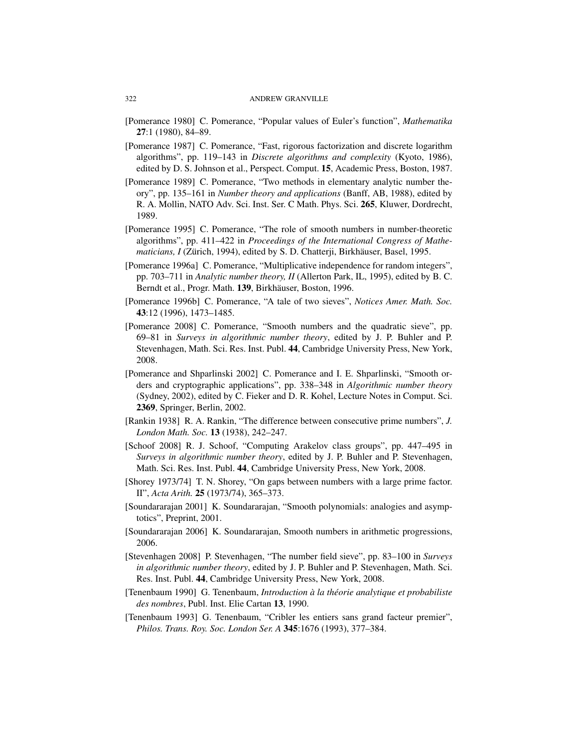- [Pomerance 1980] C. Pomerance, "Popular values of Euler's function", *Mathematika* 27:1 (1980), 84–89.
- [Pomerance 1987] C. Pomerance, "Fast, rigorous factorization and discrete logarithm algorithms", pp. 119–143 in *Discrete algorithms and complexity* (Kyoto, 1986), edited by D. S. Johnson et al., Perspect. Comput. 15, Academic Press, Boston, 1987.
- [Pomerance 1989] C. Pomerance, "Two methods in elementary analytic number theory", pp. 135–161 in *Number theory and applications* (Banff, AB, 1988), edited by R. A. Mollin, NATO Adv. Sci. Inst. Ser. C Math. Phys. Sci. 265, Kluwer, Dordrecht, 1989.
- [Pomerance 1995] C. Pomerance, "The role of smooth numbers in number-theoretic algorithms", pp. 411–422 in *Proceedings of the International Congress of Mathematicians, I* (Zürich, 1994), edited by S. D. Chatterji, Birkhäuser, Basel, 1995.
- [Pomerance 1996a] C. Pomerance, "Multiplicative independence for random integers", pp. 703–711 in *Analytic number theory, II* (Allerton Park, IL, 1995), edited by B. C. Berndt et al., Progr. Math. 139, Birkhäuser, Boston, 1996.
- [Pomerance 1996b] C. Pomerance, "A tale of two sieves", *Notices Amer. Math. Soc.* 43:12 (1996), 1473–1485.
- [Pomerance 2008] C. Pomerance, "Smooth numbers and the quadratic sieve", pp. 69–81 in *Surveys in algorithmic number theory*, edited by J. P. Buhler and P. Stevenhagen, Math. Sci. Res. Inst. Publ. 44, Cambridge University Press, New York, 2008.
- [Pomerance and Shparlinski 2002] C. Pomerance and I. E. Shparlinski, "Smooth orders and cryptographic applications", pp. 338–348 in *Algorithmic number theory* (Sydney, 2002), edited by C. Fieker and D. R. Kohel, Lecture Notes in Comput. Sci. 2369, Springer, Berlin, 2002.
- [Rankin 1938] R. A. Rankin, "The difference between consecutive prime numbers", *J. London Math. Soc.* 13 (1938), 242–247.
- [Schoof 2008] R. J. Schoof, "Computing Arakelov class groups", pp. 447–495 in *Surveys in algorithmic number theory*, edited by J. P. Buhler and P. Stevenhagen, Math. Sci. Res. Inst. Publ. 44, Cambridge University Press, New York, 2008.
- [Shorey 1973/74] T. N. Shorey, "On gaps between numbers with a large prime factor. II", *Acta Arith.* 25 (1973/74), 365–373.
- [Soundararajan 2001] K. Soundararajan, "Smooth polynomials: analogies and asymptotics", Preprint, 2001.
- [Soundararajan 2006] K. Soundararajan, Smooth numbers in arithmetic progressions, 2006.
- [Stevenhagen 2008] P. Stevenhagen, "The number field sieve", pp. 83–100 in *Surveys in algorithmic number theory*, edited by J. P. Buhler and P. Stevenhagen, Math. Sci. Res. Inst. Publ. 44, Cambridge University Press, New York, 2008.
- [Tenenbaum 1990] G. Tenenbaum, *Introduction a la th ` eorie analytique et probabiliste ´ des nombres*, Publ. Inst. Elie Cartan 13, 1990.
- [Tenenbaum 1993] G. Tenenbaum, "Cribler les entiers sans grand facteur premier", *Philos. Trans. Roy. Soc. London Ser. A* 345:1676 (1993), 377–384.